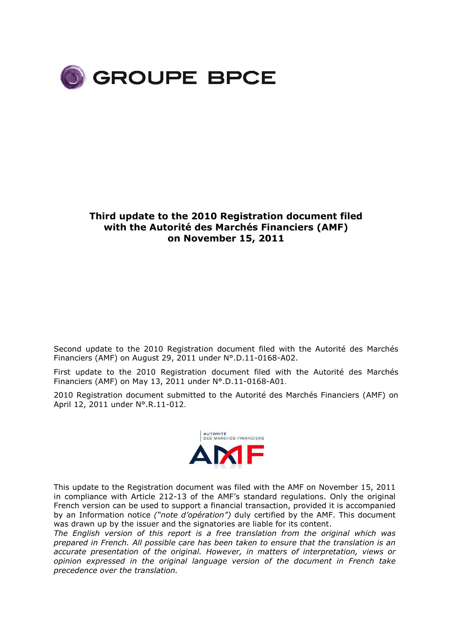

### **Third update to the 2010 Registration document filed with the Autorité des Marchés Financiers (AMF) on November 15, 2011**

Second update to the 2010 Registration document filed with the Autorité des Marchés Financiers (AMF) on August 29, 2011 under N°.D.11-0168-A02.

First update to the 2010 Registration document filed with the Autorité des Marchés Financiers (AMF) on May 13, 2011 under N°.D.11-0168-A01.

2010 Registration document submitted to the Autorité des Marchés Financiers (AMF) on April 12, 2011 under N°.R.11-012.



This update to the Registration document was filed with the AMF on November 15, 2011 in compliance with Article 212-13 of the AMF's standard regulations. Only the original French version can be used to support a financial transaction, provided it is accompanied by an Information notice *("note d'opération")* duly certified by the AMF. This document was drawn up by the issuer and the signatories are liable for its content.

*The English version of this report is a free translation from the original which was prepared in French. All possible care has been taken to ensure that the translation is an accurate presentation of the original. However, in matters of interpretation, views or opinion expressed in the original language version of the document in French take precedence over the translation.*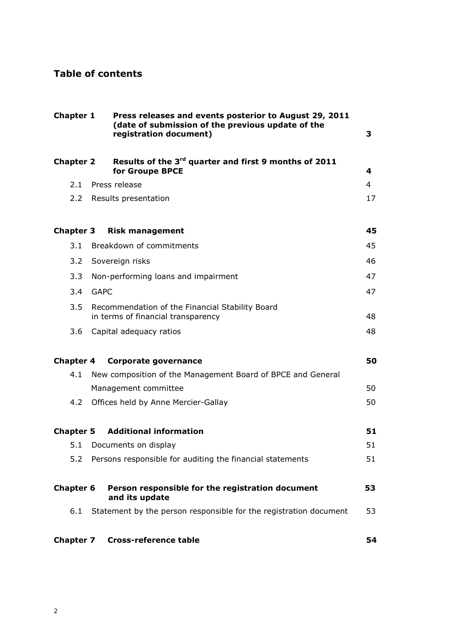## **Table of contents**

| Chapter 1        |             | Press releases and events posterior to August 29, 2011<br>(date of submission of the previous update of the<br>registration document) | 3  |
|------------------|-------------|---------------------------------------------------------------------------------------------------------------------------------------|----|
| <b>Chapter 2</b> |             | Results of the 3 <sup>rd</sup> quarter and first 9 months of 2011<br>for Groupe BPCE                                                  | 4  |
| 2.1              |             | Press release                                                                                                                         | 4  |
| $2.2^{\circ}$    |             | Results presentation                                                                                                                  | 17 |
| <b>Chapter 3</b> |             | <b>Risk management</b>                                                                                                                | 45 |
| 3.1              |             | Breakdown of commitments                                                                                                              | 45 |
| 3.2              |             | Sovereign risks                                                                                                                       | 46 |
| 3.3              |             | Non-performing loans and impairment                                                                                                   | 47 |
| 3.4              | <b>GAPC</b> |                                                                                                                                       | 47 |
| 3.5              |             | Recommendation of the Financial Stability Board<br>in terms of financial transparency                                                 | 48 |
| 3.6              |             | Capital adequacy ratios                                                                                                               | 48 |
| <b>Chapter 4</b> |             | <b>Corporate governance</b>                                                                                                           | 50 |
| 4.1              |             | New composition of the Management Board of BPCE and General                                                                           |    |
|                  |             | Management committee                                                                                                                  | 50 |
| 4.2              |             | Offices held by Anne Mercier-Gallay                                                                                                   | 50 |
| <b>Chapter 5</b> |             | <b>Additional information</b>                                                                                                         | 51 |
| 5.1              |             | Documents on display                                                                                                                  | 51 |
| 5.2              |             | Persons responsible for auditing the financial statements                                                                             | 51 |
| <b>Chapter 6</b> |             | Person responsible for the registration document<br>and its update                                                                    | 53 |
| 6.1              |             | Statement by the person responsible for the registration document                                                                     | 53 |
| <b>Chapter 7</b> |             | <b>Cross-reference table</b>                                                                                                          | 54 |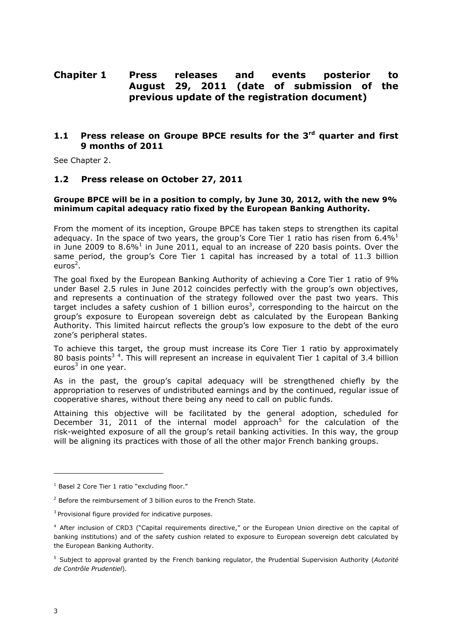### **Chapiter 1 Press releases and events posterior to August 29, 2011 (date of submission of the previous update of the registration document)**

### **1.1 Press release on Groupe BPCE results for the 3rd quarter and first 9 months of 2011**

See Chapter 2.

### **1.2 Press release on October 27, 2011**

#### **Groupe BPCE will be in a position to comply, by June 30, 2012, with the new 9% minimum capital adequacy ratio fixed by the European Banking Authority.**

From the moment of its inception, Groupe BPCE has taken steps to strengthen its capital adequacy. In the space of two years, the group's Core Tier 1 ratio has risen from  $6.4\%$ <sup>1</sup> in June 2009 to 8.6%<sup>1</sup> in June 2011, equal to an increase of 220 basis points. Over the same period, the group's Core Tier 1 capital has increased by a total of 11.3 billion euros<sup>2</sup>.

The goal fixed by the European Banking Authority of achieving a Core Tier 1 ratio of 9% under Basel 2.5 rules in June 2012 coincides perfectly with the group's own objectives, and represents a continuation of the strategy followed over the past two years. This target includes a safety cushion of 1 billion euros<sup>3</sup>, corresponding to the haircut on the group's exposure to European sovereign debt as calculated by the European Banking Authority. This limited haircut reflects the group's low exposure to the debt of the euro zone's peripheral states.

To achieve this target, the group must increase its Core Tier 1 ratio by approximately 80 basis points<sup>34</sup>. This will represent an increase in equivalent Tier 1 capital of 3.4 billion euros<sup>3</sup> in one year.

As in the past, the group's capital adequacy will be strengthened chiefly by the appropriation to reserves of undistributed earnings and by the continued, regular issue of cooperative shares, without there being any need to call on public funds.

Attaining this objective will be facilitated by the general adoption, scheduled for December 31, 2011 of the internal model approach<sup>5</sup> for the calculation of the risk-weighted exposure of all the group's retail banking activities. In this way, the group will be aligning its practices with those of all the other major French banking groups.

j

<sup>&</sup>lt;sup>1</sup> Basel 2 Core Tier 1 ratio "excluding floor."

<sup>&</sup>lt;sup>2</sup> Before the reimbursement of 3 billion euros to the French State.

<sup>&</sup>lt;sup>3</sup> Provisional figure provided for indicative purposes.

<sup>4</sup> After inclusion of CRD3 ("Capital requirements directive," or the European Union directive on the capital of banking institutions) and of the safety cushion related to exposure to European sovereign debt calculated by the European Banking Authority.

<sup>5</sup> Subject to approval granted by the French banking regulator, the Prudential Supervision Authority (*Autorité de Contrôle Prudentiel*).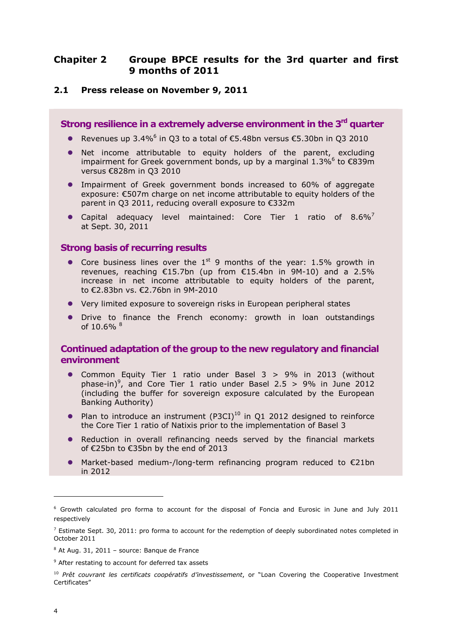### **Chapiter 2 Groupe BPCE results for the 3rd quarter and first 9 months of 2011**

#### **2.1 Press release on November 9, 2011**

**Strong resilience in a extremely adverse environment in the 3rd quarter** 

- Revenues up 3.4%<sup>6</sup> in Q3 to a total of  $€5.48$ bn versus  $€5.30$ bn in Q3 2010
- Net income attributable to equity holders of the parent, excluding impairment for Greek government bonds, up by a marginal  $1.3\%$ <sup>6</sup> to  $\epsilon$ 839m versus €828m in Q3 2010
- Impairment of Greek government bonds increased to 60% of aggregate exposure: €507m charge on net income attributable to equity holders of the parent in Q3 2011, reducing overall exposure to €332m
- Capital adequacy level maintained: Core Tier 1 ratio of  $8.6\%$ <sup>7</sup> at Sept. 30, 2011

### **Strong basis of recurring results**

- Core business lines over the  $1^{st}$  9 months of the year: 1.5% growth in revenues, reaching €15.7bn (up from €15.4bn in 9M-10) and a 2.5% increase in net income attributable to equity holders of the parent, to €2.83bn vs. €2.76bn in 9M-2010
- Very limited exposure to sovereign risks in European peripheral states
- Drive to finance the French economy: growth in loan outstandings of 10.6% 8

### **Continued adaptation of the group to the new regulatory and financial environment**

- Common Equity Tier 1 ratio under Basel 3 > 9% in 2013 (without phase-in)<sup>9</sup>, and Core Tier 1 ratio under Basel 2.5 > 9% in June 2012 (including the buffer for sovereign exposure calculated by the European Banking Authority)
- Plan to introduce an instrument (P3CI)<sup>10</sup> in Q1 2012 designed to reinforce the Core Tier 1 ratio of Natixis prior to the implementation of Basel 3
- Reduction in overall refinancing needs served by the financial markets of €25bn to €35bn by the end of 2013
- $\bullet$  Market-based medium-/long-term refinancing program reduced to  $\epsilon$ 21bn in 2012

j

<sup>&</sup>lt;sup>6</sup> Growth calculated pro forma to account for the disposal of Foncia and Eurosic in June and July 2011 respectively

 $<sup>7</sup>$  Estimate Sept. 30, 2011: pro forma to account for the redemption of deeply subordinated notes completed in</sup> October 2011

<sup>&</sup>lt;sup>8</sup> At Aug. 31, 2011 - source: Banque de France

<sup>&</sup>lt;sup>9</sup> After restating to account for deferred tax assets

<sup>&</sup>lt;sup>10</sup> Prêt couvrant les certificats coopératifs d'investissement, or "Loan Covering the Cooperative Investment Certificates"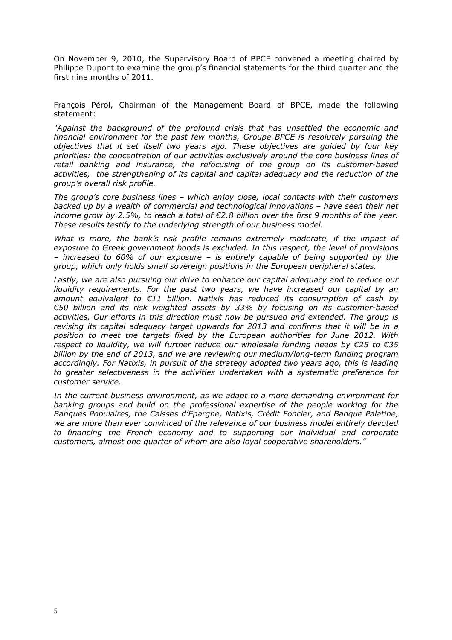On November 9, 2010, the Supervisory Board of BPCE convened a meeting chaired by Philippe Dupont to examine the group's financial statements for the third quarter and the first nine months of 2011.

François Pérol, Chairman of the Management Board of BPCE, made the following statement:

*"Against the background of the profound crisis that has unsettled the economic and financial environment for the past few months, Groupe BPCE is resolutely pursuing the objectives that it set itself two years ago. These objectives are guided by four key priorities: the concentration of our activities exclusively around the core business lines of retail banking and insurance, the refocusing of the group on its customer-based activities, the strengthening of its capital and capital adequacy and the reduction of the group's overall risk profile.* 

*The group's core business lines – which enjoy close, local contacts with their customers backed up by a wealth of commercial and technological innovations – have seen their net income grow by 2.5%, to reach a total of €2.8 billion over the first 9 months of the year. These results testify to the underlying strength of our business model.* 

What is more, the bank's risk profile remains extremely moderate, if the impact of *exposure to Greek government bonds is excluded. In this respect, the level of provisions – increased to 60% of our exposure – is entirely capable of being supported by the group, which only holds small sovereign positions in the European peripheral states.* 

*Lastly, we are also pursuing our drive to enhance our capital adequacy and to reduce our liquidity requirements. For the past two years, we have increased our capital by an amount equivalent to €11 billion. Natixis has reduced its consumption of cash by €50 billion and its risk weighted assets by 33% by focusing on its customer-based activities. Our efforts in this direction must now be pursued and extended. The group is revising its capital adequacy target upwards for 2013 and confirms that it will be in a position to meet the targets fixed by the European authorities for June 2012. With respect to liquidity, we will further reduce our wholesale funding needs by €25 to €35 billion by the end of 2013, and we are reviewing our medium/long-term funding program accordingly. For Natixis, in pursuit of the strategy adopted two years ago, this is leading to greater selectiveness in the activities undertaken with a systematic preference for customer service.* 

*In the current business environment, as we adapt to a more demanding environment for banking groups and build on the professional expertise of the people working for the Banques Populaires, the Caisses d'Epargne, Natixis, Crédit Foncier, and Banque Palatine, we are more than ever convinced of the relevance of our business model entirely devoted to financing the French economy and to supporting our individual and corporate customers, almost one quarter of whom are also loyal cooperative shareholders."*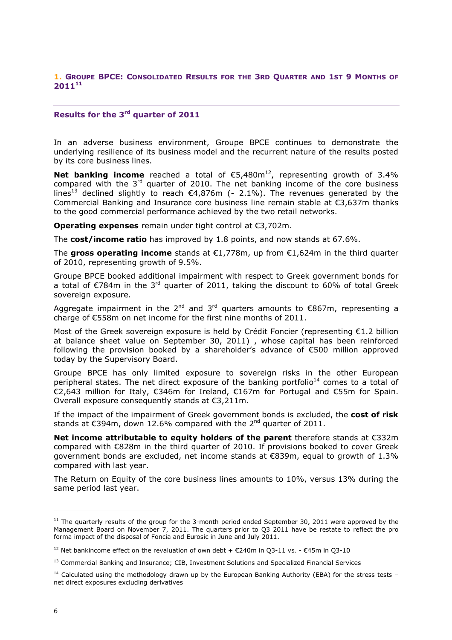#### **1. GROUPE BPCE: CONSOLIDATED RESULTS FOR THE 3RD QUARTER AND 1ST 9 MONTHS OF 2011<sup>11</sup>**

### **Results for the 3rd quarter of 2011**

In an adverse business environment, Groupe BPCE continues to demonstrate the underlying resilience of its business model and the recurrent nature of the results posted by its core business lines.

**Net banking income** reached a total of  $€5,480m<sup>12</sup>$ , representing growth of 3.4% compared with the  $3<sup>rd</sup>$  quarter of 2010. The net banking income of the core business lines<sup>13</sup> declined slightly to reach  $\epsilon$ 4,876m (- 2.1%). The revenues generated by the Commercial Banking and Insurance core business line remain stable at  $\epsilon$ 3,637m thanks to the good commercial performance achieved by the two retail networks.

**Operating expenses** remain under tight control at €3,702m.

The **cost/income ratio** has improved by 1.8 points, and now stands at 67.6%.

The **gross operating income** stands at €1,778m, up from €1,624m in the third quarter of 2010, representing growth of 9.5%.

Groupe BPCE booked additional impairment with respect to Greek government bonds for a total of €784m in the 3<sup>rd</sup> quarter of 2011, taking the discount to 60% of total Greek sovereign exposure.

Aggregate impairment in the 2<sup>nd</sup> and 3<sup>rd</sup> quarters amounts to  $\epsilon$ 867m, representing a charge of €558m on net income for the first nine months of 2011.

Most of the Greek sovereign exposure is held by Crédit Foncier (representing  $E1.2$  billion at balance sheet value on September 30, 2011) , whose capital has been reinforced following the provision booked by a shareholder's advance of €500 million approved today by the Supervisory Board.

Groupe BPCE has only limited exposure to sovereign risks in the other European peripheral states. The net direct exposure of the banking portfolio<sup>14</sup> comes to a total of €2,643 million for Italy, €346m for Ireland, €167m for Portugal and €55m for Spain. Overall exposure consequently stands at €3,211m.

If the impact of the impairment of Greek government bonds is excluded, the **cost of risk** stands at  $\epsilon$ 394m, down 12.6% compared with the 2<sup>nd</sup> quarter of 2011.

**Net income attributable to equity holders of the parent** therefore stands at €332m compared with €828m in the third quarter of 2010. If provisions booked to cover Greek government bonds are excluded, net income stands at  $\epsilon$ 839m, equal to growth of 1.3% compared with last year.

The Return on Equity of the core business lines amounts to 10%, versus 13% during the same period last year.

j

 $11$  The quarterly results of the group for the 3-month period ended September 30, 2011 were approved by the Management Board on November 7, 2011. The quarters prior to Q3 2011 have be restate to reflect the pro forma impact of the disposal of Foncia and Eurosic in June and July 2011.

<sup>&</sup>lt;sup>12</sup> Net bankincome effect on the revaluation of own debt + €240m in O3-11 vs. - €45m in O3-10

<sup>&</sup>lt;sup>13</sup> Commercial Banking and Insurance: CIB, Investment Solutions and Specialized Financial Services

 $14$  Calculated using the methodology drawn up by the European Banking Authority (EBA) for the stress tests – net direct exposures excluding derivatives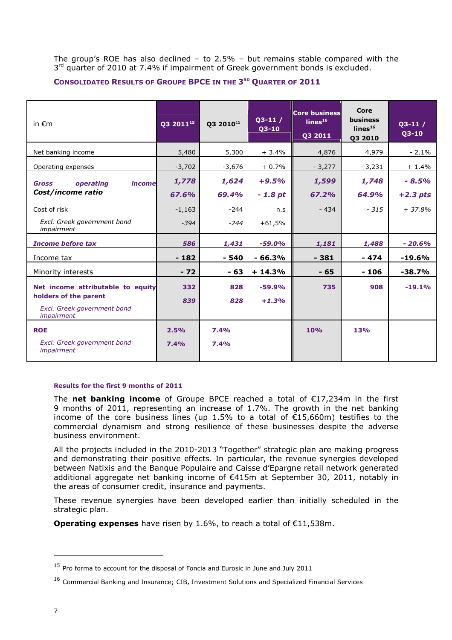The group's ROE has also declined  $-$  to 2.5%  $-$  but remains stable compared with the 3<sup>rd</sup> quarter of 2010 at 7.4% if impairment of Greek government bonds is excluded.

#### **CONSOLIDATED RESULTS OF GROUPE BPCE IN THE 3 RD QUARTER OF 2011**

| in $\epsilon$ m                                                                                         | Q3 2011 <sup>15</sup><br>Q3 2010 <sup>15</sup><br>$Q3-10$ |              | $Q3-11/$            | <b>Core business</b><br>lines <sup>16</sup><br>Q3 2011 | Core<br><b>business</b><br>lines <sup>16</sup><br>03 2010 | $03-11/$<br>$Q3-10$ |
|---------------------------------------------------------------------------------------------------------|-----------------------------------------------------------|--------------|---------------------|--------------------------------------------------------|-----------------------------------------------------------|---------------------|
| Net banking income                                                                                      | 5,480                                                     | 5,300        | $+3.4%$             | 4,876                                                  | 4,979                                                     | $-2.1\%$            |
| Operating expenses                                                                                      | $-3,702$                                                  | -3,676       | $+0.7%$             | $-3,277$                                               | $-3,231$                                                  | $+1.4%$             |
| operating<br>income<br><b>Gross</b>                                                                     | 1,778                                                     | 1,624        | $+9.5%$             | 1,599                                                  | 1,748                                                     | $-8.5%$             |
| Cost/income ratio                                                                                       | 67.6%                                                     | 69.4%        | $-1.8pt$            | 67.2%                                                  | 64.9%                                                     | $+2.3$ pts          |
| Cost of risk                                                                                            | $-1,163$                                                  | $-244$       | n.s                 | $-434$                                                 | $-315$                                                    | $+37.8%$            |
| Excl. Greek government bond<br>impairment                                                               | $-394$                                                    | $-244$       | $+61,5%$            |                                                        |                                                           |                     |
| <b>Income before tax</b>                                                                                | 586                                                       | 1,431        | $-59.0%$            | 1,181                                                  | 1,488                                                     | $-20.6\%$           |
| Income tax                                                                                              | $-182$                                                    | $-540$       | $-66.3%$            | $-381$                                                 | - 474                                                     | $-19.6%$            |
| Minority interests                                                                                      | $-72$                                                     | $-63$        | $+14.3%$            | $-65$                                                  | $-106$                                                    | $-38.7%$            |
| Net income attributable to equity<br>holders of the parent<br>Excl. Greek government bond<br>impairment | 332<br>839                                                | 828<br>828   | $-59.9%$<br>$+1.3%$ | 735                                                    | 908                                                       | $-19.1%$            |
| <b>ROE</b><br>Excl. Greek government bond<br><i>impairment</i>                                          | 2.5%<br>7.4%                                              | 7.4%<br>7.4% |                     | 10%                                                    | 13%                                                       |                     |

#### **Results for the first 9 months of 2011**

The **net banking income** of Groupe BPCE reached a total of €17,234m in the first 9 months of 2011, representing an increase of 1.7%. The growth in the net banking income of the core business lines (up 1.5% to a total of €15,660m) testifies to the commercial dynamism and strong resilience of these businesses despite the adverse business environment.

All the projects included in the 2010-2013 "Together" strategic plan are making progress and demonstrating their positive effects. In particular, the revenue synergies developed between Natixis and the Banque Populaire and Caisse d'Epargne retail network generated additional aggregate net banking income of €415m at September 30, 2011, notably in the areas of consumer credit, insurance and payments.

These revenue synergies have been developed earlier than initially scheduled in the strategic plan.

**Operating expenses** have risen by 1.6%, to reach a total of €11,538m.

ł

<sup>&</sup>lt;sup>15</sup> Pro forma to account for the disposal of Foncia and Eurosic in June and July 2011

<sup>&</sup>lt;sup>16</sup> Commercial Banking and Insurance; CIB, Investment Solutions and Specialized Financial Services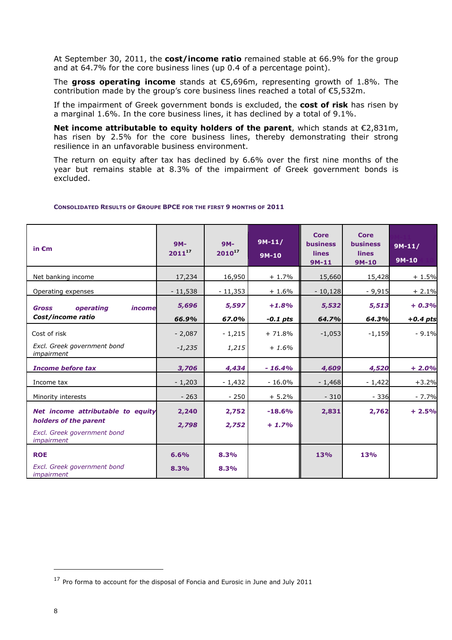At September 30, 2011, the **cost/income ratio** remained stable at 66.9% for the group and at 64.7% for the core business lines (up 0.4 of a percentage point).

The **gross operating income** stands at €5,696m, representing growth of 1.8%. The contribution made by the group's core business lines reached a total of €5,532m.

If the impairment of Greek government bonds is excluded, the **cost of risk** has risen by a marginal 1.6%. In the core business lines, it has declined by a total of 9.1%.

**Net income attributable to equity holders of the parent**, which stands at €2,831m, has risen by 2.5% for the core business lines, thereby demonstrating their strong resilience in an unfavorable business environment.

The return on equity after tax has declined by 6.6% over the first nine months of the year but remains stable at 8.3% of the impairment of Greek government bonds is excluded.

| in $\epsilon$ m                                                                                         | $9M -$<br>$2011^{17}$ | $9M -$<br>$2010^{17}$ | $9M-11/$<br>$9M-10$               | <b>Core</b><br><b>business</b><br>lines<br>$9M-11$ | Core<br><b>business</b><br>lines<br>$9M-10$ | $9M-11/$<br>9M-10     |
|---------------------------------------------------------------------------------------------------------|-----------------------|-----------------------|-----------------------------------|----------------------------------------------------|---------------------------------------------|-----------------------|
| Net banking income                                                                                      | 17,234                | 16,950                | $+1.7%$                           | 15,660                                             | 15,428                                      | $+1.5%$               |
| Operating expenses                                                                                      | $-11,538$             | $-11,353$             | $+1.6%$                           | $-10,128$                                          | $-9,915$                                    | $+2.1%$               |
| operating<br><b>Gross</b><br>income<br>Cost/income ratio                                                | 5,696<br>66.9%        | 5,597<br>67.0%        | $+1.8%$                           | 5,532                                              | 5,513<br>64.3%                              | $+0.3%$               |
| Cost of risk<br>Excl. Greek government bond<br>impairment                                               | $-2,087$<br>$-1,235$  | $-1,215$<br>1,215     | $-0.1$ pts<br>$+71.8%$<br>$+1.6%$ | 64.7%<br>$-1,053$                                  | $-1,159$                                    | $+0.4$ pts<br>$-9.1%$ |
| <b>Income before tax</b>                                                                                | 3,706                 | 4,434                 | $-16.4%$                          | 4,609                                              | 4,520                                       | $+2.0%$               |
| Income tax                                                                                              | $-1,203$              | $-1,432$              | $-16.0%$                          | $-1,468$                                           | $-1,422$                                    | $+3.2%$               |
| Minority interests                                                                                      | $-263$                | $-250$                | $+5.2%$                           | $-310$                                             | $-336$                                      | $-7.7%$               |
| Net income attributable to equity<br>holders of the parent<br>Excl. Greek government bond<br>impairment | 2,240<br>2,798        | 2,752<br>2,752        | $-18.6%$<br>$+1.7%$               | 2,831                                              | 2,762                                       | $+2.5%$               |
| <b>ROE</b><br>Excl. Greek government bond<br><i>impairment</i>                                          | 6.6%<br>8.3%          | 8.3%<br>8.3%          |                                   | 13%                                                | 13%                                         |                       |

#### **CONSOLIDATED RESULTS OF GROUPE BPCE FOR THE FIRST 9 MONTHS OF 2011**

j

 $17$  Pro forma to account for the disposal of Foncia and Eurosic in June and July 2011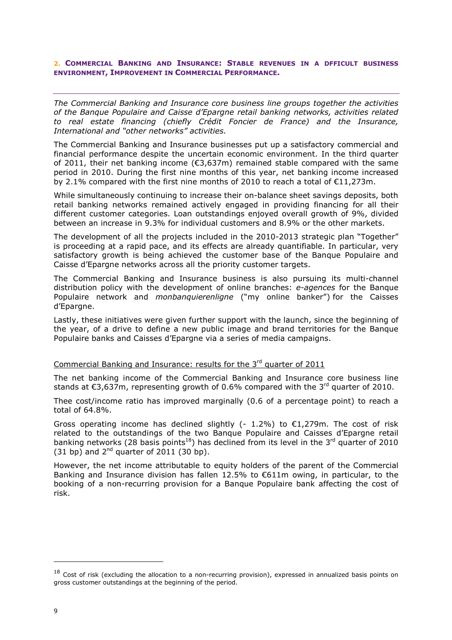#### **2. COMMERCIAL BANKING AND INSURANCE: STABLE REVENUES IN A DFFICULT BUSINESS ENVIRONMENT, IMPROVEMENT IN COMMERCIAL PERFORMANCE.**

*The Commercial Banking and Insurance core business line groups together the activities of the Banque Populaire and Caisse d'Epargne retail banking networks, activities related to real estate financing (chiefly Crédit Foncier de France) and the Insurance, International and "other networks" activities.* 

The Commercial Banking and Insurance businesses put up a satisfactory commercial and financial performance despite the uncertain economic environment. In the third quarter of 2011, their net banking income (€3,637m) remained stable compared with the same period in 2010. During the first nine months of this year, net banking income increased by 2.1% compared with the first nine months of 2010 to reach a total of  $\epsilon$ 11.273m.

While simultaneously continuing to increase their on-balance sheet savings deposits, both retail banking networks remained actively engaged in providing financing for all their different customer categories. Loan outstandings enjoyed overall growth of 9%, divided between an increase in 9.3% for individual customers and 8.9% or the other markets.

The development of all the projects included in the 2010-2013 strategic plan "Together" is proceeding at a rapid pace, and its effects are already quantifiable. In particular, very satisfactory growth is being achieved the customer base of the Banque Populaire and Caisse d'Epargne networks across all the priority customer targets.

The Commercial Banking and Insurance business is also pursuing its multi-channel distribution policy with the development of online branches: *e-agences* for the Banque Populaire network and *monbanquierenligne* ("my online banker") for the Caisses d'Epargne.

Lastly, these initiatives were given further support with the launch, since the beginning of the year, of a drive to define a new public image and brand territories for the Banque Populaire banks and Caisses d'Epargne via a series of media campaigns.

### Commercial Banking and Insurance: results for the 3<sup>rd</sup> quarter of 2011

The net banking income of the Commercial Banking and Insurance core business line stands at  $\epsilon$ 3,637m, representing growth of 0.6% compared with the 3<sup>rd</sup> quarter of 2010.

Thee cost/income ratio has improved marginally (0.6 of a percentage point) to reach a total of 64.8%.

Gross operating income has declined slightly (- 1.2%) to  $\epsilon$ 1,279m. The cost of risk related to the outstandings of the two Banque Populaire and Caisses d'Epargne retail banking networks (28 basis points<sup>18</sup>) has declined from its level in the 3<sup>rd</sup> quarter of 2010 (31 bp) and  $2^{nd}$  quarter of 2011 (30 bp).

However, the net income attributable to equity holders of the parent of the Commercial Banking and Insurance division has fallen 12.5% to €611m owing, in particular, to the booking of a non-recurring provision for a Banque Populaire bank affecting the cost of risk.

ł

 $18$  Cost of risk (excluding the allocation to a non-recurring provision), expressed in annualized basis points on gross customer outstandings at the beginning of the period.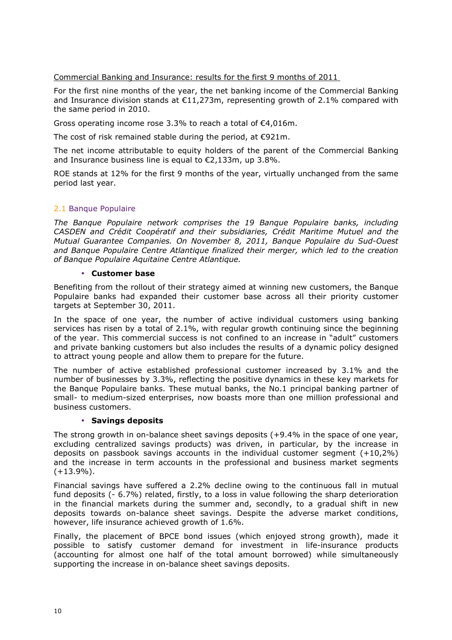Commercial Banking and Insurance: results for the first 9 months of 2011

For the first nine months of the year, the net banking income of the Commercial Banking and Insurance division stands at  $E11,273$ m, representing growth of 2.1% compared with the same period in 2010.

Gross operating income rose 3.3% to reach a total of €4,016m.

The cost of risk remained stable during the period, at €921m.

The net income attributable to equity holders of the parent of the Commercial Banking and Insurance business line is equal to €2,133m, up 3.8%.

ROE stands at 12% for the first 9 months of the year, virtually unchanged from the same period last year.

### 2.1 Banque Populaire

*The Banque Populaire network comprises the 19 Banque Populaire banks, including CASDEN and Crédit Coopératif and their subsidiaries, Crédit Maritime Mutuel and the Mutual Guarantee Companies. On November 8, 2011, Banque Populaire du Sud-Ouest and Banque Populaire Centre Atlantique finalized their merger, which led to the creation of Banque Populaire Aquitaine Centre Atlantique.* 

#### • **Customer base**

Benefiting from the rollout of their strategy aimed at winning new customers, the Banque Populaire banks had expanded their customer base across all their priority customer targets at September 30, 2011.

In the space of one year, the number of active individual customers using banking services has risen by a total of 2.1%, with regular growth continuing since the beginning of the year. This commercial success is not confined to an increase in "adult" customers and private banking customers but also includes the results of a dynamic policy designed to attract young people and allow them to prepare for the future.

The number of active established professional customer increased by 3.1% and the number of businesses by 3.3%, reflecting the positive dynamics in these key markets for the Banque Populaire banks. These mutual banks, the No.1 principal banking partner of small- to medium-sized enterprises, now boasts more than one million professional and business customers.

#### • **Savings deposits**

The strong growth in on-balance sheet savings deposits (+9.4% in the space of one year, excluding centralized savings products) was driven, in particular, by the increase in deposits on passbook savings accounts in the individual customer segment (+10,2%) and the increase in term accounts in the professional and business market segments  $(+13.9\%)$ .

Financial savings have suffered a 2.2% decline owing to the continuous fall in mutual fund deposits (- 6.7%) related, firstly, to a loss in value following the sharp deterioration in the financial markets during the summer and, secondly, to a gradual shift in new deposits towards on-balance sheet savings. Despite the adverse market conditions, however, life insurance achieved growth of 1.6%.

Finally, the placement of BPCE bond issues (which enjoyed strong growth), made it possible to satisfy customer demand for investment in life-insurance products (accounting for almost one half of the total amount borrowed) while simultaneously supporting the increase in on-balance sheet savings deposits.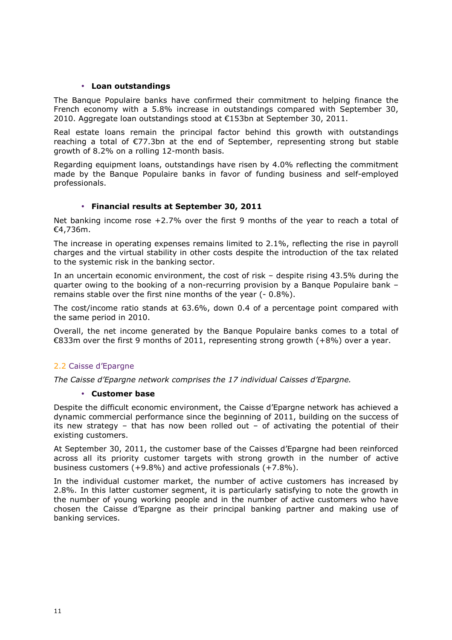#### • **Loan outstandings**

The Banque Populaire banks have confirmed their commitment to helping finance the French economy with a 5.8% increase in outstandings compared with September 30, 2010. Aggregate loan outstandings stood at €153bn at September 30, 2011.

Real estate loans remain the principal factor behind this growth with outstandings reaching a total of €77.3bn at the end of September, representing strong but stable growth of 8.2% on a rolling 12-month basis.

Regarding equipment loans, outstandings have risen by 4.0% reflecting the commitment made by the Banque Populaire banks in favor of funding business and self-employed professionals.

### • **Financial results at September 30, 2011**

Net banking income rose  $+2.7%$  over the first 9 months of the year to reach a total of €4,736m.

The increase in operating expenses remains limited to 2.1%, reflecting the rise in payroll charges and the virtual stability in other costs despite the introduction of the tax related to the systemic risk in the banking sector.

In an uncertain economic environment, the cost of risk – despite rising 43.5% during the quarter owing to the booking of a non-recurring provision by a Banque Populaire bank – remains stable over the first nine months of the year (- 0.8%).

The cost/income ratio stands at 63.6%, down 0.4 of a percentage point compared with the same period in 2010.

Overall, the net income generated by the Banque Populaire banks comes to a total of €833m over the first 9 months of 2011, representing strong growth (+8%) over a year.

### 2.2 Caisse d'Epargne

*The Caisse d'Epargne network comprises the 17 individual Caisses d'Epargne.*

#### • **Customer base**

Despite the difficult economic environment, the Caisse d'Epargne network has achieved a dynamic commercial performance since the beginning of 2011, building on the success of its new strategy – that has now been rolled out – of activating the potential of their existing customers.

At September 30, 2011, the customer base of the Caisses d'Epargne had been reinforced across all its priority customer targets with strong growth in the number of active business customers (+9.8%) and active professionals (+7.8%).

In the individual customer market, the number of active customers has increased by 2.8%. In this latter customer segment, it is particularly satisfying to note the growth in the number of young working people and in the number of active customers who have chosen the Caisse d'Epargne as their principal banking partner and making use of banking services.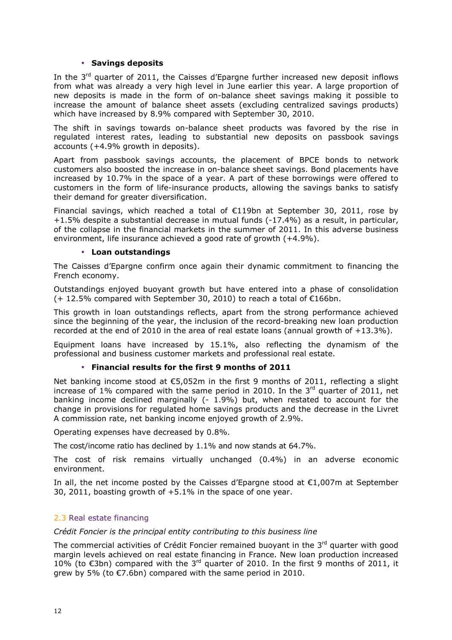#### • **Savings deposits**

In the  $3<sup>rd</sup>$  quarter of 2011, the Caisses d'Epargne further increased new deposit inflows from what was already a very high level in June earlier this year. A large proportion of new deposits is made in the form of on-balance sheet savings making it possible to increase the amount of balance sheet assets (excluding centralized savings products) which have increased by 8.9% compared with September 30, 2010.

The shift in savings towards on-balance sheet products was favored by the rise in regulated interest rates, leading to substantial new deposits on passbook savings accounts (+4.9% growth in deposits).

Apart from passbook savings accounts, the placement of BPCE bonds to network customers also boosted the increase in on-balance sheet savings. Bond placements have increased by 10.7% in the space of a year. A part of these borrowings were offered to customers in the form of life-insurance products, allowing the savings banks to satisfy their demand for greater diversification.

Financial savings, which reached a total of €119bn at September 30, 2011, rose by +1.5% despite a substantial decrease in mutual funds (-17.4%) as a result, in particular, of the collapse in the financial markets in the summer of 2011. In this adverse business environment, life insurance achieved a good rate of growth (+4.9%).

#### • **Loan outstandings**

The Caisses d'Epargne confirm once again their dynamic commitment to financing the French economy.

Outstandings enjoyed buoyant growth but have entered into a phase of consolidation  $(+ 12.5\%$  compared with September 30, 2010) to reach a total of  $\epsilon$ 166bn.

This growth in loan outstandings reflects, apart from the strong performance achieved since the beginning of the year, the inclusion of the record-breaking new loan production recorded at the end of 2010 in the area of real estate loans (annual growth of  $+13.3\%$ ).

Equipment loans have increased by 15.1%, also reflecting the dynamism of the professional and business customer markets and professional real estate.

#### • **Financial results for the first 9 months of 2011**

Net banking income stood at  $\epsilon$ 5,052m in the first 9 months of 2011, reflecting a slight increase of 1% compared with the same period in 2010. In the  $3<sup>rd</sup>$  quarter of 2011, net banking income declined marginally  $(-1.9%)$  but, when restated to account for the change in provisions for regulated home savings products and the decrease in the Livret A commission rate, net banking income enjoyed growth of 2.9%.

Operating expenses have decreased by 0.8%.

The cost/income ratio has declined by 1.1% and now stands at 64.7%.

The cost of risk remains virtually unchanged (0.4%) in an adverse economic environment.

In all, the net income posted by the Caisses d'Epargne stood at €1,007m at September 30, 2011, boasting growth of +5.1% in the space of one year.

#### 2.3 Real estate financing

*Crédit Foncier is the principal entity contributing to this business line* 

The commercial activities of Crédit Foncier remained buovant in the 3<sup>rd</sup> quarter with good margin levels achieved on real estate financing in France. New loan production increased 10% (to €3bn) compared with the 3<sup>rd</sup> quarter of 2010. In the first 9 months of 2011, it grew by 5% (to €7.6bn) compared with the same period in 2010.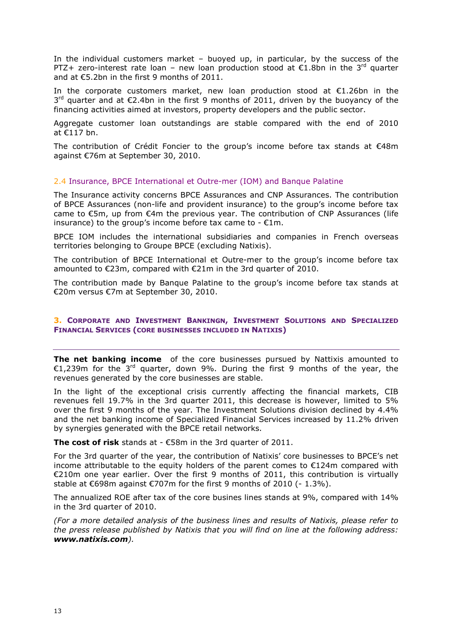In the individual customers market – buoyed up, in particular, by the success of the PTZ+ zero-interest rate loan – new loan production stood at  $\epsilon$ 1.8bn in the 3<sup>rd</sup> quarter and at €5.2bn in the first 9 months of 2011.

In the corporate customers market, new loan production stood at  $\epsilon$ 1.26bn in the  $3^{rd}$  quarter and at  $\epsilon$ 2.4bn in the first 9 months of 2011, driven by the buoyancy of the financing activities aimed at investors, property developers and the public sector.

Aggregate customer loan outstandings are stable compared with the end of 2010 at €117 bn.

The contribution of Crédit Foncier to the group's income before tax stands at €48m against €76m at September 30, 2010.

#### 2.4 Insurance, BPCE International et Outre-mer (IOM) and Banque Palatine

The Insurance activity concerns BPCE Assurances and CNP Assurances. The contribution of BPCE Assurances (non-life and provident insurance) to the group's income before tax came to  $\epsilon$ 5m, up from  $\epsilon$ 4m the previous year. The contribution of CNP Assurances (life insurance) to the group's income before tax came to -  $\epsilon$ 1m.

BPCE IOM includes the international subsidiaries and companies in French overseas territories belonging to Groupe BPCE (excluding Natixis).

The contribution of BPCE International et Outre-mer to the group's income before tax amounted to €23m, compared with €21m in the 3rd quarter of 2010.

The contribution made by Banque Palatine to the group's income before tax stands at €20m versus €7m at September 30, 2010.

#### **3. CORPORATE AND INVESTMENT BANKINGN, INVESTMENT SOLUTIONS AND SPECIALIZED FINANCIAL SERVICES (CORE BUSINESSES INCLUDED IN NATIXIS)**

**The net banking income** of the core businesses pursued by Nattixis amounted to €1,239m for the  $3^{rd}$  quarter, down 9%. During the first 9 months of the year, the revenues generated by the core businesses are stable.

In the light of the exceptional crisis currently affecting the financial markets, CIB revenues fell 19.7% in the 3rd quarter 2011, this decrease is however, limited to 5% over the first 9 months of the year. The Investment Solutions division declined by 4.4% and the net banking income of Specialized Financial Services increased by 11.2% driven by synergies generated with the BPCE retail networks.

**The cost of risk** stands at - €58m in the 3rd quarter of 2011.

For the 3rd quarter of the year, the contribution of Natixis' core businesses to BPCE's net income attributable to the equity holders of the parent comes to  $\epsilon$ 124m compared with €210m one year earlier. Over the first 9 months of 2011, this contribution is virtually stable at  $\epsilon$ 698m against  $\epsilon$ 707m for the first 9 months of 2010 (-1.3%).

The annualized ROE after tax of the core busines lines stands at 9%, compared with 14% in the 3rd quarter of 2010.

*(For a more detailed analysis of the business lines and results of Natixis, please refer to the press release published by Natixis that you will find on line at the following address: www.natixis.com).*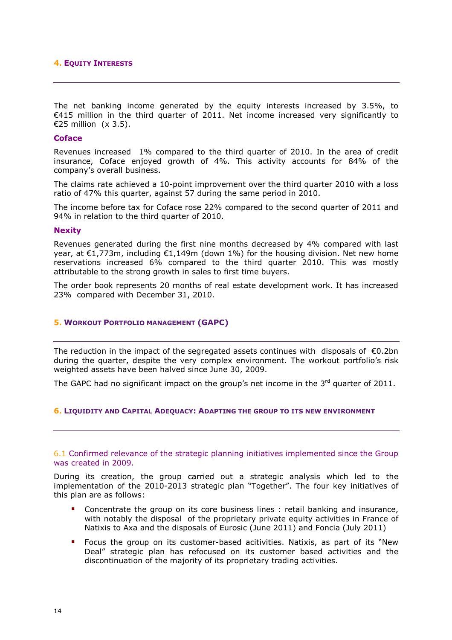#### **4. EQUITY INTERESTS**

The net banking income generated by the equity interests increased by 3.5%, to €415 million in the third quarter of 2011. Net income increased very significantly to €25 million (x 3.5).

#### **Coface**

Revenues increased 1% compared to the third quarter of 2010. In the area of credit insurance, Coface enjoyed growth of 4%. This activity accounts for 84% of the company's overall business.

The claims rate achieved a 10-point improvement over the third quarter 2010 with a loss ratio of 47% this quarter, against 57 during the same period in 2010.

The income before tax for Coface rose 22% compared to the second quarter of 2011 and 94% in relation to the third quarter of 2010.

#### **Nexity**

Revenues generated during the first nine months decreased by 4% compared with last year, at €1,773m, including €1,149m (down 1%) for the housing division. Net new home reservations increased 6% compared to the third quarter 2010. This was mostly attributable to the strong growth in sales to first time buyers.

The order book represents 20 months of real estate development work. It has increased 23% compared with December 31, 2010.

#### **5. WORKOUT PORTFOLIO MANAGEMENT (GAPC)**

The reduction in the impact of the segregated assets continues with disposals of  $\epsilon$ 0.2bn during the quarter, despite the very complex environment. The workout portfolio's risk weighted assets have been halved since June 30, 2009.

The GAPC had no significant impact on the group's net income in the  $3<sup>rd</sup>$  quarter of 2011.

#### **6. LIQUIDITY AND CAPITAL ADEQUACY: ADAPTING THE GROUP TO ITS NEW ENVIRONMENT**

#### 6.1 Confirmed relevance of the strategic planning initiatives implemented since the Group was created in 2009.

During its creation, the group carried out a strategic analysis which led to the implementation of the 2010-2013 strategic plan "Together". The four key initiatives of this plan are as follows:

- - Concentrate the group on its core business lines : retail banking and insurance, with notably the disposal of the proprietary private equity activities in France of Natixis to Axa and the disposals of Eurosic (June 2011) and Foncia (July 2011)
- - Focus the group on its customer-based acitivities. Natixis, as part of its "New Deal" strategic plan has refocused on its customer based activities and the discontinuation of the majority of its proprietary trading activities.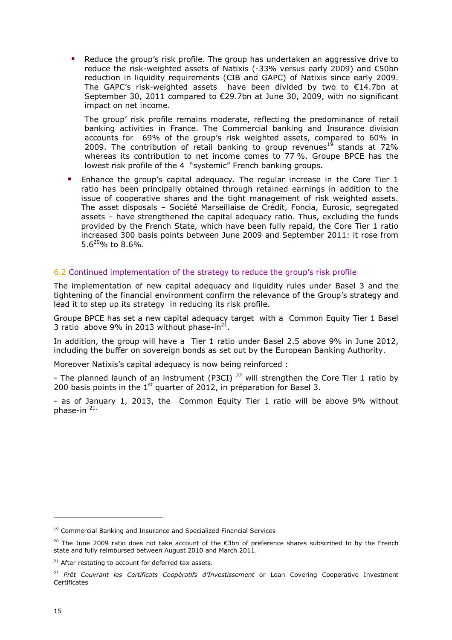- Reduce the group's risk profile. The group has undertaken an aggressive drive to reduce the risk-weighted assets of Natixis (-33% versus early 2009) and €50bn reduction in liquidity requirements (CIB and GAPC) of Natixis since early 2009. The GAPC's risk-weighted assets have been divided by two to €14.7bn at September 30, 2011 compared to €29.7bn at June 30, 2009, with no significant impact on net income.

The group' risk profile remains moderate, reflecting the predominance of retail banking activities in France. The Commercial banking and Insurance division accounts for 69% of the group's risk weighted assets, compared to 60% in 2009. The contribution of retail banking to group revenues<sup>19</sup> stands at 72% whereas its contribution to net income comes to 77 %. Groupe BPCE has the lowest risk profile of the 4 "systemic" French banking groups.

**Enhance the group's capital adequacy. The regular increase in the Core Tier 1** ratio has been principally obtained through retained earnings in addition to the issue of cooperative shares and the tight management of risk weighted assets. The asset disposals – Société Marseillaise de Crédit, Foncia, Eurosic, segregated assets – have strengthened the capital adequacy ratio. Thus, excluding the funds provided by the French State, which have been fully repaid, the Core Tier 1 ratio increased 300 basis points between June 2009 and September 2011: it rose from  $5.6^{20}\%$  to 8.6%.

### 6.2 Continued implementation of the strategy to reduce the group's risk profile

The implementation of new capital adequacy and liquidity rules under Basel 3 and the tightening of the financial environment confirm the relevance of the Group's strategy and lead it to step up its strategy in reducing its risk profile.

Groupe BPCE has set a new capital adequacy target with a Common Equity Tier 1 Basel 3 ratio above 9% in 2013 without phase-in $^{21}$ .

In addition, the group will have a Tier 1 ratio under Basel 2.5 above 9% in June 2012, including the buffer on sovereign bonds as set out by the European Banking Authority.

Moreover Natixis's capital adequacy is now being reinforced :

- The planned launch of an instrument (P3CI)<sup>22</sup> will strengthen the Core Tier 1 ratio by 200 basis points in the  $1<sup>st</sup>$  quarter of 2012, in préparation for Basel 3.

- as of January 1, 2013, the Common Equity Tier 1 ratio will be above 9% without phase-in  $21$ .

j

<sup>&</sup>lt;sup>19</sup> Commercial Banking and Insurance and Specialized Financial Services

<sup>&</sup>lt;sup>20</sup> The June 2009 ratio does not take account of the €3bn of preference shares subscribed to by the French state and fully reimbursed between August 2010 and March 2011.

 $21$  After restating to account for deferred tax assets.

<sup>22</sup> *Prêt Couvrant les Certificats Coopératifs d'Investissement* or Loan Covering Cooperative Investment Certificates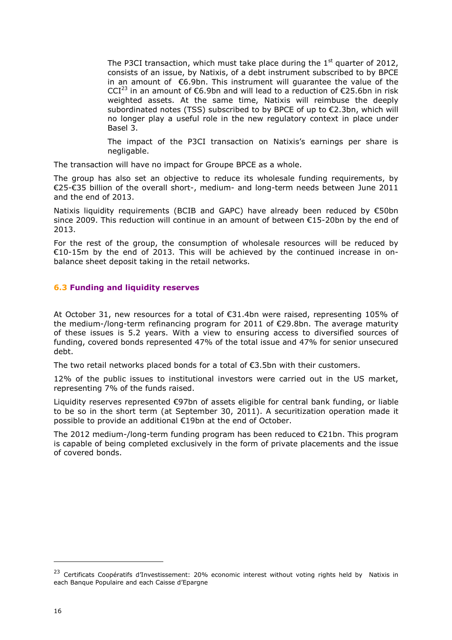The P3CI transaction, which must take place during the  $1<sup>st</sup>$  quarter of 2012, consists of an issue, by Natixis, of a debt instrument subscribed to by BPCE in an amount of €6.9bn. This instrument will guarantee the value of the CCI<sup>23</sup> in an amount of €6.9bn and will lead to a reduction of €25.6bn in risk weighted assets. At the same time, Natixis will reimbuse the deeply subordinated notes (TSS) subscribed to by BPCE of up to €2.3bn, which will no longer play a useful role in the new regulatory context in place under Basel 3.

The impact of the P3CI transaction on Natixis's earnings per share is negligable.

The transaction will have no impact for Groupe BPCE as a whole.

The group has also set an objective to reduce its wholesale funding requirements, by €25-€35 billion of the overall short-, medium- and long-term needs between June 2011 and the end of 2013.

Natixis liquidity requirements (BCIB and GAPC) have already been reduced by €50bn since 2009. This reduction will continue in an amount of between €15-20bn by the end of 2013.

For the rest of the group, the consumption of wholesale resources will be reduced by €10-15m by the end of 2013. This will be achieved by the continued increase in onbalance sheet deposit taking in the retail networks.

### **6.3 Funding and liquidity reserves**

At October 31, new resources for a total of €31.4bn were raised, representing 105% of the medium-/long-term refinancing program for 2011 of €29.8bn. The average maturity of these issues is 5.2 years. With a view to ensuring access to diversified sources of funding, covered bonds represented 47% of the total issue and 47% for senior unsecured debt.

The two retail networks placed bonds for a total of €3.5bn with their customers.

12% of the public issues to institutional investors were carried out in the US market, representing 7% of the funds raised.

Liquidity reserves represented €97bn of assets eligible for central bank funding, or liable to be so in the short term (at September 30, 2011). A securitization operation made it possible to provide an additional €19bn at the end of October.

The 2012 medium-/long-term funding program has been reduced to €21bn. This program is capable of being completed exclusively in the form of private placements and the issue of covered bonds.

ł

<sup>&</sup>lt;sup>23</sup> Certificats Coopératifs d'Investissement: 20% economic interest without voting rights held by Natixis in each Banque Populaire and each Caisse d'Epargne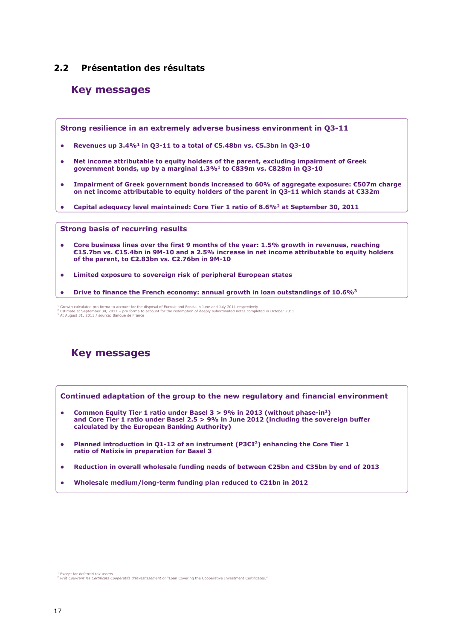### **2.2 Présentation des résultats**

### **Key messages**

**Strong resilience in an extremely adverse business environment in Q3-11**

- **Revenues up 3.4%<sup>1</sup> in Q3-11 to a total of €5.48bn vs. €5.3bn in Q3-10**
- **Net income attributable to equity holders of the parent, excluding impairment of Greek government bonds, up by a marginal 1.3%<sup>1</sup> to €839m vs. €828m in Q3-10**
- **Impairment of Greek government bonds increased to 60% of aggregate exposure: €507m charge on net income attributable to equity holders of the parent in Q3-11 which stands at €332m**
- **Capital adequacy level maintained: Core Tier 1 ratio of 8.6%<sup>2</sup> at September 30, 2011**

**Strong basis of recurring results**

- **Core business lines over the first 9 months of the year: 1.5% growth in revenues, reaching €15.7bn vs. €15.4bn in 9M-10 and a 2.5% increase in net income attributable to equity holders of the parent, to €2.83bn vs. €2.76bn in 9M-10**
- **Limited exposure to sovereign risk of peripheral European states**
- **Drive to finance the French economy: annual growth in loan outstandings of 10.6%<sup>3</sup>**

## **Key messages**



- **Common Equity Tier 1 ratio under Basel 3 > 9% in 2013 (without phase-in<sup>1</sup>) and Core Tier 1 ratio under Basel 2.5 > 9% in June 2012 (including the sovereign buffer calculated by the European Banking Authority)**
- **Planned introduction in Q1-12 of an instrument (P3CI<sup>2</sup>) enhancing the Core Tier 1 ratio of Natixis in preparation for Basel 3**
- **Reduction in overall wholesale funding needs of between €25bn and €35bn by end of 2013**
- **Wholesale medium/long-term funding plan reduced to €21bn in 2012**

<sup>1</sup> Growth calculated pro forma to account for the disposal of Eurosic and Foncia in June and July 2011 respectively<br>2 Estimate at September 30, 2011 – pro forma to account for the redemption of deeply subordinated notes com

<sup>&</sup>lt;sup>1</sup> Except for deferred tax assets<br><sup>2</sup> Prêt Cou*vrant les Certificats Coopératifs d'Investissement* or "Loan Covering the Cooperative Investment Certificates."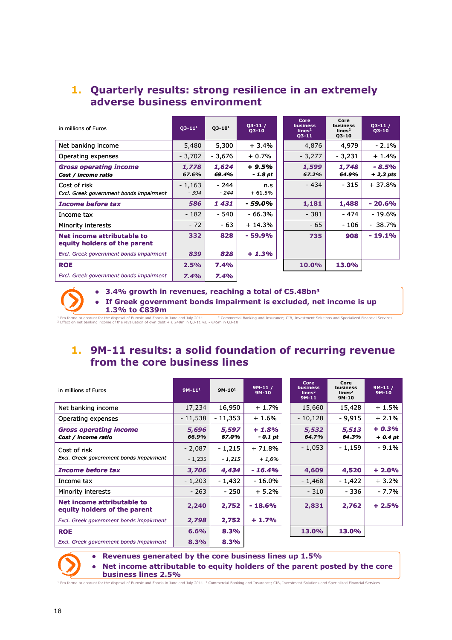## **1. Quarterly results: strong resilience in an extremely adverse business environment**

| in millions of Euros                                       | $Q3 - 111$         | $Q3 - 10^1$    | $Q3-11/$<br>$Q3-10$ | Core<br><b>business</b><br>lines <sup>2</sup><br>$Q3 - 11$ | Core<br>business<br>lines <sup>2</sup><br>$Q3 - 10$ | $Q3 - 11$<br>$Q3-10$  |
|------------------------------------------------------------|--------------------|----------------|---------------------|------------------------------------------------------------|-----------------------------------------------------|-----------------------|
| Net banking income                                         | 5,480              | 5,300          | $+3.4%$             | 4,876                                                      | 4,979                                               | $-2.1%$               |
| Operating expenses                                         | $-3,702$           | - 3,676        | $+0.7%$             | $-3,277$                                                   | $-3,231$                                            | $+1.4%$               |
| <b>Gross operating income</b><br>Cost / income ratio       | 1,778<br>67.6%     | 1,624<br>69.4% | $+9.5%$<br>- 1.8 pt | 1,599<br>67.2%                                             | 1,748<br>64.9%                                      | $-8.5%$<br>$+2,3$ pts |
| Cost of risk<br>Excl. Greek government bonds impairment    | $-1,163$<br>$-394$ | - 244<br>- 244 | n.s<br>$+61.5%$     | - 434                                                      | $-315$                                              | + 37.8%               |
| <b>Income before tax</b>                                   | 586                | 1431           | - 59.0%             | 1,181                                                      | 1,488                                               | $-20.6%$              |
| Income tax                                                 | $-182$             | - 540          | - 66.3%             | $-381$                                                     | $-474$                                              | - 19.6%               |
| Minority interests                                         | $-72$              | - 63           | + 14.3%             | $-65$                                                      | - 106                                               | - 38.7%               |
| Net income attributable to<br>equity holders of the parent | 332                | 828            | $-59.9%$            | 735                                                        | 908                                                 | $-19.1%$              |
| Excl. Greek government bonds impairment                    | 839                | 828            | $+1.3%$             |                                                            |                                                     |                       |
| <b>ROE</b>                                                 | 2.5%               | 7.4%           |                     | 10.0%                                                      | 13.0%                                               |                       |
| Excl. Greek government bonds impairment                    | 7.4%               | 7.4%           |                     |                                                            |                                                     |                       |

**3.4% growth in revenues, reaching a total of €5.48bn<sup>3</sup>**

 **If Greek government bonds impairment is excluded, net income is up 1.3% to €839m**

+ Pro forma to account for the disposal of Eurosic and Come and July 2011 — ^ Commercial Banking and Insurance; CIB, Investment Solutions and Specialized Financial Services<br><sup>3</sup> Effect on net banking income of the revaluat

## **1. 9M-11 results: a solid foundation of recurring revenue from the core business lines**

| in millions of Euros                                       | $9M-111$             | $9M-101$            | $9M-11/$<br>$9M-10$ | Core<br><b>business</b><br>lines <sup>2</sup><br>$9M-11$ | Core<br>business<br>lines <sup>2</sup><br>9M-10 | $9M-11/$<br>$9M-10$ |
|------------------------------------------------------------|----------------------|---------------------|---------------------|----------------------------------------------------------|-------------------------------------------------|---------------------|
| Net banking income                                         | 17,234               | 16,950              | $+1.7%$             | 15,660                                                   | 15,428                                          | $+1.5%$             |
| Operating expenses                                         | $-11,538$            | $-11,353$           | $+1.6%$             | - 10,128                                                 | $-9.915$                                        | $+2.1%$             |
| <b>Gross operating income</b><br>Cost / income ratio       | 5,696<br>66.9%       | 5,597<br>67.0%      | $+1.8%$<br>- 0.1 pt | 5,532<br>64.7%                                           | 5,513<br>64.3%                                  | $+0.3%$<br>$+0.4pt$ |
| Cost of risk<br>Excl. Greek government bonds impairment    | $-2,087$<br>$-1,235$ | $-1,215$<br>- 1,215 | $+71.8%$<br>$+1,6%$ | $-1,053$                                                 | - 1,159                                         | $-9.1%$             |
| <b>Income before tax</b>                                   | 3,706                | 4,434               | $-16.4%$            | 4,609                                                    | 4,520                                           | $+2.0%$             |
| Income tax                                                 | $-1,203$             | $-1,432$            | $-16.0%$            | $-1,468$                                                 | - 1,422                                         | $+3.2%$             |
| Minority interests                                         | - 263                | $-250$              | $+5.2%$             | $-310$                                                   | - 336                                           | $-7.7%$             |
| Net income attributable to<br>equity holders of the parent | 2,240                | 2,752               | $-18.6%$            | 2,831                                                    | 2,762                                           | $+2.5%$             |
| Excl. Greek government bonds impairment                    | 2,798                | 2,752               | $+1.7%$             |                                                          |                                                 |                     |
| <b>ROE</b>                                                 | 6.6%                 | 8.3%                |                     | 13.0%                                                    | 13.0%                                           |                     |
| Excl. Greek government bonds impairment                    | 8.3%                 | 8.3%                |                     |                                                          |                                                 |                     |



 **Revenues generated by the core business lines up 1.5% Net income attributable to equity holders of the parent posted by the core business lines 2.5%**

forma to account for the disposal of Eurosic and Foncia in June and July 2011 <sup>2</sup> Commercial Banking and Insurance; CIB, Investment Solutions and Specialized Financial Services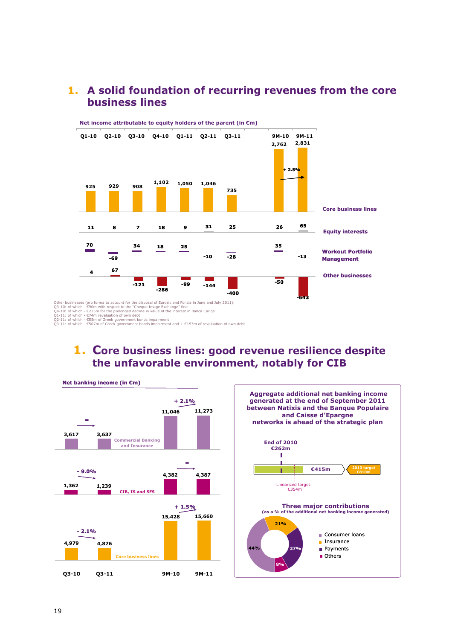## **1. A solid foundation of recurring revenues from the core business lines**



## **1. Core business lines: good revenue resilience despite the unfavorable environment, notably for CIB**

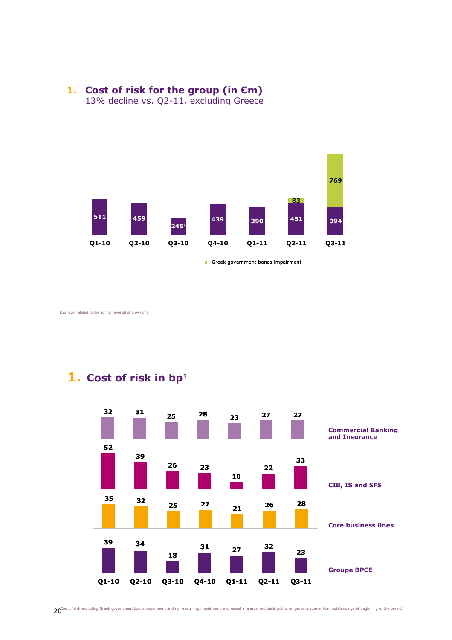



Greek government bonds impairment

Low level related to the ad hoc reversal of provisions

**1. Cost of risk in bp<sup>1</sup>**



 $20^{\circ}$ ost of risk excluding Greek government bonds impairment and non-recurring impairment, expressed in annualized basis points on gross customer loan outstandings at beginning of the period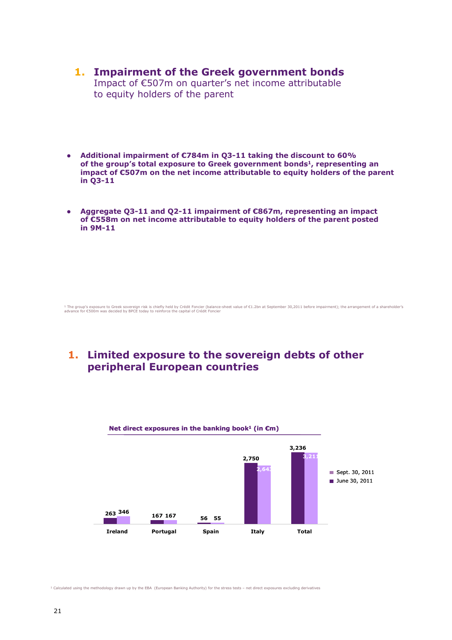- **1. Impairment of the Greek government bonds** Impact of €507m on quarter's net income attributable to equity holders of the parent
- **Additional impairment of €784m in Q3-11 taking the discount to 60% of the group's total exposure to Greek government bonds1, representing an impact of €507m on the net income attributable to equity holders of the parent in Q3-11**
- **Aggregate Q3-11 and Q2-11 impairment of €867m, representing an impact of €558m on net income attributable to equity holders of the parent posted in 9M-11**

‡ The group's exposure to Greek sovereign risk is chiefly held by Crédit Foncier (balance-sheet value of €1.2bn at September 30,2011 before impairment); the arrangement of a shareholder's<br>advance for €500m was decided by

## **1. Limited exposure to the sovereign debts of other peripheral European countries**



<sup>1</sup> Calculated using the methodology drawn up by the EBA (European Banking Authority) for the stress tests – net direct exposures excluding derivatives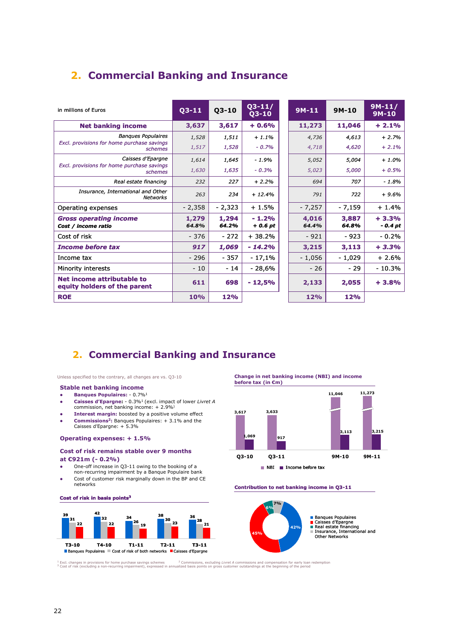## **2. Commercial Banking and Insurance**

|                                                                   |                |                | $Q3 - 11/$          |                |                | $9M-11/$            |
|-------------------------------------------------------------------|----------------|----------------|---------------------|----------------|----------------|---------------------|
| in millions of Euros                                              | $Q3 - 11$      | $Q3-10$        | $Q3-10$             | $9M-11$        | $9M-10$        | $9M-10$             |
| <b>Net banking income</b>                                         | 3,637          | 3,617          | $+0.6%$             | 11,273         | 11,046         | $+2.1%$             |
| <b>Banques Populaires</b>                                         | 1,528          | 1,511          | $+1.1%$             | 4,736          | 4,613          | $+2.7%$             |
| Excl. provisions for home purchase savings<br>schemes             | 1,517          | 1,528          | $-0.7%$             | 4,718          | 4,620          | $+2.1%$             |
| Caisses d'Epargne                                                 | 1,614          | 1,645          | $-1.9%$             | 5,052          | 5,004          | $+1.0%$             |
| Excl. provisions for home purchase savings<br>schemes             | 1,630          | 1,635          | $-0.3%$             | 5,023          | 5,000          | $+0.5%$             |
| Real estate financing                                             | 232            | 227            | $+2.2%$             | 694            | 707            | $-1.8%$             |
| Insurance, International and Other<br><b>Networks</b>             | 263            | 234            | $+12.4%$            | 791            | 722            | $+9.6%$             |
| Operating expenses                                                | $-2,358$       | $-2,323$       | $+1.5%$             | $-7,257$       | - 7,159        | $+1.4%$             |
| <b>Gross operating income</b><br>Cost / income ratio              | 1,279<br>64.8% | 1,294<br>64.2% | $-1.2%$<br>$+0.6pt$ | 4,016<br>64.4% | 3,887<br>64.8% | $+3.3%$<br>$-0.4pt$ |
| Cost of risk                                                      | $-376$         | $-272$         | $+38.2%$            | $-921$         | $-923$         | $-0.2%$             |
| <b>Income before tax</b>                                          | 917            | 1,069          | $-14.2%$            | 3,215          | 3,113          | $+3.3%$             |
| Income tax                                                        | $-296$         | - 357          | $-17,1%$            | $-1,056$       | - 1,029        | $+2.6%$             |
| Minority interests                                                | $-10$          | $-14$          | $-28,6%$            | $-26$          | $-29$          | $-10.3%$            |
| <b>Net income attributable to</b><br>equity holders of the parent | 611            | 698            | $-12,5%$            | 2,133          | 2,055          | $+3.8%$             |
| <b>ROE</b>                                                        | 10%            | 12%            |                     | 12%            | 12%            |                     |

## **2. Commercial Banking and Insurance**

Unless specified to the contrary, all changes are vs. Q3-10

#### **Stable net banking income**

- **Banques Populaires:** 0.7%<sup>1</sup>
- **Caisses d'Epargne:** 0.3%<sup>1</sup>(excl. impact of lower *Livret A* commission, net banking income: + 2.9%)
- **Interest margin:** boosted by a positive volume effect
- **Commissions<sup>2</sup>:** Banques Populaires: + 3.1% and the Caisses d'Epargne: + 5.3%

#### **Operating expenses: + 1.5%**

#### **Cost of risk remains stable over 9 months**

#### **at €921m (- 0.2%)**

**Cost of risk in basis points<sup>3</sup>**

- One-off increase in Q3-11 owing to the booking of a non-recurring impairment by a Banque Populaire bank
- Cost of customer risk marginally down in the BP and CE
- networks



**Change in net banking income (NBI) and income before tax (in €m)**



#### **Contribution to net banking income in Q3-11**



! Excl. changes in provisions for home purchase savings schemes = 2 Commissions, excluding Livret A commissions and compensation for early loan redemption<br><sup>3</sup> Cost of risk (excluding a non-recurring impairment), expressed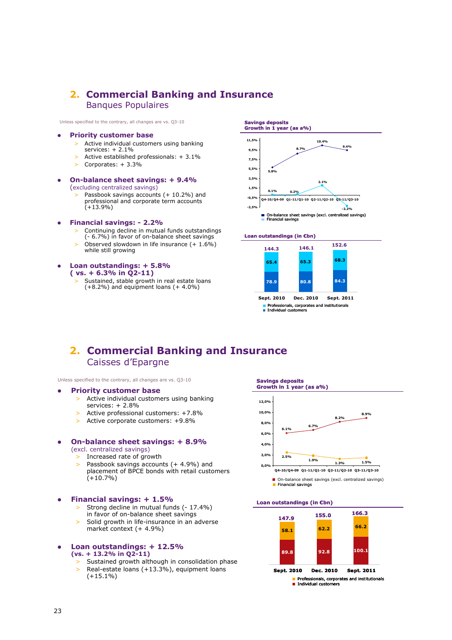### **2. Commercial Banking and Insurance** Banques Populaires

Unless specified to the contrary, all changes are vs. Q3-10

#### **Priority customer base**

- > Active individual customers using banking services: + 2.1%
- > Active established professionals: + 3.1% > Corporates: + 3.3%
- **On-balance sheet savings: + 9.4%** (excluding centralized savings)
	- Passbook savings accounts (+ 10.2%) and professional and corporate term accounts (+13.9%)
- **Financial savings: 2.2%**
	- > Continuing decline in mutual funds outstandings
	- (- 6.7%) in favor of on-balance sheet savings > Observed slowdown in life insurance (+ 1.6%) while still growing
- **Loan outstandings: + 5.8% ( vs. + 6.3% in Q2-11)**
	- Sustained, stable growth in real estate loans (+8.2%) and equipment loans (+ 4.0%)



#### **Loan outstandings (in €bn)**



**Sept. 2010 Dec. 2010 Sept. 2011** Professionals, corporates and institutionals Individual customers

### **2. Commercial Banking and Insurance** Caisses d'Epargne

Unless specified to the contrary, all changes are vs. Q3-10

#### **Priority customer base**

- Active individual customers using banking services: + 2.8%
- > Active professional customers: +7.8%
- > Active corporate customers: +9.8%

#### **On-balance sheet savings: + 8.9%** (excl. centralized savings)

- Increased rate of growth
- > Passbook savings accounts (+ 4.9%) and placement of BPCE bonds with retail customers  $(+10.7\%)$

#### **Financial savings: + 1.5%**

- Strong decline in mutual funds (- 17.4%) in favor of on-balance sheet savings
- > Solid growth in life-insurance in an adverse market context (+ 4.9%)

#### **Loan outstandings: + 12.5% (vs. + 13.2% in Q2-11)**

- > Sustained growth although in consolidation phase
- > Real-estate loans (+13.3%), equipment loans  $(+15.1\%)$

## **Savings deposits Growth in 1 year (as a%)**



Financial savings

#### **Loan outstandings (in €bn)**



**Professionals, corporates and institutionals** ■ Individual customers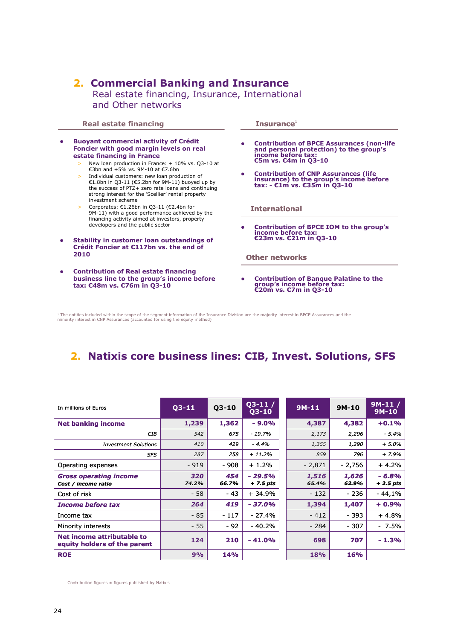## **2. Commercial Banking and Insurance**

Real estate financing, Insurance, International and Other networks

**Real estate financing <b>Insurance**<sup>1</sup> **Contribution of BPCE Assurances (non-life €5m vs. €4m in Q3-10 Buoyant commercial activity of Crédit Foncier with good margin levels on real estate financing in France**  > New loan production in France: + 10% vs. Q3-10 at €3bn and +5% vs. 9M-10 at €7.6bn > Individual customers: new loan production of €1.8bn in Q3-11 (€5.2bn for 9M-11) buoyed up by the success of PTZ+ zero rate loans and continuing strong interest for the 'Scellier' rental property investment scheme > Corporates: €1.26bn in Q3-11 (€2.4bn for 9M-11) with a good performance achieved by the financing activity aimed at investors, property developers and the public sector **Stability in customer loan outstandings of Crédit Foncier at €117bn vs. the end of 2010 Contribution of BPCE IOM to the group's income before tax: €23m vs. €21m in Q3-10 International**

 **Contribution of Real estate financing business line to the group's income before tax: €48m vs. €76m in Q3-10**

**and personal protection) to the group's income before tax:** 

- **Contribution of CNP Assurances (life insurance) to the group's income before tax: €1m vs. €35m in Q3-10**
- 

**Other networks**

 **Contribution of Banque Palatine to the group's income before tax: €20m vs. €7m in Q3-10**

<sup>1</sup> The entities included within the scope of the segment information of the Insurance Division are the majority interest in BPCE Assurances and the minority interest in CNP Assurances (accounted for using the equity method)

## **2. Natixis core business lines: CIB, Invest. Solutions, SFS**

| In millions of Euros                                       | $03-11$      | $Q3 - 10$    | $Q3-11/$<br>$03-10$    | $9M-11$        | $9M-10$        | $9M-11/$<br>$9M-10$   |
|------------------------------------------------------------|--------------|--------------|------------------------|----------------|----------------|-----------------------|
| <b>Net banking income</b>                                  | 1,239        | 1,362        | $-9.0%$                | 4,387          | 4,382          | $+0.1%$               |
| <b>CIB</b>                                                 | 542          | 675          | $-19.7%$               | 2,173          | 2,296          | $-5.4%$               |
| <b>Investment Solutions</b>                                | 410          | 429          | $-4.4%$                | 1,355          | 1,290          | $+ 5.0%$              |
| <b>SFS</b>                                                 | 287          | 258          | $+11.2%$               | 859            | 796            | $+7.9%$               |
| Operating expenses                                         | $-919$       | $-908$       | + 1.2%                 | $-2,871$       | - 2,756        | + 4.2%                |
| <b>Gross operating income</b><br>Cost / income ratio       | 320<br>74.2% | 454<br>66.7% | $-29.5%$<br>$+7.5$ pts | 1,516<br>65.4% | 1,626<br>62.9% | $-6.8%$<br>$+2.5$ pts |
| Cost of risk                                               | $-58$        | $-43$        | + 34.9%                | $-132$         | $-236$         | $-44,1%$              |
| <b>Income before tax</b>                                   | 264          | 419          | $-37.0%$               | 1,394          | 1,407          | $+0.9%$               |
| Income tax                                                 | $-85$        | $-117$       | $-27.4%$               | $-412$         | $-393$         | + 4.8%                |
| Minority interests                                         | $-55$        | $-92$        | $-40.2%$               | - 284          | $-307$         | - 7.5%                |
| Net income attributable to<br>equity holders of the parent | 124          | 210          | $-41.0%$               | 698            | 707            | $-1.3%$               |
| <b>ROE</b>                                                 | 9%           | <b>14%</b>   |                        | 18%            | 16%            |                       |

Contribution figures  $\neq$  figures published by Natixis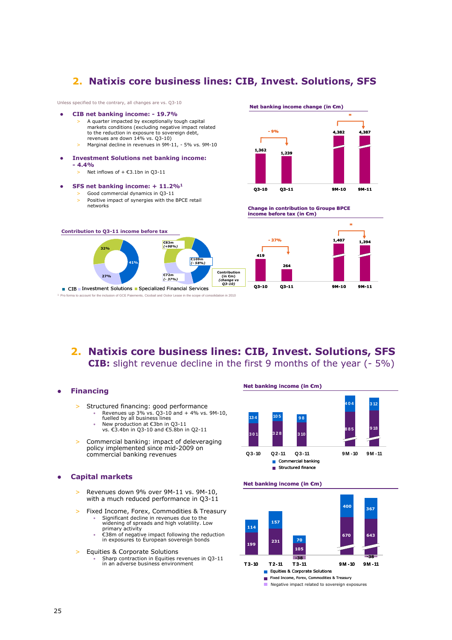### **2. Natixis core business lines: CIB, Invest. Solutions, SFS**

Unless specified to the contrary, all changes are vs. Q3-10

- **CIB net banking income: 19.7%** A quarter impacted by exceptionally tough capital markets conditions (excluding negative impact related to the reduction in exposure to sovereign debt, revenues are down 14% vs. Q3-10) Marginal decline in revenues in 9M-11, - 5% vs. 9M-10
- **Investment Solutions net banking income: - 4.4%**
	- $\geq$  Net inflows of + €3.1bn in Q3-11

#### **SFS net banking income: + 11.2%<sup>1</sup>**

Good commercial dynamics in Q3-11 Positive impact of synergies with the BPCE retail networks





**Change in contribution to Groupe BPCE income before tax (in €m) Contribution to Q3-11 income before tax 27% 32% 41%** <sup>1</sup>Pro forma to account for the inclusion of GCE Paiements, Cicobail and Océor Lease in the scope of consolidation in 2010 **419 264 1,394 1,407 Q3-10 Q3-11 9M-10 9M-11 - 37% = n** CIB Investment Solutions Specialized Financial Services **€83m** *(+98%)* **€109m** *(- 58%)* **€72m**  *(- 37%)* **Contribution (in €m)** *(change vs Q3-10)*

- **2. Natixis core business lines: CIB, Invest. Solutions, SFS CIB:** slight revenue decline in the first 9 months of the year (- 5%)
- **Financing**
	- > Structured financing: good performance
		- Revenues up 3% vs. Q3-10 and + 4% vs. 9M-10, fuelled by all business lines
		- New production at €3bn in Q3-11 vs. €3.4bn in Q3-10 and €5.8bn in Q2-11
		-
	- Commercial banking: impact of deleveraging policy implemented since mid-2009 on commercial banking revenues

#### **Capital markets**

- > Revenues down 9% over 9M-11 vs. 9M-10, with a much reduced performance in Q3-11
- Fixed Income, Forex, Commodities & Treasury
	- Significant decline in revenues due to the widening of spreads and high volatility. Low primary activity
	- €38m of negative impact following the reduction in exposures to European sovereign bonds
- > Equities & Corporate Solutions
	- Sharp contraction in Equities revenues in Q3-11 in an adverse business environment

#### **Net banking income (in €m)**



#### **Net banking income (in €m)**

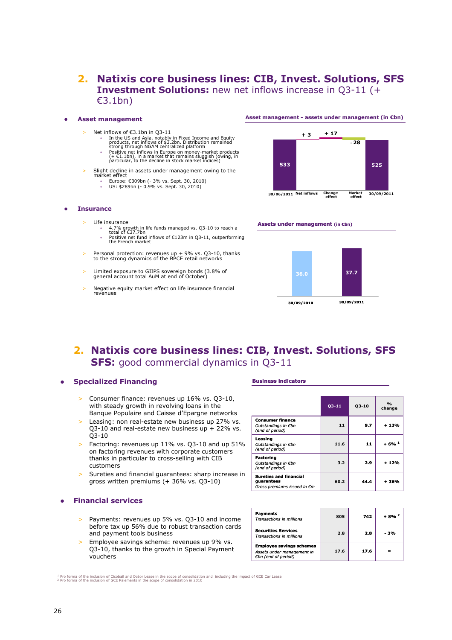### **2. Natixis core business lines: CIB, Invest. Solutions, SFS Investment Solutions:** new net inflows increase in Q3-11 (+ €3.1bn)

#### **Asset management**

- Net inflows of €3.1bn in Q3-11
	- In the US and Asia, notably in Fixed Income and Equity products, net inflows of \$3.2bn. Distribution remained strong through NGAM centralized platform
		- Positive net inflows in Europe on money-market products (+ €1.1bn), in a market that remains sluggish (owing, in particular, to the decline in stock market indices)
- Slight decline in assets under management owing to the market effect
	- Europe: €309bn (- 3% vs. Sept. 30, 2010) US: \$289bn (- 0.9% vs. Sept. 30, 2010)

### **Asset management - assets under management (in €bn)**



**effect**

**Assets under management (in €bn)**

- **Insurance**
	- Life insurance
		- 4.7% growth in life funds managed vs. Q3-10 to reach a total of €37.7bn • Positive net fund inflows of €123m in Q3-11, outperforming the French market
	- > Personal protection: revenues up + 9% vs. Q3-10, thanks to the strong dynamics of the BPCE retail networks
	- > Limited exposure to GIIPS sovereign bonds (3.8% of general account total AuM at end of October)
	- > Negative equity market effect on life insurance financial revenues



## **2. Natixis core business lines: CIB, Invest. Solutions, SFS SFS:** good commercial dynamics in Q3-11

#### **Specialized Financing**

- Consumer finance: revenues up 16% vs. Q3-10, with steady growth in revolving loans in the Banque Populaire and Caisse d'Epargne networks
- > Leasing: non real-estate new business up 27% vs. Q3-10 and real-estate new business up  $+$  22% vs. Q3-10
- > Factoring: revenues up 11% vs. Q3-10 and up 51% on factoring revenues with corporate customers thanks in particular to cross-selling with CIB customers
- > Sureties and financial guarantees: sharp increase in gross written premiums (+ 36% vs. Q3-10)

#### **Financial services**

- > Payments: revenues up 5% vs. Q3-10 and income before tax up 56% due to robust transaction cards and payment tools business
- > Employee savings scheme: revenues up 9% vs. Q3-10, thanks to the growth in Special Payment vouchers

#### **Business indicators**

|                                                                            | 03-11 | 03-10 | O <sub>0</sub><br>change |
|----------------------------------------------------------------------------|-------|-------|--------------------------|
| <b>Consumer finance</b><br>Outstandings in €bn<br>(end of period)          | 11    | 9.7   | + 13%                    |
| Leasing<br>Outstandings in €bn<br>(end of period)                          | 11.6  | 11    | $+6%$ <sup>1</sup>       |
| <b>Factoring</b><br>Outstandings in €bn<br>(end of period)                 | 3.2   | 2.9   | + 12%                    |
| <b>Sureties and financial</b><br>guarantees<br>Gross premiums issued in €m | 60.2  | 44.4  | + 36%                    |

| <b>Payments</b><br><b>Transactions in millions</b>                                   | 805  | 742  | $+8%^2$ |
|--------------------------------------------------------------------------------------|------|------|---------|
| <b>Securities Services</b><br><b>Transactions in millions</b>                        | 2.8  | 2.8  | - 3%    |
| <b>Employee savings schemes</b><br>Assets under management in<br>€bn (end of period) | 17.6 | 17.6 |         |

<sup>1</sup> Pro forma of the inclusion of Cicobail and Océor Lease in the scope of consolidation and including the impact of GCE Car Lease<br><sup>2</sup> Pro forma of the inclusion of GCE Paiements in the scope of consolidation in 2010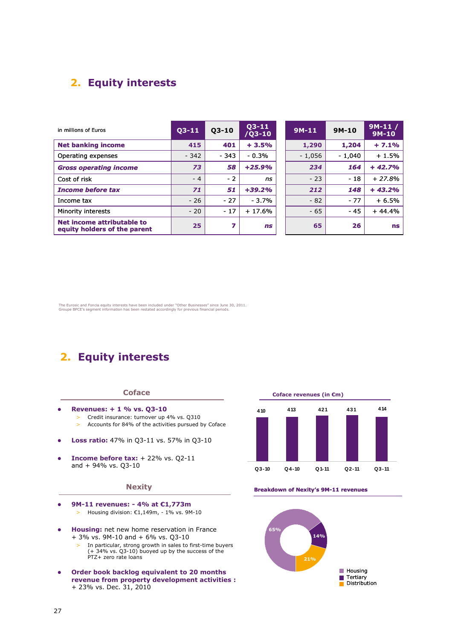## **2. Equity interests**

| in millions of Euros                                       | $03 - 11$ | $Q3 - 10$ | $03-11$<br>$7Q3 - 10$ | $9M-11$  | $9M-10$  | $9M-11/$<br>$9M-10$ |
|------------------------------------------------------------|-----------|-----------|-----------------------|----------|----------|---------------------|
| <b>Net banking income</b>                                  | 415       | 401       | $+3.5%$               | 1,290    | 1,204    | $+7.1%$             |
| Operating expenses                                         | $-342$    | $-343$    | $-0.3%$               | $-1,056$ | $-1,040$ | $+1.5%$             |
| <b>Gross operating income</b>                              | 73        | 58        | $+25.9%$              | 234      | 164      | $+42.7%$            |
| Cost of risk                                               | $-4$      | $-2$      | ns                    | $-23$    | $-18$    | $+27.8%$            |
| <b>Income before tax</b>                                   | 71        | 51        | $+39.2%$              | 212      | 148      | $+43.2%$            |
| Income tax                                                 | $-26$     | $-27$     | $-3.7%$               | $-82$    | $-77$    | $+6.5%$             |
| Minority interests                                         | $-20$     | $-17$     | $+17.6%$              | $-65$    | - 45     | $+44.4%$            |
| Net income attributable to<br>equity holders of the parent | 25        | 7         | <b>ns</b>             | 65       | 26       | ns                  |

The Eurosic and Foncia equity interests have been included under "Other Businesses" since June 30, 2011. Groupe BPCE's segment information has been restated accordingly for previous financial periods.

## **2. Equity interests**

#### **Coface**

- **Revenues: + 1 % vs. Q3-10**
	- > Credit insurance: turnover up 4% vs. Q310 > Accounts for 84% of the activities pursued by Coface
- **Loss ratio:** 47% in Q3-11 vs. 57% in Q3-10
- **Income before tax:** + 22% vs. Q2-11 and + 94% vs. Q3-10

#### **Nexity**

- **9M-11 revenues: 4% at €1,773m** > Housing division:  $£1,149m, -1\%$  vs. 9M-10
- **Housing:** net new home reservation in France + 3% vs. 9M-10 and + 6% vs. Q3-10
	- > In particular, strong growth in sales to first-time buyers (+ 34% vs. Q3-10) buoyed up by the success of the PTZ+ zero rate loans
- **Order book backlog equivalent to 20 months revenue from property development activities :** + 23% vs. Dec. 31, 2010



**Breakdown of Nexity's 9M-11 revenues**

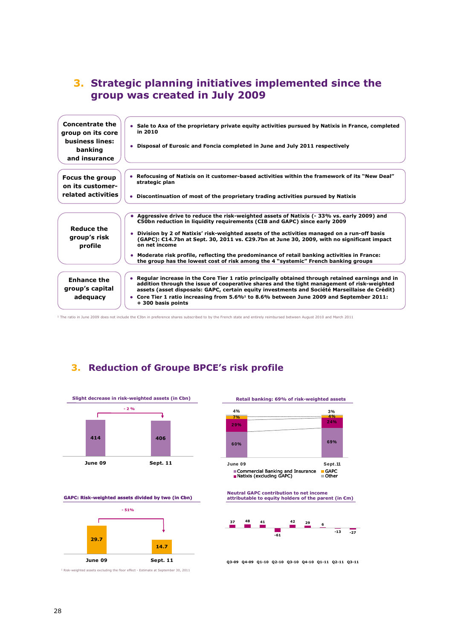## **3. Strategic planning initiatives implemented since the group was created in July 2009**



<sup>1</sup> The ratio in June 2009 does not include the €3bn in preference shares subscribed to by the French state and entirely reimbursed between August 2010 and March 2011

## **3. Reduction of Groupe BPCE's risk profile**



Commercial Banking and Insurance Natixis (excluding GAPC) GAPC Other **Neutral GAPC contribution to net income attributable to equity holders of the parent (in €m) 60% 69% 29% 24% 7% 4% June 09 Sept.11**

**Retail banking: 69% of risk-weighted assets**

**4% 3%**



**Q3-09 Q4-09 Q1-10 Q2-10 Q3-10 Q4-10 Q1-11 Q2-11 Q3-11**

<sup>1</sup> Risk-weighted assets excluding the floor effect - Estimate at September 30, 2011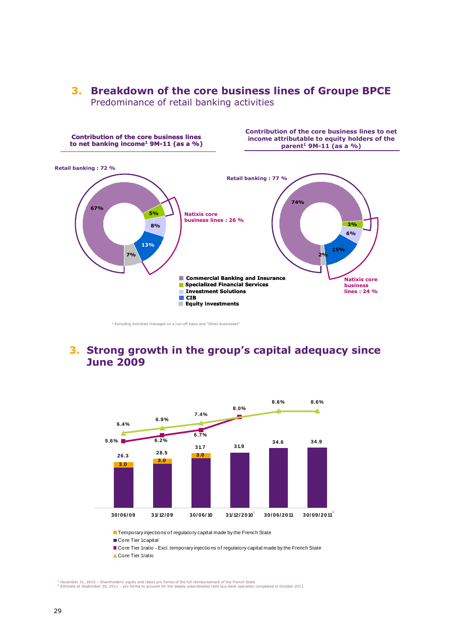

**74% 3% 6% 15% 2% Natixis core business lines : 24 % Retail banking : 77 % Contribution of the core business lines to net income attributable to equity holders of the parent<sup>1</sup> 9M-11 (as a %) 67% 5% 7% 8% 13% Natixis core business lines : 26 % Retail banking : 72 % Contribution of the core business lines to net banking income<sup>1</sup> 9M-11 (as a %) Equity investments Specialized Financial Services Commercial Banking and Insurance CIB Investment Solutions**

<sup>1</sup> Excluding Activities managed on a run-off basis and "Other businesses"

## **3. Strong growth in the group's capital adequacy since June 2009**



**Temporary injections of regulatory capital made by the French State** 

Core Tier 1 capital

Core Tier 1 ratio - Excl. temporary injections of regulatory capital made by the French State

Core Tier 1 ratio

1 December 31, 2010 – Shareholders' equity and ratios pro forma of the full reimbursement of the French State<br><sup>2</sup> Estimate at September 30, 2011 – pro forma to account for the deeply subordinated note buy-back operation co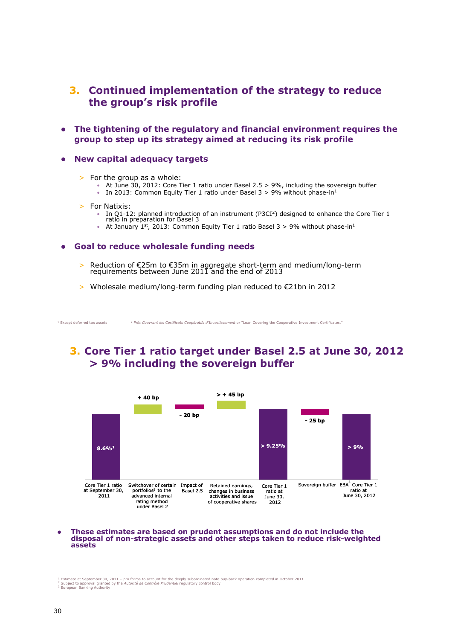### **3. Continued implementation of the strategy to reduce the group's risk profile**

 **The tightening of the regulatory and financial environment requires the group to step up its strategy aimed at reducing its risk profile**

#### **New capital adequacy targets**

- > For the group as a whole:
	- At June 30, 2012: Core Tier 1 ratio under Basel 2.5 > 9%, including the sovereign buffer
	- In 2013: Common Equity Tier 1 ratio under Basel  $3 > 9\%$  without phase-in<sup>1</sup>
- > For Natixis:
	- In Q1-12: planned introduction of an instrument (P3CI<sup>2</sup>) designed to enhance the Core Tier 1 ratio in preparation for Basel 3
	- At January 1st, 2013: Common Equity Tier 1 ratio Basel 3 > 9% without phase-in<sup>1</sup>

#### **Goal to reduce wholesale funding needs**

- > Reduction of €25m to €35m in aggregate short-term and medium/long-term requirements between June 2011 and the end of 2013
- > Wholesale medium/long-term funding plan reduced to €21bn in 2012

<sup>1</sup> Except deferred tax assets <sup>2</sup> *Prêt Couvrant les Certificats Coopératifs d'Investissement* or "Loan Covering the Cooperative Investment Certificates."

## **3. Core Tier 1 ratio target under Basel 2.5 at June 30, 2012 > 9% including the sovereign buffer**



#### **These estimates are based on prudent assumptions and do not include the disposal of non-strategic assets and other steps taken to reduce risk-weighted assets**

י Estimate at September 30, 2011 – pro forma to account for the deeply subordinated note buy-back operation completed in October 2011<br>^ Subject to approval granted by the A*utorité de Contrôle Prudentiel* regulatory contr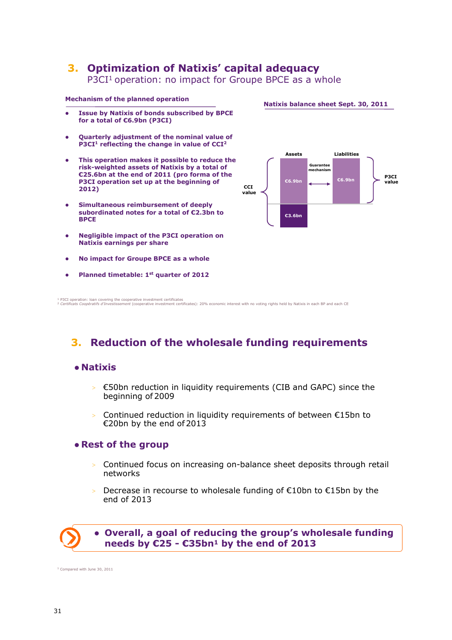## **3. Optimization of Natixis' capital adequacy**

P3CI<sup>1</sup> operation: no impact for Groupe BPCE as a whole

#### **Mechanism of the planned operation**

- **Issue by Natixis of bonds subscribed by BPCE for a total of €6.9bn (P3CI)**
- **Quarterly adjustment of the nominal value of P3CI<sup>1</sup> reflecting the change in value of CCI<sup>2</sup>**
- **This operation makes it possible to reduce the risk-weighted assets of Natixis by a total of €25.6bn at the end of 2011 (pro forma of the P3CI operation set up at the beginning of 2012)**
- **Simultaneous reimbursement of deeply subordinated notes for a total of €2.3bn to BPCE**
- **Negligible impact of the P3CI operation on Natixis earnings per share**
- **No impact for Groupe BPCE as a whole**
- **Planned timetable: 1st quarter of 2012**



**Natixis balance sheet Sept. 30, 2011**

4 P3CI operation: Ioan covering the cooperative investment certificates<br><sup>2</sup> Cer*tificats Coopératifs d'Investissement (*cooperative investment certificates): 20% economic interest with no voting rights held by Natixis in e

## **3. Reduction of the wholesale funding requirements**

### **Natixis**

- $>$   $\epsilon$ 50bn reduction in liquidity requirements (CIB and GAPC) since the beginning of 2009
- > Continued reduction in liquidity requirements of between  $E15$ bn to €20bn by the end of 2013

### **Rest of the group**

- > Continued focus on increasing on-balance sheet deposits through retail networks
- Decrease in recourse to wholesale funding of €10bn to €15bn by the end of 2013



### **Overall, a goal of reducing the group's wholesale funding needs by €25 - €35bn<sup>1</sup> by the end of 2013**

<sup>1</sup> Compared with June 30, 2011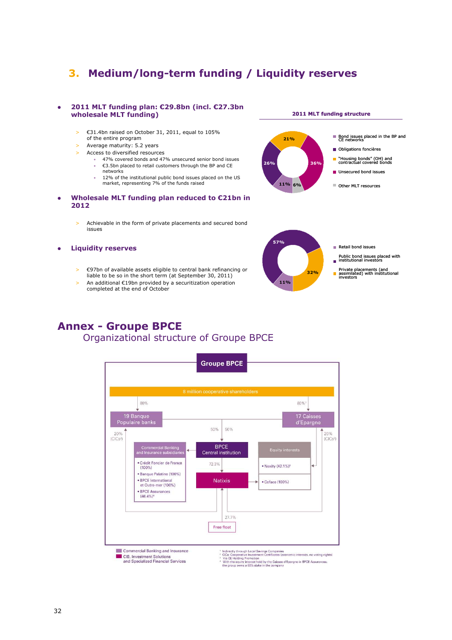## **3. Medium/long-term funding / Liquidity reserves**

#### **2011 MLT funding plan: €29.8bn (incl. €27.3bn wholesale MLT funding)**

- > €31.4bn raised on October 31, 2011, equal to 105% of the entire program
- > Average maturity: 5.2 years
- > Access to diversified resources
	- 47% covered bonds and 47% unsecured senior bond issues • €3.5bn placed to retail customers through the BP and CE
	- networks • 12% of the institutional public bond issues placed on the US
	- market, representing 7% of the funds raised
- **Wholesale MLT funding plan reduced to €21bn in 2012**
	- > Achievable in the form of private placements and secured bond issues

#### **Liquidity reserves**

- > €97bn of available assets eligible to central bank refinancing or liable to be so in the short term (at September 30, 2011)
- > An additional €19bn provided by a securitization operation completed at the end of October



**2011 MLT funding structure** 

Bond issues placed in the BP and CE networks

Obligations foncières

**21%**



## **Annex - Groupe BPCE** Organizational structure of Groupe BPCE

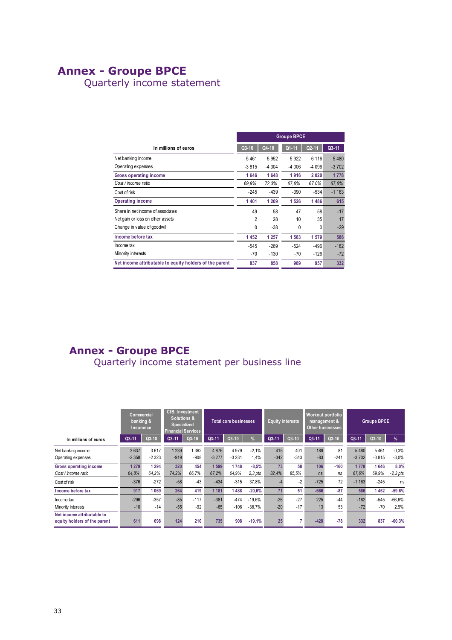## **Annex - Groupe BPCE**

Quarterly income statement

|                                                         | <b>Groupe BPCE</b> |         |         |           |         |  |  |  |  |
|---------------------------------------------------------|--------------------|---------|---------|-----------|---------|--|--|--|--|
| In millions of euros                                    | Q3-10              | Q4-10   | Q1-11   | $Q2 - 11$ | $Q3-11$ |  |  |  |  |
| Net banking income                                      | 5461               | 5952    | 5922    | 6 1 1 6   | 5480    |  |  |  |  |
| Operating expenses                                      | $-3815$            | $-4304$ | $-4006$ | $-4096$   | $-3702$ |  |  |  |  |
| Gross operating income                                  | 1646               | 1648    | 1916    | 2020      | 1778    |  |  |  |  |
| Cost / income ratio                                     | 69.9%              | 72,3%   | 67.6%   | 67.0%     | 67.6%   |  |  |  |  |
| Cost of risk                                            | $-245$             | $-439$  | $-390$  | $-534$    | $-1163$ |  |  |  |  |
| <b>Operating income</b>                                 | 1401               | 1 209   | 1526    | 1486      | 615     |  |  |  |  |
| Share in net income of associates                       | 49                 | 58      | 47      | 58        | $-17$   |  |  |  |  |
| Net gain or loss on other assets                        | $\overline{2}$     | 28      | 10      | 35        | 17      |  |  |  |  |
| Change in value of goodwil                              | 0                  | $-38$   | 0       | 0         | $-29$   |  |  |  |  |
| Income before tax                                       | 1452               | 1 2 5 7 | 1583    | 1579      | 586     |  |  |  |  |
| Income tax                                              | $-545$             | $-269$  | $-524$  | $-496$    | $-182$  |  |  |  |  |
| Minority interests                                      | $-70$              | $-130$  | $-70$   | $-126$    | $-72$   |  |  |  |  |
| Net income attributable to equity holders of the parent | 837                | 858     | 989     | 957       | 332     |  |  |  |  |

## **Annex - Groupe BPCE**

Quarterly income statement per business line

|                                                            | Commercial<br>banking &<br>Insurance |                 | CIB, Investment<br><b>Solutions &amp;</b><br>Specialized<br><b>Financial Services</b> |                 | <b>Total core businesses</b> |                  |                      | <b>Equity interests</b> |                | Workout portfolio<br>management &<br><b>Other businesses</b> |              | <b>Groupe BPCE</b> |                 |                    |
|------------------------------------------------------------|--------------------------------------|-----------------|---------------------------------------------------------------------------------------|-----------------|------------------------------|------------------|----------------------|-------------------------|----------------|--------------------------------------------------------------|--------------|--------------------|-----------------|--------------------|
| In millions of euros                                       | $Q3 - 11$                            | Q3-10           | $Q3-11$                                                                               | $Q3-10$         | Q3-11                        | $Q3-10$          | $\frac{9}{6}$        | Q3-11                   | Q3-10          | $Q3 - 11$                                                    | $Q3-10$      | Q3-11              | $Q3-10$         | %                  |
| Net banking income<br>Operating expenses                   | 3637<br>$-2358$                      | 3617<br>$-2323$ | 1 2 3 9<br>$-919$                                                                     | 362<br>$-908$   | 4876<br>$-3277$              | 4979<br>$-3231$  | $-2.1%$<br>1.4%      | 415<br>$-342$           | 401<br>$-343$  | 189<br>$-83$                                                 | 81<br>$-241$ | 5480<br>$-3702$    | 5461<br>$-3815$ | 0.3%<br>$-3,0%$    |
| <b>Gross operating income</b><br>Cost / income ratio       | 1 2 7 9<br>64,8%                     | 1294<br>64.2%   | 320<br>74.2%                                                                          | 454<br>66,7%    | 1 599<br>67.2%               | 1748<br>64.9%    | $-8,5%$<br>$2.3$ pts | 73<br>82,4%             | 58<br>85.5%    | 106<br>ns                                                    | $-160$<br>ns | 1778<br>67.6%      | 1646<br>69.9%   | 8,0%<br>$-2,3$ pts |
| Cost of risk                                               | $-376$                               | $-272$          | $-58$                                                                                 | $-43$           | $-434$                       | $-315$           | 37,8%                | -4                      | $-2$           | $-725$                                                       | 72           | $-1163$            | $-245$          | ns                 |
| Income before tax                                          | 917                                  | 1069            | 264                                                                                   | 419             | 1 1 8 1                      | 1488             | $-20,6%$             | 71                      | 51             | $-666$                                                       | $-87$        | 586                | 1452            | $-59,6%$           |
| Income tax<br>Minority interests                           | $-296$<br>$-10$                      | $-357$<br>$-14$ | $-85$<br>$-55$                                                                        | $-117$<br>$-92$ | $-381$<br>$-65$              | $-474$<br>$-106$ | $-19,6%$<br>$-38,7%$ | $-26$<br>$-20$          | $-27$<br>$-17$ | 225<br>13                                                    | $-44$<br>53  | $-182$<br>$-72$    | $-545$<br>$-70$ | $-66,6%$<br>2,9%   |
| Net income attributable to<br>equity holders of the parent | 611                                  | 698             | 124                                                                                   | 210             | 735                          | 908              | $-19.1%$             | 25                      |                | $-428$                                                       | $-78$        | 332                | 837             | $-60,3%$           |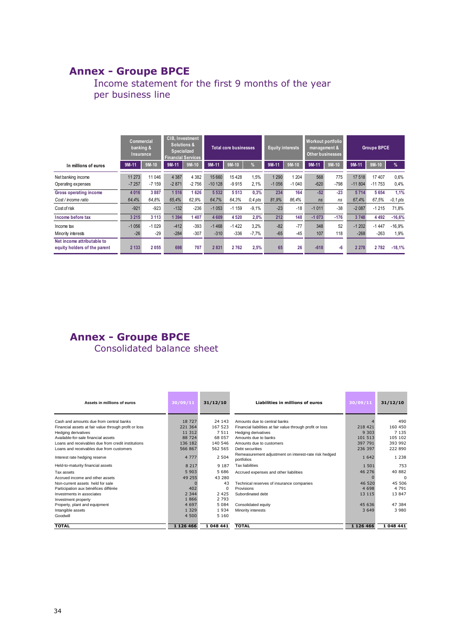## **Annex - Groupe BPCE**

## Income statement for the first 9 months of the year per business line

|                                                            | Commercial<br>banking & | Insurance         | <b>CIB, Investment</b><br><b>Solutions &amp;</b><br><b>Specialized</b><br><b>Financial Services</b> |                    |                    | <b>Total core businesses</b> |                   | <b>Equity interests</b> |                    | Workout portfolio<br>management &<br>Other businesses |               | <b>Groupe BPCE</b> |                   |                     |
|------------------------------------------------------------|-------------------------|-------------------|-----------------------------------------------------------------------------------------------------|--------------------|--------------------|------------------------------|-------------------|-------------------------|--------------------|-------------------------------------------------------|---------------|--------------------|-------------------|---------------------|
| In millions of euros                                       | 9M-11                   | $9M-10$           | $9M-11$                                                                                             | $9M-10$            | $9M-11$            | $9M-10$                      | $\frac{9}{6}$     | 9M-11                   | $9M-10$            | $9M-11$                                               | $9M-10$       | $9M-11$            | $9M-10$           | $\frac{9}{6}$       |
| Net banking income<br>Operating expenses                   | 11 273<br>$-7257$       | 11 046<br>$-7159$ | 4 3 8 7<br>$-2871$                                                                                  | 4 3 8 2<br>$-2756$ | 15 660<br>$-10128$ | 15 4 28<br>$-9915$           | 1.5%<br>2,1%      | 1 2 9 0<br>$-1056$      | 1 2 0 4<br>$-1040$ | 568<br>$-620$                                         | 775<br>$-798$ | 17 518<br>$-11804$ | 17407<br>$-11753$ | 0,6%<br>0,4%        |
| Gross operating income<br>Cost / income ratio              | 4 0 16<br>64,4%         | 3887<br>64.8%     | 1 5 1 6<br>65,4%                                                                                    | 1626<br>62.9%      | 5 5 3 2<br>64,7%   | 5513<br>64.3%                | 0.3%<br>$0.4$ pts | 234<br>81,9%            | 164<br>86.4%       | $-52$<br>ns                                           | $-23$<br>ns   | 5714<br>67,4%      | 5654<br>67.5%     | 1.1%<br>$-0, 1$ pts |
| Cost of risk                                               | $-921$                  | $-923$            | $-132$                                                                                              | $-236$             | $-1053$            | $-1159$                      | $-9.1%$           | $-23$                   | $-18$              | $-1011$                                               | $-38$         | $-2087$            | $-1215$           | 71.8%               |
| Income before tax                                          | 3 2 1 5                 | 3 1 1 3           | 1 3 9 4                                                                                             | 407                | 4 6 0 9            | 4 5 20                       | 2,0%              | 212                     | 148                | $-1073$                                               | $-176$        | 3748               | 4 4 9 2           | $-16,6%$            |
| Income tax<br>Minority interests                           | $-1056$<br>$-26$        | $-1029$<br>$-29$  | $-412$<br>$-284$                                                                                    | $-393$<br>$-307$   | $-1468$<br>$-310$  | $-1422$<br>$-336$            | 3,2%<br>$-7,7%$   | $-82$<br>$-65$          | $-77$<br>$-45$     | 348<br>107                                            | 52<br>118     | $-1202$<br>$-268$  | $-1447$<br>$-263$ | $-16,9%$<br>1,9%    |
| Net income attributable to<br>equity holders of the parent | 2 1 3 3                 | 2055              | 698                                                                                                 | 707                | 2831               | 2762                         | 2,5%              | 65                      | 26                 | $-618$                                                | -6            | 2 2 7 8            | 2782              | $-18,1%$            |

## **Annex - Groupe BPCE**

Consolidated balance sheet

| Assets in millions of euros                           | 30/09/11      | 31/12/10  | Liabilities in millions of euros                                    | 30/09/11      | 31/12/10  |
|-------------------------------------------------------|---------------|-----------|---------------------------------------------------------------------|---------------|-----------|
| Cash and amounts due from central banks               | 18 727        | 24 143    | Amounts due to central banks                                        |               | 490       |
| Financial assets at fair value through profit or loss | 221 364       | 167 523   | Financial liabilities at fair value through profit or loss          | 218 421       | 160 450   |
| Hedging derivatives                                   | 11 312        | 7511      | <b>Hedging derivatives</b>                                          | 9 3 0 3       | 7 1 3 5   |
| Available-for-sale financial assets                   | 88 724        | 68 057    | Amounts due to banks                                                | 101 513       | 105 102   |
| Loans and receivables due from credit institutions    | 136 182       | 140 546   | Amounts due to customers                                            | 397 791       | 393 992   |
| Loans and receivables due from customers              | 566867        | 562 565   | Debt securities                                                     | 236 397       | 222 890   |
| Interest rate hedging reserve                         | 4 7 7 7       | 2 5 0 4   | Remeasurement adjustment on interest-rate risk hedged<br>portfolios | 1 6 4 2       | 1 2 3 8   |
| Held-to-maturity financial assets                     | 8 2 1 7       | 9 1 8 7   | <b>Tax liabilities</b>                                              | 1 501         | 753       |
| Tax assets                                            | 5 903         | 5686      | Accrued expenses and other liabilities                              | 46 276        | 40 882    |
| Accrued income and other assets                       | 49 255        | 43 280    |                                                                     |               | $\Omega$  |
| Non-current assets held for sale                      |               | 43        | Technical reserves of insurance companies                           | 46 520        | 45 506    |
| Participation aux bénéfices différée                  | 402           | $\Omega$  | Provisions                                                          | 4 6 9 8       | 4 7 9 1   |
| Investments in associates                             | 2 3 4 4       | 2 4 2 5   | Subordinated debt                                                   | 13 115        | 13 847    |
| Investment property                                   | 1866          | 2 7 9 3   |                                                                     |               |           |
| Property, plant and equipment                         | 4 6 9 7       | 5 0 8 4   | Consolidated equity                                                 | 45 636        | 47 384    |
| Intangible assets                                     | 1 3 2 9       | 1934      | Minority interests                                                  | 3 6 4 9       | 3 980     |
| Goodwill                                              | 4 500         | 5 1 6 0   |                                                                     |               |           |
| <b>TOTAL</b>                                          | 1 1 2 6 4 6 6 | 1 048 441 | <b>TOTAL</b>                                                        | 1 1 2 6 4 6 6 | 1 048 441 |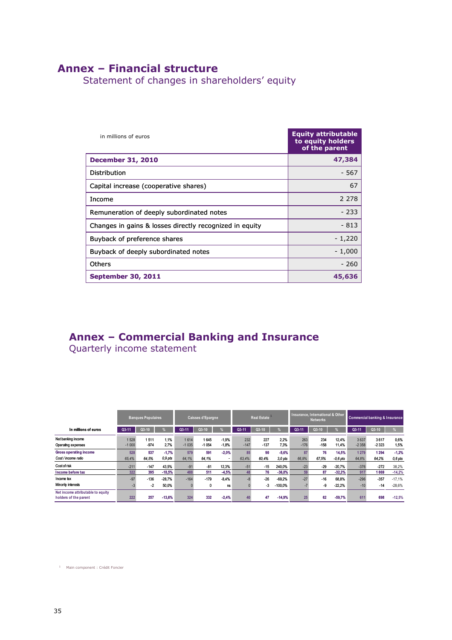## **Annex – Financial structure**

Statement of changes in shareholders' equity

| in millions of euros                                    | <b>Equity attributable</b><br>to equity holders<br>of the parent |
|---------------------------------------------------------|------------------------------------------------------------------|
| <b>December 31, 2010</b>                                | 47,384                                                           |
| Distribution                                            | - 567                                                            |
| Capital increase (cooperative shares)                   | 67                                                               |
| Income                                                  | 2 2 7 8                                                          |
| Remuneration of deeply subordinated notes               | $-233$                                                           |
| Changes in gains & losses directly recognized in equity | - 813                                                            |
| Buyback of preference shares                            | $-1,220$                                                         |
| Buyback of deeply subordinated notes                    | $-1,000$                                                         |
| Others                                                  | $-260$                                                           |
| <b>September 30, 2011</b>                               | 45,636                                                           |

## **Annex – Commercial Banking and Insurance**

Quarterly income statement

|                                                            |                      | <b>Banques Populaires</b> |                               |                 | <b>Caisses d'Epargne</b> |                          | Real Estate   |                   |                                   | Insurance, International & Other<br><b>Networks</b> |                   |                               | <b>Commercial banking &amp; Insurance</b> |                        |                                  |
|------------------------------------------------------------|----------------------|---------------------------|-------------------------------|-----------------|--------------------------|--------------------------|---------------|-------------------|-----------------------------------|-----------------------------------------------------|-------------------|-------------------------------|-------------------------------------------|------------------------|----------------------------------|
| In millions of euros                                       | Q3-11                | $Q3-10$                   |                               | Q3-11           | Q3-10                    |                          | Q3-11         | Q3-10             |                                   | Q3-11                                               | Q3-10             |                               | Q3-11                                     | Q3-10                  |                                  |
| Net banking income<br>Operating expenses                   | 1528<br>$-1000$      | 1511<br>$-974$            | 1.1%<br>2.7%                  | 1614<br>$-1035$ | 1645<br>$-1054$          | $-1,9%$<br>$-1,8%$       | 232<br>$-147$ | 227<br>$-137$     | 2.2%<br>7,3%                      | 263<br>$-176$                                       | 234<br>$-158$     | 12.4%<br>11.4%                | 3637<br>$-2358$                           | 3617<br>$-2323$        | 0,6%<br>1,5%                     |
| <b>Gross operating income</b><br>Cost / income ratio       | 528<br>65.4%         | 537<br>64.5%              | $-1.7%$<br>0.9 pts            | 579<br>64.1%    | 591<br>64,1%             | $-2,0%$<br>$\sim$        | 85<br>63.4%   | 90<br>60,4%       | $-5,6%$<br>3.0 <sub>pts</sub>     | 87<br>66.9%                                         | 76<br>67.5%       | 14,5%<br>$-0.6$ pts           | 1279<br>64.8%                             | 1 2 9 4<br>64,2%       | $-1,2%$<br>$0,6$ pts             |
| Cost of risk                                               | $-211$               | $-147$                    | 43.5%                         | $-91$           | $-81$                    | 12.3%                    | $-51$         | $-15$             | 240.0%                            | $-23$                                               | $-29$             | $-20.7%$                      | $-376$                                    | $-272$                 | 38,2%                            |
| Income before tax<br>Income tax<br>Minority interests      | 322<br>$-97$<br>$-3$ | 395<br>$-136$<br>$-2$     | $-18,5%$<br>$-28.7%$<br>50,0% | 488<br>$-164$   | 511<br>$-179$<br>0       | $-4,5%$<br>$-8.4%$<br>ns | 48            | 76<br>$-26$<br>-3 | $-36.8%$<br>$-69.2%$<br>$-100.0%$ | 59<br>$-27$                                         | 87<br>$-16$<br>-9 | $-32.2%$<br>68.8%<br>$-22.2%$ | 917<br>$-296$<br>$-10$                    | 069<br>$-357$<br>$-14$ | $-14,2%$<br>$-17.1%$<br>$-28,6%$ |
| Net income attributable to equity<br>holders of the parent | 222                  | 257                       | $-13,6%$                      | 324             | 332                      | $-2.4%$                  |               | 47                | $-14.9%$                          | 25                                                  | 62                | $-59.7%$                      | 611                                       | 698                    | $-12.5%$                         |

1 Main component : Crédit Foncier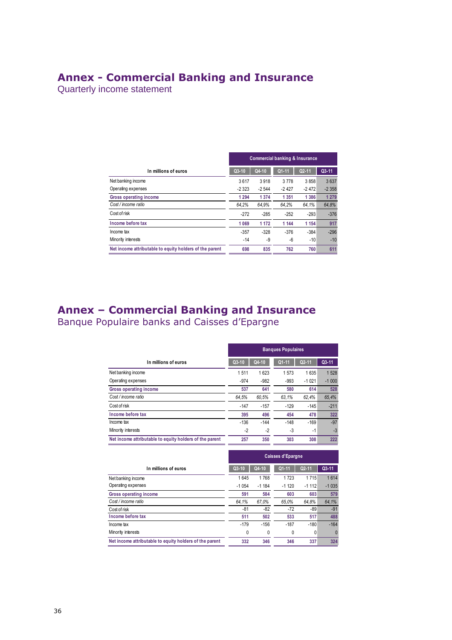## **Annex - Commercial Banking and Insurance**

Quarterly income statement

|                                                         | <b>Commercial banking &amp; Insurance</b> |         |           |           |         |  |  |  |
|---------------------------------------------------------|-------------------------------------------|---------|-----------|-----------|---------|--|--|--|
| In millions of euros                                    | $Q3-10$                                   | Q4-10   | $Q1 - 11$ | $Q2 - 11$ | $Q3-11$ |  |  |  |
| Net banking income                                      | 3617                                      | 3918    | 3 7 7 8   | 3858      | 3637    |  |  |  |
| Operating expenses                                      | $-2323$                                   | $-2544$ | $-2427$   | $-2472$   | $-2358$ |  |  |  |
| Gross operating income                                  | 1 2 9 4                                   | 1 3 7 4 | 1 3 5 1   | 1 3 8 6   | 1 2 7 9 |  |  |  |
| Cost / income ratio                                     | 64.2%                                     | 64.9%   | 64,2%     | 64,1%     | 64.8%   |  |  |  |
| Cost of risk                                            | $-272$                                    | $-285$  | $-252$    | $-293$    | $-376$  |  |  |  |
| Income before tax                                       | 1 0 6 9                                   | 1 1 7 2 | 1 1 4 4   | 1 1 5 4   | 917     |  |  |  |
| Income tax                                              | $-357$                                    | $-328$  | $-376$    | $-384$    | $-296$  |  |  |  |
| Minority interests                                      | $-14$                                     | -9      | -6        | $-10$     | $-10$   |  |  |  |
| Net income attributable to equity holders of the parent | 698                                       | 835     | 762       | 760       | 611     |  |  |  |

## **Annex – Commercial Banking and Insurance** Banque Populaire banks and Caisses d'Epargne

|                                                         | <b>Banques Populaires</b> |        |           |           |         |  |  |  |
|---------------------------------------------------------|---------------------------|--------|-----------|-----------|---------|--|--|--|
| In millions of euros                                    | Q3-10                     | Q4-10  | $Q1 - 11$ | $Q2 - 11$ | $Q3-11$ |  |  |  |
| Net banking income                                      | 1511                      | 1623   | 1573      | 1635      | 1528    |  |  |  |
| Operating expenses                                      | $-974$                    | $-982$ | $-993$    | $-1021$   | $-1000$ |  |  |  |
| Gross operating income                                  | 537                       | 641    | 580       | 614       | 528     |  |  |  |
| Cost / income ratio                                     | 64.5%                     | 60,5%  | 63,1%     | 62,4%     | 65,4%   |  |  |  |
| Cost of risk                                            | $-147$                    | $-157$ | $-129$    | $-145$    | $-211$  |  |  |  |
| Income before tax                                       | 395                       | 496    | 454       | 478       | 322     |  |  |  |
| Income tax                                              | $-136$                    | $-144$ | $-148$    | $-169$    | $-97$   |  |  |  |
| Minority interests                                      | $-2$                      | $-2$   | $-3$      | $-1$      | $-3$    |  |  |  |
| Net income attributable to equity holders of the parent | 257                       | 350    | 303       | 308       | 222     |  |  |  |

|                                                         | <b>Caisses d'Epargne</b> |         |           |           |           |  |  |  |  |
|---------------------------------------------------------|--------------------------|---------|-----------|-----------|-----------|--|--|--|--|
| In millions of euros                                    | $Q3-10$                  | Q4-10   | $Q1 - 11$ | $Q2 - 11$ | $Q3 - 11$ |  |  |  |  |
| Net banking income                                      | 1645                     | 1768    | 1723      | 1715      | 1614      |  |  |  |  |
| Operating expenses                                      | $-1054$                  | $-1184$ | $-1120$   | $-1112$   | $-1035$   |  |  |  |  |
| Gross operating income                                  | 591                      | 584     | 603       | 603       | 579       |  |  |  |  |
| Cost / income ratio                                     | 64.1%                    | 67.0%   | 65.0%     | 64.8%     | 64,1%     |  |  |  |  |
| Cost of risk                                            | $-81$                    | -82     | $-72$     | -89       | $-91$     |  |  |  |  |
| Income before tax                                       | 511                      | 502     | 533       | 517       | 488       |  |  |  |  |
| Income tax                                              | $-179$                   | $-156$  | $-187$    | $-180$    | $-164$    |  |  |  |  |
| Minority interests                                      | 0                        | 0       | 0         | 0         | 0         |  |  |  |  |
| Net income attributable to equity holders of the parent | 332                      | 346     | 346       | 337       | 324       |  |  |  |  |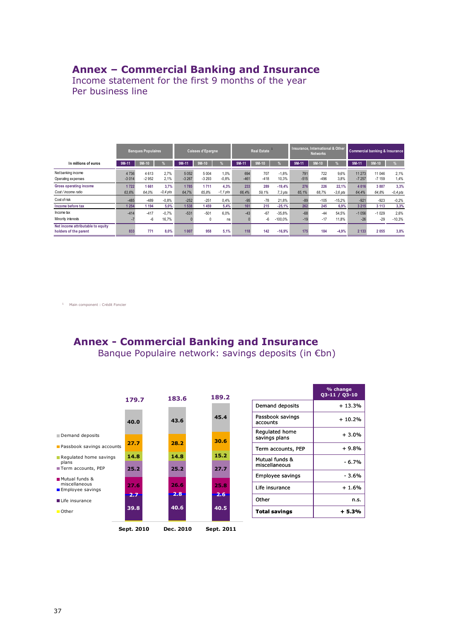### **Annex – Commercial Banking and Insurance**

Income statement for the first 9 months of the year Per business line

|                                                            |                 | <b>Banques Populaires</b> |                    |                 | Caisses d'Epargne  |                    |               | Insurance, International & Other<br><b>Real Estate</b><br><b>Networks</b> |                     | Commercial banking & Insurance |               |                     |                   |                   |                    |
|------------------------------------------------------------|-----------------|---------------------------|--------------------|-----------------|--------------------|--------------------|---------------|---------------------------------------------------------------------------|---------------------|--------------------------------|---------------|---------------------|-------------------|-------------------|--------------------|
| In millions of euros                                       | $9M-11$         | $9M-10$                   |                    | 9M-11           | $9M-10$            |                    | $9M-11$       | $9M-10$                                                                   |                     | 9M-11                          | $9M-10$       |                     | 9M-11             | $9M-10$           | %                  |
| Net banking income<br>Operating expenses                   | 4736<br>$-3014$ | 4613<br>$-2952$           | 2.7%<br>2.1%       | 5052<br>$-3267$ | 5 0 0 4<br>$-3293$ | 1.0%<br>$-0.8%$    | 694<br>$-461$ | 707<br>$-418$                                                             | $-1.8%$<br>10.3%    | 791<br>$-515$                  | 722<br>$-496$ | 9.6%<br>3.8%        | 11 273<br>$-7257$ | 11 046<br>$-7159$ | 2.1%<br>1,4%       |
| Gross operating income<br>Cost / income ratio              | 1722<br>63.6%   | 1661<br>64.0%             | 3,7%<br>$-0.4$ pts | 1785<br>64.7%   | 1711<br>65.8%      | 4,3%<br>$-1.1$ pts | 233<br>66.4%  | 289<br>59.1%                                                              | $-19.4%$<br>7.3 pts | 276<br>65.1%                   | 226<br>68.7%  | 22.1%<br>$-3.6$ pts | 4016<br>64.4%     | 3887<br>64.8%     | 3,3%<br>$-0.4$ pts |
| Cost of risk                                               | $-485$          | $-489$                    | $-0.8%$            | $-252$          | $-251$             | 0.4%               | $-95$         | $-78$                                                                     | 21.8%               | $-89$                          | $-105$        | $-15,2%$            | $-921$            | $-923$            | $-0.2%$            |
| Income before tax                                          | 1 2 5 4         | 1 1 9 4                   | 5,0%               | 1 5 3 8         | 1459               | 5.4%               | 161           | 215                                                                       | $-25.1%$            | 262                            | 245           | 6.9%                | 3 2 1 5           | 3 1 1 3           | 3,3%               |
| Income tax                                                 | $-414$          | $-417$                    | $-0.7%$            | $-531$          | $-501$             | 6.0%               | $-43$         | $-67$                                                                     | $-35.8%$            | $-68$                          | $-44$         | 54.5%               | $-1056$           | $-1029$           | 2.6%               |
| Minority interests                                         | ÷.              | $-6$                      | 16,7%              |                 | 0                  | ns                 |               | -6                                                                        | $-100,0%$           | $-19$                          | $-17$         | 11,8%               | $-26$             | $-29$             | $-10,3%$           |
| Net income attributable to equity<br>holders of the parent | 833             | 771                       | 8.0%               | 1 0 0 7         | 958                | 5.1%               | 118           | 142                                                                       | $-16.9%$            | 175                            | 184           | $-4.9%$             | 2 1 3 3           | 2 0 5 5           | 3,8%               |

1 Main component : Crédit Foncier

## **Annex - Commercial Banking and Insurance**

Banque Populaire network: savings deposits (in €bn)



|                                 | % change<br>03-11 / 03-10 |
|---------------------------------|---------------------------|
| Demand deposits                 | + 13.3%                   |
| Passbook savings<br>accounts    | $+10.2%$                  |
| Regulated home<br>savings plans | $+3.0%$                   |
| Term accounts, PEP              | + 9.8%                    |
| Mutual funds &<br>miscellaneous | - 6.7%                    |
| Employee savings                | - 3.6%                    |
| Life insurance                  | $+1.6%$                   |
| Other                           | n.s.                      |
| Total savings                   | + 5.3%                    |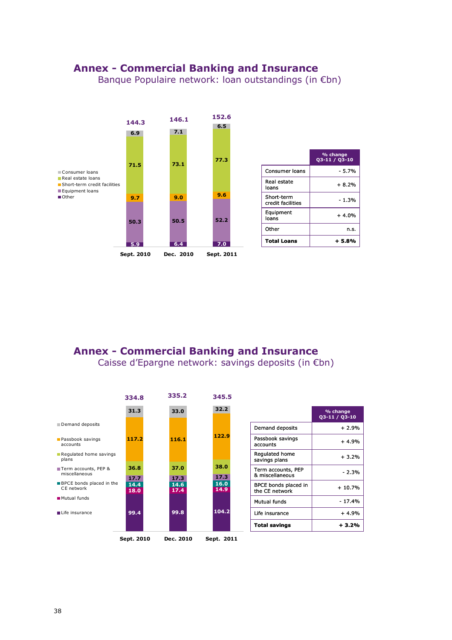## **Annex - Commercial Banking and Insurance**

Banque Populaire network: loan outstandings (in €bn)



## **Annex - Commercial Banking and Insurance**

Caisse d'Epargne network: savings deposits (in €bn)

|                                        | 334.8        | 335.2        | 345.5        |                                        |                           |
|----------------------------------------|--------------|--------------|--------------|----------------------------------------|---------------------------|
|                                        | 31.3         | 33.0         | 32.2         |                                        | % change<br>Q3-11 / Q3-10 |
| Demand deposits                        |              |              |              | Demand deposits                        | $+2.9%$                   |
| Passbook savings<br>accounts           | 117.2        | 116.1        | 122.9        | Passbook savings<br>accounts           | $+4.9%$                   |
| Regulated home savings<br>plans        |              |              |              | Regulated home<br>savings plans        | $+3.2%$                   |
| Term accounts, PEP &<br>miscellaneous  | 36.8<br>17.7 | 37.0<br>17.3 | 38.0<br>17.3 | Term accounts, PEP<br>& miscellaneous  | $-2.3%$                   |
| BPCE bonds placed in the<br>CE network | 14.4<br>18.0 | 14.6<br>17.4 | 16.0<br>14.9 | BPCE bonds placed in<br>the CE network | $+10.7%$                  |
| Mutual funds                           |              |              |              | Mutual funds                           | $-17.4%$                  |
| life insurance                         | 99.4         | 99.8         | 104.2        | Life insurance                         | $+4.9%$                   |
|                                        |              |              |              | <b>Total savings</b>                   | $+3.2%$                   |
|                                        | Sept. 2010   | Dec. 2010    | Sept. 2011   |                                        |                           |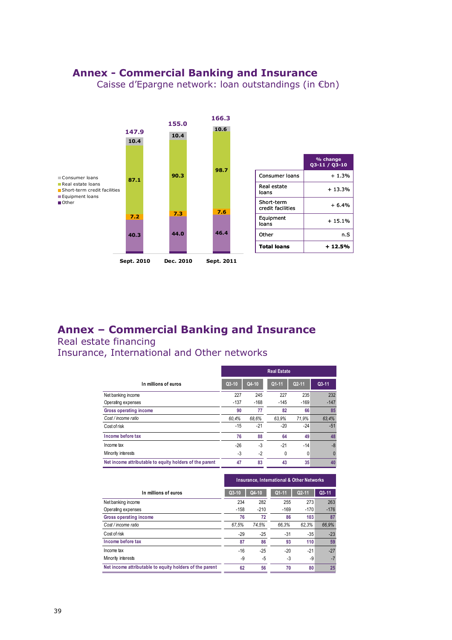## **Annex - Commercial Banking and Insurance**

Caisse d'Epargne network: loan outstandings (in €bn)



## **Annex – Commercial Banking and Insurance**

Real estate financing

Insurance, International and Other networks

|                                                         | <b>Real Estate</b> |         |           |           |           |  |  |  |
|---------------------------------------------------------|--------------------|---------|-----------|-----------|-----------|--|--|--|
| In millions of euros                                    | $Q3-10$            | $Q4-10$ | $Q1 - 11$ | $Q2 - 11$ | $Q3 - 11$ |  |  |  |
| Net banking income                                      | 227                | 245     | 227       | 235       | 232       |  |  |  |
| Operating expenses                                      | $-137$             | $-168$  | $-145$    | $-169$    | $-147$    |  |  |  |
| Gross operating income                                  | 90                 | 77      | 82        | 66        | 85        |  |  |  |
| Cost / income ratio                                     | 60.4%              | 68.6%   | 63.9%     | 71.9%     | 63.4%     |  |  |  |
| Cost of risk                                            | -15                | $-21$   | $-20$     | $-24$     | $-51$     |  |  |  |
| Income before tax                                       | 76                 | 88      | 64        | 49        | 48        |  |  |  |
| Income tax                                              | $-26$              | $-3$    | $-21$     | $-14$     | $-8$      |  |  |  |
| Minority interests                                      | -3                 | $-2$    | 0         | 0         |           |  |  |  |
| Net income attributable to equity holders of the parent | 47                 | 83      | 43        | 35        | 40        |  |  |  |

|                                                         | <b>Insurance, International &amp; Other Networks</b> |        |           |                    |           |  |  |  |
|---------------------------------------------------------|------------------------------------------------------|--------|-----------|--------------------|-----------|--|--|--|
| In millions of euros                                    | $Q3-10$                                              | Q4-10  | $Q1 - 11$ | Q <sub>2</sub> -11 | $Q3 - 11$ |  |  |  |
| Net banking income                                      | 234                                                  | 282    | 255       | 273                | 263       |  |  |  |
| Operating expenses                                      | $-158$                                               | $-210$ | $-169$    | $-170$             | $-176$    |  |  |  |
| Gross operating income                                  | 76                                                   | 72     | 86        | 103                | 87        |  |  |  |
| Cost / income ratio                                     | 67.5%                                                | 74.5%  | 66.3%     | 62.3%              | 66.9%     |  |  |  |
| Cost of risk                                            | $-29$                                                | $-25$  | -31       | $-35$              | $-23$     |  |  |  |
| Income before tax                                       | 87                                                   | 86     | 93        | 110                | 59        |  |  |  |
| Income tax                                              | $-16$                                                | $-25$  | $-20$     | $-21$              | $-27$     |  |  |  |
| Minority interests                                      | -9                                                   | -5     | -3        | -9                 | $-7$      |  |  |  |
| Net income attributable to equity holders of the parent | 62                                                   | 56     | 70        | 80                 | 25        |  |  |  |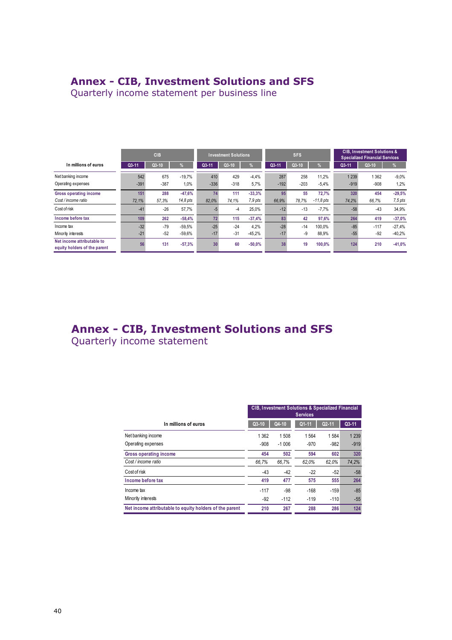### **Annex - CIB, Investment Solutions and SFS**

Quarterly income statement per business line

|                                                            |        | <b>CIB</b> |          |        | <b>Investment Solutions</b> |           |        | <b>SFS</b> |             |         | <b>CIB, Investment Solutions &amp;</b><br><b>Specialized Financial Services</b> |           |
|------------------------------------------------------------|--------|------------|----------|--------|-----------------------------|-----------|--------|------------|-------------|---------|---------------------------------------------------------------------------------|-----------|
| In millions of euros                                       | Q3-11  | $Q3-10$    | ℅        | Q3-11  | $Q3-10$                     | %         | Q3-11  | $Q3-10$    | %           | Q3-11   | $Q3-10$                                                                         | %         |
| Net banking income                                         | 542    | 675        | $-19.7%$ | 410    | 429                         | $-4.4%$   | 287    | 258        | 11.2%       | 1 2 3 9 | 1 3 6 2                                                                         | $-9,0\%$  |
| Operating expenses                                         | $-391$ | $-387$     | 1,0%     | $-336$ | $-318$                      | 5,7%      | $-192$ | $-203$     | $-5.4%$     | $-919$  | $-908$                                                                          | 1,2%      |
| <b>Gross operating income</b>                              | 151    | 288        | $-47.6%$ | 74     | 111                         | $-33,3%$  | 95     | 55         | 72,7%       | 320     | 454                                                                             | $-29,5%$  |
| Cost / income ratio                                        | 72.1%  | 57.3%      | 14.8 pts | 82,0%  | 74.1%                       | $7.9$ pts | 66.9%  | 78.7%      | $-11.8$ pts | 74.2%   | 66.7%                                                                           | $7,5$ pts |
| Cost of risk                                               | $-41$  | $-26$      | 57,7%    | $-5$   | $-4$                        | 25.0%     | $-12$  | $-13$      | $-7,7%$     | $-58$   | $-43$                                                                           | 34,9%     |
| Income before tax                                          | 109    | 262        | $-58,4%$ | 72     | 115                         | $-37,4%$  | 83     | 42         | 97,6%       | 264     | 419                                                                             | $-37,0%$  |
| Income tax                                                 | $-32$  | $-79$      | $-59.5%$ | $-25$  | $-24$                       | 4,2%      | $-28$  | $-14$      | 100.0%      | $-85$   | $-117$                                                                          | $-27,4%$  |
| Minority interests                                         | $-21$  | $-52$      | $-59,6%$ | $-17$  | $-31$                       | $-45,2%$  | $-17$  | -9         | 88,9%       | $-55$   | $-92$                                                                           | $-40,2%$  |
| Net income attributable to<br>equity holders of the parent | 56     | 131        | $-57,3%$ | 30     | 60                          | $-50,0%$  | 38     | 19         | 100,0%      | 124     | 210                                                                             | $-41,0%$  |

## *1 -* **Annex - CIB, Investment Solutions and SFS**

Quarterly income statement

|                                                         | <b>CIB, Investment Solutions &amp; Specialized Financial</b><br><b>Services</b> |         |           |           |         |  |  |  |
|---------------------------------------------------------|---------------------------------------------------------------------------------|---------|-----------|-----------|---------|--|--|--|
| In millions of euros                                    | $Q3-10$                                                                         | Q4-10   | $Q1 - 11$ | $Q2 - 11$ | $Q3-11$ |  |  |  |
| Net banking income                                      | 1 3 6 2                                                                         | 1508    | 1564      | 1584      | 1 2 3 9 |  |  |  |
| Operating expenses                                      | $-908$                                                                          | $-1006$ | $-970$    | $-982$    | $-919$  |  |  |  |
| <b>Gross operating income</b>                           | 454                                                                             | 502     | 594       | 602       | 320     |  |  |  |
| Cost / income ratio                                     | 66.7%                                                                           | 66,7%   | 62,0%     | 62.0%     | 74,2%   |  |  |  |
| Cost of risk                                            | $-43$                                                                           | $-42$   | $-22$     | $-52$     | $-58$   |  |  |  |
| Income before tax                                       | 419                                                                             | 477     | 575       | 555       | 264     |  |  |  |
| Income tax                                              | $-117$                                                                          | -98     | $-168$    | $-159$    | $-85$   |  |  |  |
| Minority interests                                      | $-92$                                                                           | $-112$  | $-119$    | $-110$    | $-55$   |  |  |  |
| Net income attributable to equity holders of the parent | 210                                                                             | 267     | 288       | 286       | 124     |  |  |  |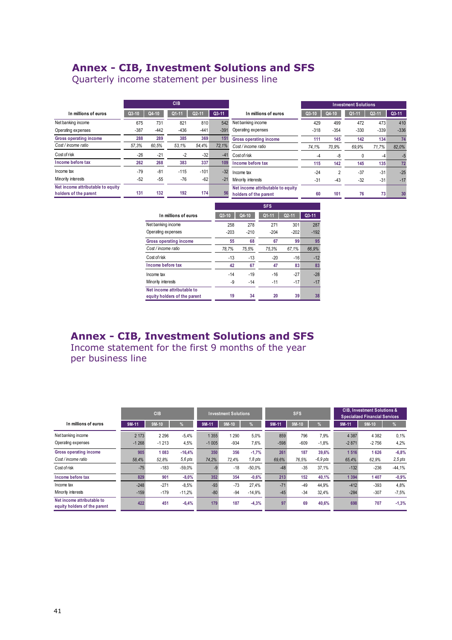## **Annex - CIB, Investment Solutions and SFS**

Quarterly income statement per business line

|                                                            |         |        | <b>CIB</b> |                    |         |                                                            |         |                | <b>Investment Solutions</b> |         |         |
|------------------------------------------------------------|---------|--------|------------|--------------------|---------|------------------------------------------------------------|---------|----------------|-----------------------------|---------|---------|
| In millions of euros                                       | $Q3-10$ | Q4-10  | $Q1 - 11$  | Q <sub>2</sub> -11 | $Q3-11$ | In millions of euros                                       | $Q3-10$ | Q4-10          | Q1-11                       | $Q2-11$ | $Q3-11$ |
| Net banking income                                         | 675     | 731    | 821        | 810                | 542     | Net banking income                                         | 429     | 499            | 472                         | 473     | 410     |
| Operating expenses                                         | $-387$  | $-442$ | $-436$     | $-441$             | $-391$  | Operating expenses                                         | $-318$  | $-354$         | $-330$                      | $-339$  | $-336$  |
| Gross operating income                                     | 288     | 289    | 385        | 369                | 151     | Gross operating income                                     | 111     | 145            | 142                         | 134     | 74      |
| Cost / income ratio                                        | 57.3%   | 60.5%  | 53.1%      | 54.4%              | 72.1%   | Cost / income ratio                                        | 74,1%   | 70.9%          | 69,9%                       | 71,7%   | 82.0%   |
| Cost of risk                                               | $-26$   | $-21$  | $-2$       | $-32$              | $-41$   | Cost of risk                                               | -4      | -8             | 0                           | -4      | -5      |
| Income before tax                                          | 262     | 268    | 383        | 337                | 109     | Income before tax                                          | 115     | 142            | 145                         | 135     | 72      |
| Income tax                                                 | $-79$   | $-81$  | $-115$     | $-101$             | $-32$   | Income tax                                                 | $-24$   | $\overline{2}$ | $-37$                       | $-31$   | $-25$   |
| Minority interests                                         | $-52$   | $-55$  | $-76$      | $-62$              | $-21$   | Minority interests                                         | $-31$   | $-43$          | $-32$                       | $-31$   | $-17$   |
| Net income attributable to equity<br>holders of the parent | 131     | 132    | 192        | 174                | 56      | Net income attributable to equity<br>holders of the parent | 60      | 101            | 76                          | 73      | 30      |

|                                                            |        |        | ого       |           |         |
|------------------------------------------------------------|--------|--------|-----------|-----------|---------|
| In millions of euros                                       | Q3-10  | Q4-10  | $Q1 - 11$ | $Q2 - 11$ | $Q3-11$ |
| Net banking income                                         | 258    | 278    | 271       | 301       | 287     |
| Operating expenses                                         | $-203$ | $-210$ | $-204$    | $-202$    | $-192$  |
| <b>Gross operating income</b>                              | 55     | 68     | 67        | 99        | 95      |
| Cost / income ratio                                        | 78.7%  | 75,5%  | 75.3%     | 67,1%     | 66.9%   |
| Cost of risk                                               | $-13$  | $-13$  | $-20$     | $-16$     | $-12$   |
| Income before tax                                          | 42     | 67     | 47        | 83        | 83      |
| Income tax                                                 | $-14$  | $-19$  | $-16$     | $-27$     | $-28$   |
| Minority interests                                         | -9     | $-14$  | $-11$     | $-17$     | $-17$   |
| Net income attributable to<br>equity holders of the parent | 19     | 34     | 20        | 39        | 38      |

**SFS** 

## **Annex - CIB, Investment Solutions and SFS** Income statement for the first 9 months of the year

per business line

|                                                            |                    | <b>CIB</b>         |                       | <b>SFS</b><br><b>Investment Solutions</b> |                | <b>CIB. Investment Solutions &amp;</b><br><b>Specialized Financial Services</b> |                |                |                     |                    |                    |                      |
|------------------------------------------------------------|--------------------|--------------------|-----------------------|-------------------------------------------|----------------|---------------------------------------------------------------------------------|----------------|----------------|---------------------|--------------------|--------------------|----------------------|
| In millions of euros                                       | $9M-11$            | $9M-10$            | $\%$                  | $9M-11$                                   | $9M-10$        |                                                                                 | $9M-11$        | $9M-10$        | %                   | 9M-11              | $9M-10$            | %                    |
| Net banking income<br>Operating expenses                   | 2 1 7 3<br>$-1268$ | 2 2 9 6<br>$-1213$ | $-5.4%$<br>4,5%       | 1 3 5 5<br>$-1005$                        | 290<br>$-934$  | 5.0%<br>7,6%                                                                    | 859<br>$-598$  | 796<br>$-609$  | 7.9%<br>$-1.8%$     | 4 3 8 7<br>$-2871$ | 4 3 8 2<br>$-2756$ | 0,1%<br>4,2%         |
| <b>Gross operating income</b><br>Cost / income ratio       | 905<br>58.4%       | 1083<br>52.8%      | $-16.4%$<br>$5.6$ pts | 350<br>74,2%                              | 356<br>72.4%   | $-1.7%$<br>$1.8$ pts                                                            | 261<br>69.6%   | 187<br>76.5%   | 39.6%<br>$-6.9$ pts | 1 5 1 6<br>65,4%   | 1626<br>62.9%      | $-6,8%$<br>$2,5$ pts |
| Cost of risk                                               | $-75$              | $-183$             | $-59.0%$              | $-9$                                      | $-18$          | $-50.0%$                                                                        | $-48$          | $-35$          | 37.1%               | $-132$             | $-236$             | $-44,1%$             |
| Income before tax                                          | 829                | 901                | $-8,0%$               | 352                                       | 354            | $-0.6%$                                                                         | 213            | 152            | 40,1%               | 1 3 9 4            | 1407               | $-0.9%$              |
| Income tax<br>Minority interests                           | $-248$<br>$-159$   | $-271$<br>$-179$   | $-8.5%$<br>$-11,2%$   | $-93$<br>$-80$                            | $-73$<br>$-94$ | 27.4%<br>$-14.9%$                                                               | $-71$<br>$-45$ | $-49$<br>$-34$ | 44.9%<br>32,4%      | $-412$<br>$-284$   | $-393$<br>$-307$   | 4,8%<br>$-7,5%$      |
| Net income attributable to<br>equity holders of the parent | 422                | 451                | $-6,4%$               | 179                                       | 187            | $-4,3%$                                                                         | 97             | 69             | 40,6%               | 698                | 707                | $-1,3%$              |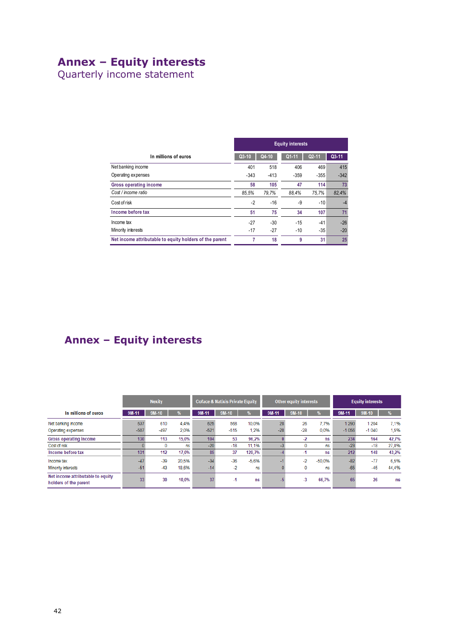## **Annex – Equity interests**

Quarterly income statement

|                                                         | <b>Equity interests</b> |        |           |           |         |  |  |  |  |
|---------------------------------------------------------|-------------------------|--------|-----------|-----------|---------|--|--|--|--|
| In millions of euros                                    | $Q3-10$                 | Q4-10  | $Q1 - 11$ | $Q2 - 11$ | $Q3-11$ |  |  |  |  |
| Net banking income                                      | 401                     | 518    | 406       | 469       | 415     |  |  |  |  |
| Operating expenses                                      | $-343$                  | $-413$ | $-359$    | $-355$    | $-342$  |  |  |  |  |
| Gross operating income                                  | 58                      | 105    | 47        | 114       | 73      |  |  |  |  |
| Cost / income ratio                                     | 85.5%                   | 79.7%  | 88.4%     | 75.7%     | 82,4%   |  |  |  |  |
| Cost of risk                                            | $-2$                    | $-16$  | -9        | $-10$     | $-4$    |  |  |  |  |
| Income before tax                                       | 51                      | 75     | 34        | 107       | 71      |  |  |  |  |
| Income tax                                              | $-27$                   | $-30$  | $-15$     | $-41$     | $-26$   |  |  |  |  |
| Minority interests                                      | $-17$                   | $-27$  | $-10$     | $-35$     | $-20$   |  |  |  |  |
| Net income attributable to equity holders of the parent | 7                       | 18     | 9         | 31        | 25      |  |  |  |  |

## **Annex – Equity interests**

|                                                            | <b>Nexity</b>  |                |                | <b>Coface &amp; Natixis Private Equity</b> |               |                | <b>Other equity interests</b> |             |                 | <b>Equity interests</b> |                  |                |
|------------------------------------------------------------|----------------|----------------|----------------|--------------------------------------------|---------------|----------------|-------------------------------|-------------|-----------------|-------------------------|------------------|----------------|
| In millions of euros                                       | $9M-11$        | $9M-10$        |                | 9M-11                                      | $9M-10$       |                | 9M-11                         | $9M-10$     |                 | 9M-11                   | 9M-10            |                |
| Net banking income<br>Operating expenses                   | 637<br>$-507$  | 610<br>$-497$  | 4.4%<br>2.0%   | 625<br>$-521$                              | 568<br>$-515$ | 10,0%<br>1,2%  | 28<br>$-28$                   | 26<br>$-28$ | 7.7%<br>0,0%    | 1 2 9 0<br>$-1056$      | 1 204<br>$-1040$ | 7.1%<br>1,5%   |
| <b>Gross operating income</b><br>Cost of risk              | 130            | 113<br>0       | 15,0%<br>ns    | 104<br>$-20$                               | 53<br>$-18$   | 96,2%<br>11,1% |                               | -2<br>0     | <b>ns</b><br>ns | 234<br>$-23$            | 164<br>$-18$     | 42,7%<br>27,8% |
| Income before tax                                          | 131            | 112            | 17.0%          | 85                                         | 37            | 129,7%         |                               | -1          | <b>ns</b>       | 212                     | 148              | 43,2%          |
| Income tax<br>Minority interests                           | $-47$<br>$-51$ | $-39$<br>$-43$ | 20.5%<br>18.6% | $-34$<br>$-14$                             | $-36$<br>$-2$ | $-5.6%$<br>ns  |                               | -2<br>0     | $-50.0%$<br>ns  | $-82$<br>$-65$          | $-77$<br>$-45$   | 6.5%<br>44,4%  |
| Net income attributable to equity<br>holders of the parent | 33             | 30             | 10.0%          | 37                                         | $-1$          | <b>ns</b>      |                               | $-3$        | 66,7%           | 65                      | 26               | ns             |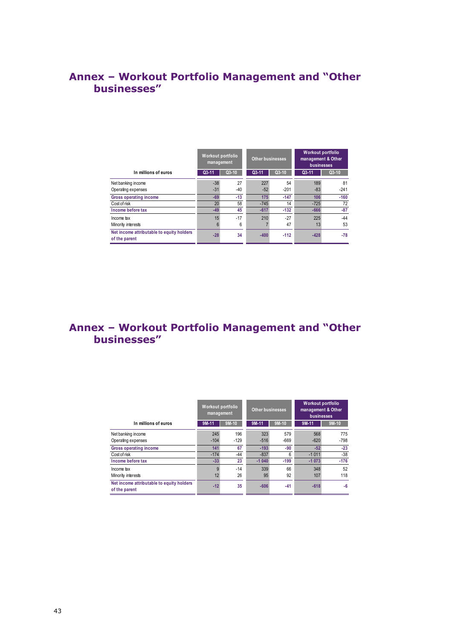## **Annex – Workout Portfolio Management and "Other businesses"**

|                                                            | Workout portfolio<br>management |         | <b>Other businesses</b> |        | <b>Workout portfolio</b><br>management & Other<br>businesses |         |
|------------------------------------------------------------|---------------------------------|---------|-------------------------|--------|--------------------------------------------------------------|---------|
| In millions of euros                                       | $Q3-11$                         | $Q3-10$ | $Q3 - 11$               | Q3-10  | $Q3 - 11$                                                    | $Q3-10$ |
| Net banking income                                         | $-38$                           | 27      | 227                     | 54     | 189                                                          | 81      |
| Operating expenses                                         | $-31$                           | $-40$   | $-52$                   | $-201$ | $-83$                                                        | $-241$  |
| <b>Gross operating income</b>                              | $-69$                           | $-13$   | 175                     | $-147$ | 106                                                          | $-160$  |
| Cost of risk                                               | 20                              | 58      | $-745$                  | 14     | $-725$                                                       | 72      |
| Income before tax                                          | $-49$                           | 45      | $-617$                  | $-132$ | $-666$                                                       | $-87$   |
| Income tax                                                 | 15                              | $-17$   | 210                     | $-27$  | 225                                                          | $-44$   |
| Minority interests                                         |                                 | 6       |                         | 47     | 13                                                           | 53      |
| Net income attributable to equity holders<br>of the parent | $-28$                           | 34      | $-400$                  | $-112$ | $-428$                                                       | $-78$   |

## Annex - Workout Portfolio Management and "Other **businesses"**

|                                                            | Workout portfolio<br><b>Other businesses</b><br>management |               |               |               | Workout portfolio<br>management & Other<br>businesses |               |  |
|------------------------------------------------------------|------------------------------------------------------------|---------------|---------------|---------------|-------------------------------------------------------|---------------|--|
| In millions of euros                                       | 9M-11                                                      | 9M-10         | 9M-11         | 9M-10         | 9M-11                                                 | $9M-10$       |  |
| Net banking income<br>Operating expenses                   | 245<br>$-104$                                              | 196<br>$-129$ | 323<br>$-516$ | 579<br>$-669$ | 568<br>$-620$                                         | 775<br>$-798$ |  |
| <b>Gross operating income</b>                              | 141                                                        | 67            | $-193$        | $-90$         | $-52$                                                 | $-23$         |  |
| Cost of risk                                               | $-174$                                                     | $-44$         | $-837$        | 6             | $-1011$                                               | $-38$         |  |
| Income before tax                                          | $-33$                                                      | 23            | $-1040$       | $-199$        | $-1073$                                               | $-176$        |  |
| Income tax<br>Minority interests                           | q<br>12                                                    | $-14$<br>26   | 339<br>95     | 66<br>92      | 348<br>107                                            | 52<br>118     |  |
| Net income attributable to equity holders<br>of the parent | $-12$                                                      | 35            | $-606$        | $-41$         | $-618$                                                | $-6$          |  |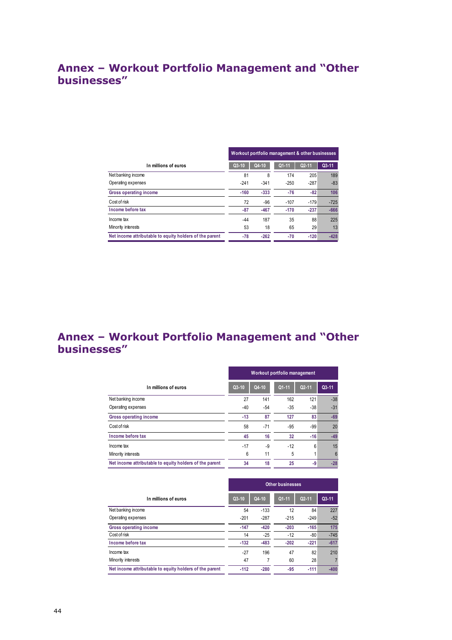## **Annex – Workout Portfolio Management and "Other businesses"**

|                                                         |         |        | Workout portfolio management & other businesses |           |           |
|---------------------------------------------------------|---------|--------|-------------------------------------------------|-----------|-----------|
| In millions of euros                                    | $Q3-10$ | Q4-10  | $Q1 - 11$                                       | $Q2 - 11$ | $Q3 - 11$ |
| Net banking income                                      | 81      | 8      | 174                                             | 205       | 189       |
| Operating expenses                                      | $-241$  | $-341$ | $-250$                                          | $-287$    | $-83$     |
| Gross operating income                                  | $-160$  | $-333$ | $-76$                                           | $-82$     | 106       |
| Cost of risk                                            | 72      | $-96$  | $-107$                                          | $-179$    | $-725$    |
| Income before tax                                       | $-87$   | $-467$ | $-170$                                          | $-237$    | $-666$    |
| Income tax                                              | -44     | 187    | 35                                              | 88        | 225       |
| Minority interests                                      | 53      | 18     | 65                                              | 29        | 13        |
| Net income attributable to equity holders of the parent | $-78$   | $-262$ | -70                                             | $-120$    | $-428$    |

## **Annex – Workout Portfolio Management and "Other businesses"**

|                                                         | Workout portfolio management |         |           |           |           |  |  |  |  |
|---------------------------------------------------------|------------------------------|---------|-----------|-----------|-----------|--|--|--|--|
| In millions of euros                                    | $Q3-10$                      | $Q4-10$ | $Q1 - 11$ | $Q2 - 11$ | $Q3 - 11$ |  |  |  |  |
| Net banking income                                      | 27                           | 141     | 162       | 121       | $-38$     |  |  |  |  |
| Operating expenses                                      | -40                          | $-54$   | $-35$     | $-38$     | $-31$     |  |  |  |  |
| Gross operating income                                  | $-13$                        | 87      | 127       | 83        | $-69$     |  |  |  |  |
| Cost of risk                                            | 58                           | $-71$   | $-95$     | $-99$     | 20        |  |  |  |  |
| Income before tax                                       | 45                           | 16      | 32        | -16       | $-49$     |  |  |  |  |
| Income tax                                              | $-17$                        | -9      | $-12$     | 6         | 15        |  |  |  |  |
| Minority interests                                      | 6                            | 11      | 5         |           | 6         |  |  |  |  |
| Net income attributable to equity holders of the parent | 34                           | 18      | 25        | -9        | $-28$     |  |  |  |  |

|                                                         |         |        | <b>Other businesses</b> |           |         |
|---------------------------------------------------------|---------|--------|-------------------------|-----------|---------|
| In millions of euros                                    | $Q3-10$ | Q4-10  | $Q1 - 11$               | $Q2 - 11$ | $Q3-11$ |
| Net banking income                                      | 54      | $-133$ | 12                      | 84        | 227     |
| Operating expenses                                      | $-201$  | $-287$ | $-215$                  | $-249$    | $-52$   |
| Gross operating income                                  | $-147$  | $-420$ | $-203$                  | $-165$    | 175     |
| Cost of risk                                            | 14      | $-25$  | $-12$                   | $-80$     | $-745$  |
| Income before tax                                       | $-132$  | $-483$ | $-202$                  | $-221$    | $-617$  |
| Income tax                                              | $-27$   | 196    | 47                      | 82        | 210     |
| Minority interests                                      | 47      | 7      | 60                      | 28        |         |
| Net income attributable to equity holders of the parent | $-112$  | $-280$ | $-95$                   | $-111$    | $-400$  |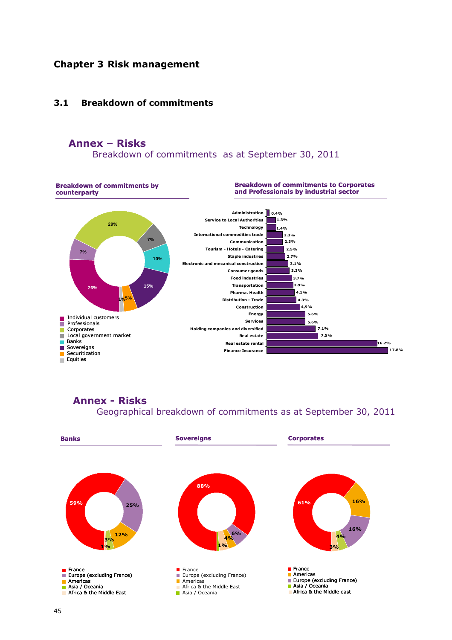### **Chapter 3 Risk management**

#### **3.1 Breakdown of commitments**

### **Annex – Risks**

Breakdown of commitments as at September 30, 2011



**Annex - Risks** Geographical breakdown of commitments as at September 30, 2011

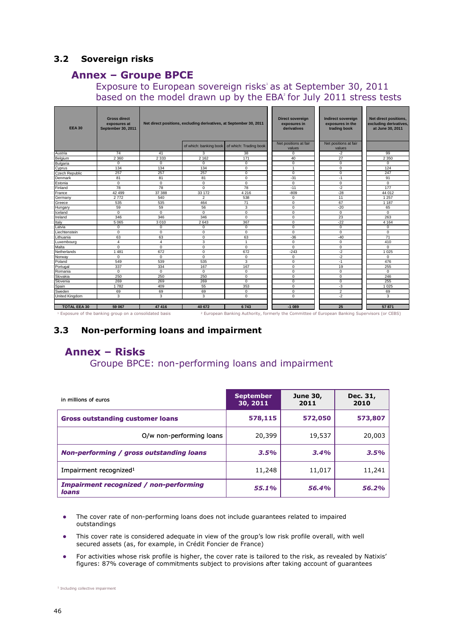### **3.2 Sovereign risks**

### **Annex – Groupe BPCE**

### Exposure to European sovereign risks' as at September 30, 2011 based on the model drawn up by the  $EBA<sup>2</sup>$  for July 2011 stress tests

| <b>EEA 30</b>       | <b>Gross direct</b><br>exposures at<br><b>September 30, 2011</b> | Net direct positions, excluding derivatives, at September 30, 2011 |                        |                        | <b>Direct sovereign</b><br>exposures in<br>derivatives | <b>Indirect sovereign</b><br>exposures in the<br>trading book | Net direct positions,<br>excluding derivatives,<br>at June 30, 2011 |
|---------------------|------------------------------------------------------------------|--------------------------------------------------------------------|------------------------|------------------------|--------------------------------------------------------|---------------------------------------------------------------|---------------------------------------------------------------------|
|                     |                                                                  |                                                                    | of which: banking book | of which: Trading book | Net positions at fair<br>values                        | Net positions at fair<br>values                               |                                                                     |
| Austria             | 74                                                               | 41                                                                 | 3                      | 38                     | $\mathbf 0$                                            | $-2$                                                          | 99                                                                  |
| Belgium             | 2 3 6 0                                                          | 2 3 3 3                                                            | 2 1 6 2                | 171                    | 40                                                     | 27                                                            | 2 3 5 0                                                             |
| Bulgaria            | $\mathbf 0$                                                      | $\mathbf 0$                                                        | $\mathbf 0$            | $\mathbf 0$            | $\mathbf 0$                                            | $\mathbf 0$                                                   | $\mathbf 0$                                                         |
| Cyprus              | 134                                                              | 134                                                                | 134                    | $\mathbf 0$            | $\mathbf{1}$                                           | $\mathsf 0$                                                   | 124                                                                 |
| Czech Republic      | 257                                                              | 257                                                                | 257                    | $\mathbf 0$            | $\mathbf 0$                                            | $\mathbf 0$                                                   | 247                                                                 |
| Denmark             | 81                                                               | 81                                                                 | 81                     | $\overline{0}$         | $-31$                                                  | $-1$                                                          | 91                                                                  |
| Estonia             | $\mathbf 0$                                                      | $\mathbf 0$                                                        | $\mathbf 0$            | $\mathbf 0$            | $\mathbf 0$                                            | $\mathbf 0$                                                   | $\mathbf 0$                                                         |
| Finland             | 78                                                               | 78                                                                 | $\mathbf 0$            | 78                     | $-11$                                                  | $-2$                                                          | 177                                                                 |
| France              | 42 499                                                           | 37 388                                                             | 33 172                 | 4 2 1 6                | $-809$                                                 | $-28$                                                         | 44 012                                                              |
| Germany             | 2772                                                             | 540                                                                | $\overline{2}$         | 538                    | $\mathbf 0$                                            | 11                                                            | 1 2 5 7                                                             |
| Greece              | 535                                                              | 535                                                                | 464                    | 71                     | $\mathbf 0$                                            | 67                                                            | 1 1 8 7                                                             |
| Hungary             | 59                                                               | 59                                                                 | 56                     | 3                      | $\overline{0}$                                         | $-20$                                                         | 65                                                                  |
| Iceland             | $\Omega$                                                         | $\Omega$                                                           | $\Omega$               | $\mathbf 0$            | $\Omega$                                               | $\mathbf 0$                                                   | $\Omega$                                                            |
| Ireland             | 346                                                              | 346                                                                | 346                    | $\mathbf 0$            | $\mathbf 0$                                            | 23                                                            | 263                                                                 |
| Italy               | 5 0 6 5                                                          | 3010                                                               | 2643                   | 367                    | $\mathbf 0$                                            | $-22$                                                         | 4 1 6 4                                                             |
| Latvia              | $\mathbf 0$                                                      | $\mathbf 0$                                                        | $^{\circ}$             | $\mathbf 0$            | $\overline{0}$                                         | $\mathbf 0$                                                   | $\mathbf 0$                                                         |
| Liechtenstein       | $\mathbf 0$                                                      | $\Omega$                                                           | $\Omega$               | $\overline{0}$         | $\overline{0}$                                         | $\overline{0}$                                                | $\Omega$                                                            |
| Lithuania           | 63                                                               | 63                                                                 | $\mathbf 0$            | 63                     | $-36$                                                  | $-40$                                                         | $\overline{71}$                                                     |
| Luxembourg          | $\overline{4}$                                                   | $\overline{4}$                                                     | 3                      | $\overline{1}$         | $\mathbf 0$                                            | $\mathbf 0$                                                   | 410                                                                 |
| Malta               | $\mathbf 0$                                                      | $\mathbf 0$                                                        | $\mathbf 0$            | $\mathbf 0$            | $\mathbf 0$                                            | $\mathbf 0$                                                   | $\mathbf 0$                                                         |
| Netherlands         | 1481                                                             | 672                                                                | $\mathbf 0$            | 672                    | $-243$                                                 | $-2$                                                          | 1 0 2 5                                                             |
| Norway              | $\mathbf 0$                                                      | $\mathbf 0$                                                        | $\mathbf 0$            | $\mathbf 0$            | $\mathbf 0$                                            | $-2$                                                          | $\mathbf 0$                                                         |
| Poland              | 549                                                              | 539                                                                | 535                    | 3                      | $\mathbf 0$                                            | $-1$                                                          | 476                                                                 |
| Portugal            | 337                                                              | 334                                                                | 167                    | 167                    | $\mathbf 0$                                            | 19                                                            | 255                                                                 |
| Romania             | $\mathbf 0$                                                      | $\mathbf 0$                                                        | $\mathbf 0$            | $\mathbf 0$            | $\overline{0}$                                         | $\overline{0}$                                                | $\overline{0}$                                                      |
| Slovakia            | 250                                                              | 250                                                                | 250                    | $\overline{0}$         | $\mathbf 0$                                            | $\mathbf 0$                                                   | 246                                                                 |
| Slovenia            | 269                                                              | 269                                                                | 269                    | $\mathbf 0$            | $\mathbf 0$                                            | $\mathbf 0$                                                   | 255                                                                 |
| Spain               | 1782                                                             | 409                                                                | 55                     | 353                    | $\mathbf 0$                                            | $-3$                                                          | 1 0 2 5                                                             |
| Sweden              | 69                                                               | 69                                                                 | 69                     | $\mathbf 0$            | $\mathbf 0$                                            | $\overline{2}$                                                | 69                                                                  |
| United Kingdom      | 3                                                                | 3                                                                  | 3                      | $\mathbf 0$            | $\mathbf 0$                                            | $-2$                                                          | 3                                                                   |
| <b>TOTAL EEA 30</b> | 59 067                                                           | 47416                                                              | 40 672                 | 6743                   | $-1089$                                                | 25                                                            | 57871                                                               |

### **3.3 Non-performing loans and impairment**

## **Annex – Risks**

Groupe BPCE: non-performing loans and impairment

| in millions of euros                                   | <b>September</b><br>30, 2011 | <b>June 30,</b><br>2011 | Dec. 31,<br>2010 |
|--------------------------------------------------------|------------------------------|-------------------------|------------------|
| <b>Gross outstanding customer loans</b>                | 578,115                      | 572,050                 | 573,807          |
| O/w non-performing loans                               | 20,399                       | 19,537                  | 20,003           |
| <b>Non-performing / gross outstanding loans</b>        | 3.5%                         | 3.4%                    | 3.5%             |
| Impairment recognized <sup>1</sup>                     | 11,248                       | 11,017                  | 11,241           |
| <b>Impairment recognized / non-performing</b><br>loans | 55.1%                        | 56.4%                   | 56.2%            |

- The cover rate of non-performing loans does not include guarantees related to impaired outstandings
- This cover rate is considered adequate in view of the group's low risk profile overall, with well secured assets (as, for example, in Crédit Foncier de France)
- For activities whose risk profile is higher, the cover rate is tailored to the risk, as revealed by Natixis' figures: 87% coverage of commitments subject to provisions after taking account of guarantees

<sup>1</sup> Including collective impairment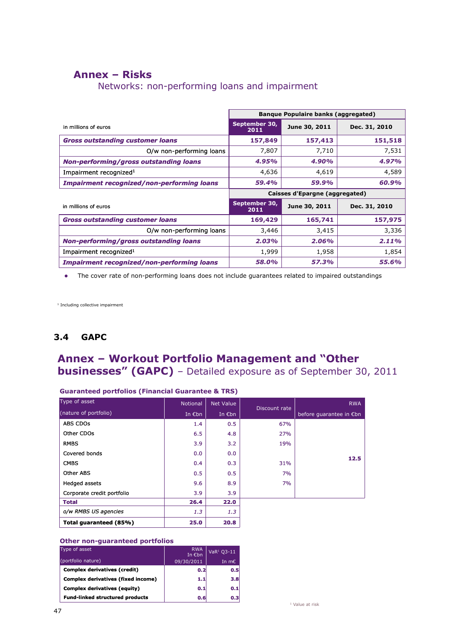## **Annex – Risks**

Networks: non-performing loans and impairment

|                                                   | <b>Banque Populaire banks (aggregated)</b> |               |               |
|---------------------------------------------------|--------------------------------------------|---------------|---------------|
| in millions of euros                              | September 30,<br>2011                      | June 30, 2011 | Dec. 31, 2010 |
| <b>Gross outstanding customer loans</b>           | 157,849                                    | 157,413       | 151,518       |
| O/w non-performing loans                          | 7,807                                      | 7,710         | 7,531         |
| <b>Non-performing/gross outstanding loans</b>     | 4.95%                                      | 4.90%         | 4.97%         |
| Impairment recognized <sup>1</sup>                | 4,636                                      | 4,619         | 4,589         |
| <b>Impairment recognized/non-performing loans</b> | 59.4%                                      | 59.9%         | 60.9%         |
|                                                   | Caisses d'Epargne (aggregated)             |               |               |
|                                                   |                                            |               |               |
| in millions of euros                              | September 30,<br>2011                      | June 30, 2011 | Dec. 31, 2010 |
| <b>Gross outstanding customer loans</b>           | 169,429                                    | 165,741       | 157,975       |
| O/w non-performing loans                          | 3,446                                      | 3,415         | 3,336         |
| <b>Non-performing/gross outstanding loans</b>     | 2.03%                                      | 2.06%         | 2.11%         |
| Impairment recognized <sup>1</sup>                | 1,999                                      | 1,958         | 1,854         |

The cover rate of non-performing loans does not include guarantees related to impaired outstandings

<sup>1</sup> Including collective impairment

### **3.4 GAPC**

## **Annex – Workout Portfolio Management and "Other businesses" (GAPC)** - Detailed exposure as of September 30, 2011

| Type of asset              | <b>Notional</b> | <b>Net Value</b>          |     | <b>RWA</b>              |
|----------------------------|-----------------|---------------------------|-----|-------------------------|
| (nature of portfolio)      | In $Ebn$        | Discount rate<br>In $Ebn$ |     | before quarantee in €bn |
| <b>ABS CDOs</b>            | 1.4             | 0.5                       | 67% |                         |
| Other CDOs                 | 6.5             | 4.8                       | 27% |                         |
| <b>RMBS</b>                | 3.9             | 3.2                       | 19% |                         |
| Covered bonds              | 0.0             | 0.0                       |     | 12.5                    |
| <b>CMBS</b>                | 0.4             | 0.3                       | 31% |                         |
| Other ABS                  | 0.5             | 0.5                       | 7%  |                         |
| Hedged assets              | 9.6             | 8.9                       | 7%  |                         |
| Corporate credit portfolio | 3.9             | 3.9                       |     |                         |
| <b>Total</b>               | 26.4            | 22.0                      |     |                         |
| o/w RMBS US agencies       | 1.3             | 1.3                       |     |                         |
| Total quaranteed (85%)     | 25.0            | 20.8                      |     |                         |

**Guaranteed portfolios (Financial Guarantee & TRS)**

#### **Other non-guaranteed portfolios**

| Type of asset                             | <b>RWA</b><br>In €bn | VaR <sup>1</sup> O3-11 |
|-------------------------------------------|----------------------|------------------------|
| (portfolio nature)                        | 09/30/2011           | In $m\epsilon$         |
| <b>Complex derivatives (credit)</b>       | 0.2                  | 0.5                    |
| <b>Complex derivatives (fixed income)</b> | 1.1                  | 3.8                    |
| <b>Complex derivatives (equity)</b>       | 0.1                  | 0.1                    |
| <b>Fund-linked structured products</b>    | 0.6                  | 0.3                    |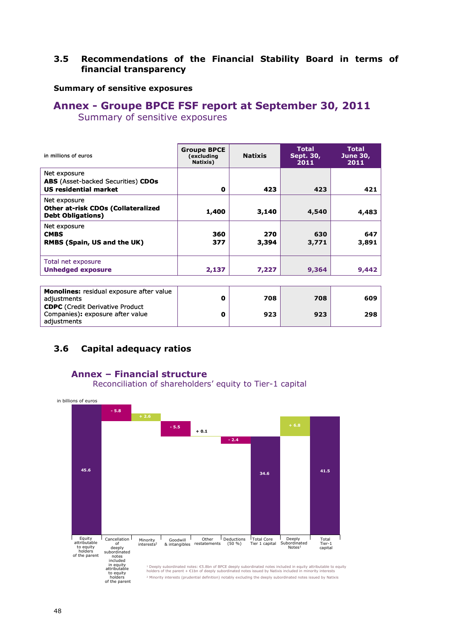### **3.5 Recommendations of the Financial Stability Board in terms of financial transparency**

### **Summary of sensitive exposures**

# **Annex - Groupe BPCE FSF report at September 30, 2011**

Summary of sensitive exposures

| in millions of euros                                                                      | <b>Groupe BPCE</b><br>(excluding<br>Natixis) | <b>Natixis</b> | <b>Total</b><br>Sept. 30,<br>2011 | <b>Total</b><br><b>June 30,</b><br>2011 |
|-------------------------------------------------------------------------------------------|----------------------------------------------|----------------|-----------------------------------|-----------------------------------------|
| Net exposure<br><b>ABS</b> (Asset-backed Securities) CDOs<br><b>US residential market</b> | 0                                            | 423            | 423                               | 421                                     |
| Net exposure<br><b>Other at-risk CDOs (Collateralized</b><br><b>Debt Obligations)</b>     | 1,400                                        | 3,140          | 4,540                             | 4,483                                   |
| Net exposure<br><b>CMBS</b><br><b>RMBS (Spain, US and the UK)</b>                         | 360<br>377                                   | 270<br>3,394   | 630<br>3,771                      | 647<br>3,891                            |
| Total net exposure<br><b>Unhedged exposure</b>                                            | 2,137                                        | 7,227          | 9,364                             | 9,442                                   |
| <b>Monolines:</b> residual exposure after value                                           |                                              |                |                                   |                                         |

| <b>Monolines:</b> residual exposure after value<br>adjustments                            | 0 | 708 | 708 | 609 |
|-------------------------------------------------------------------------------------------|---|-----|-----|-----|
| <b>CDPC</b> (Credit Derivative Product<br>Companies): exposure after value<br>adiustments | 0 | 923 | 923 | 298 |

### **3.6 Capital adequacy ratios**

### **Annex – Financial structure**

Reconciliation of shareholders' equity to Tier-1 capital

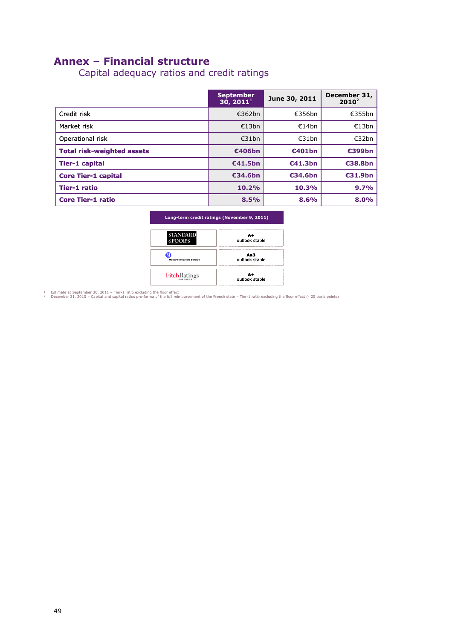## **Annex – Financial structure**

Capital adequacy ratios and credit ratings

|                                   | <b>September</b><br>30, 2011 <sup>1</sup> | June 30, 2011 | December 31,<br>$2010^2$ |
|-----------------------------------|-------------------------------------------|---------------|--------------------------|
| Credit risk                       | £362bn                                    | €356bn        | €355bn                   |
| Market risk                       | €13bn                                     | €14bn         | €13bn                    |
| Operational risk                  | £31bn                                     | £31bn         | €32bn                    |
| <b>Total risk-weighted assets</b> | €406bn                                    | €401bn        | €399bn                   |
| <b>Tier-1 capital</b>             | €41.5bn                                   | €41.3bn       | €38.8bn                  |
| <b>Core Tier-1 capital</b>        | €34.6bn                                   | €34.6bn       | €31.9bn                  |
| Tier-1 ratio                      | 10.2%                                     | 10.3%         | 9.7%                     |
| <b>Core Tier-1 ratio</b>          | 8.5%                                      | 8.6%          | 8.0%                     |

| Long-term credit ratings (November 9, 2011) |
|---------------------------------------------|
|                                             |

| <b>STANDARD</b><br>&POOR'S       | Δ+<br>outlook stable  |
|----------------------------------|-----------------------|
| <b>Moody's Investors Service</b> | Aa3<br>outlook stable |
| FitchRatings                     | Δ+<br>outlook stable  |

↑ Estimate at September 30, 2011 – Tier-1 ratio excluding the floor effect<br>₽ December 31, 2010 – Capital and capital ratios pro-forma of the full reimbursement of the French state – Tier-1 ratio excluding the floor effect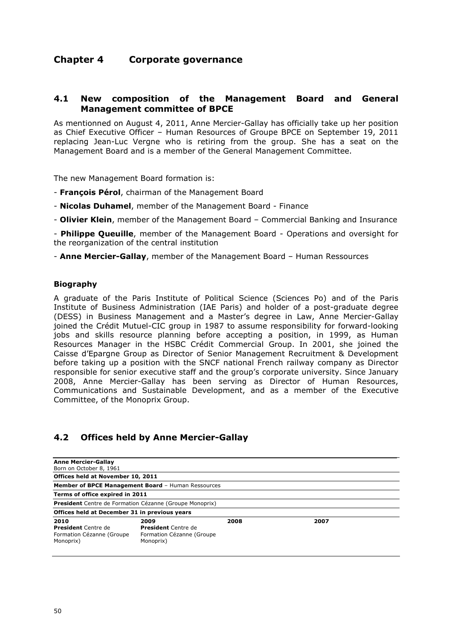### **Chapter 4 Corporate governance**

### **4.1 New composition of the Management Board and General Management committee of BPCE**

As mentionned on August 4, 2011, Anne Mercier-Gallay has officially take up her position as Chief Executive Officer – Human Resources of Groupe BPCE on September 19, 2011 replacing Jean-Luc Vergne who is retiring from the group. She has a seat on the Management Board and is a member of the General Management Committee.

The new Management Board formation is:

- **François Pérol**, chairman of the Management Board
- **Nicolas Duhamel**, member of the Management Board Finance
- **Olivier Klein**, member of the Management Board Commercial Banking and Insurance

- **Philippe Queuille**, member of the Management Board - Operations and oversight for the reorganization of the central institution

- **Anne Mercier-Gallay**, member of the Management Board – Human Ressources

#### **Biography**

A graduate of the Paris Institute of Political Science (Sciences Po) and of the Paris Institute of Business Administration (IAE Paris) and holder of a post-graduate degree (DESS) in Business Management and a Master's degree in Law, Anne Mercier-Gallay joined the Crédit Mutuel-CIC group in 1987 to assume responsibility for forward-looking jobs and skills resource planning before accepting a position, in 1999, as Human Resources Manager in the HSBC Crédit Commercial Group. In 2001, she joined the Caisse d'Epargne Group as Director of Senior Management Recruitment & Development before taking up a position with the SNCF national French railway company as Director responsible for senior executive staff and the group's corporate university. Since January 2008, Anne Mercier-Gallay has been serving as Director of Human Resources, Communications and Sustainable Development, and as a member of the Executive Committee, of the Monoprix Group.

### **4.2 Offices held by Anne Mercier-Gallay**

| <b>Anne Mercier-Gallay</b><br>Born on October 8, 1961                        |                                                                              |      |      |  |
|------------------------------------------------------------------------------|------------------------------------------------------------------------------|------|------|--|
|                                                                              |                                                                              |      |      |  |
| Offices held at November 10, 2011                                            |                                                                              |      |      |  |
|                                                                              | Member of BPCE Management Board - Human Ressources                           |      |      |  |
| Terms of office expired in 2011                                              |                                                                              |      |      |  |
|                                                                              | <b>President</b> Centre de Formation Cézanne (Groupe Monoprix)               |      |      |  |
| Offices held at December 31 in previous years                                |                                                                              |      |      |  |
| 2010<br><b>President</b> Centre de<br>Formation Cézanne (Groupe<br>Monoprix) | 2009<br><b>President</b> Centre de<br>Formation Cézanne (Groupe<br>Monoprix) | 2008 | 2007 |  |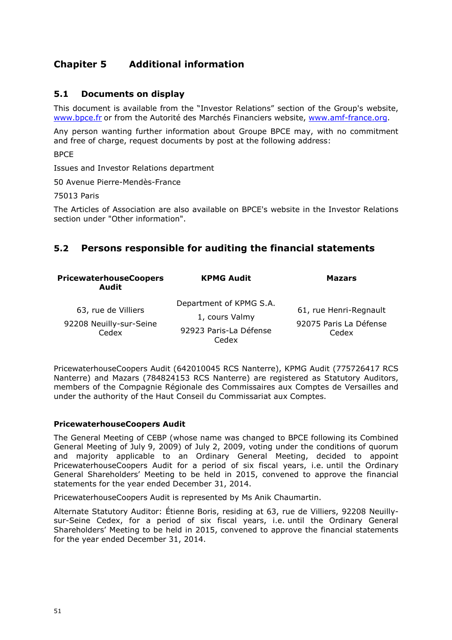## **Chapiter 5 Additional information**

### **5.1 Documents on display**

This document is available from the "Investor Relations" section of the Group's website, www.bpce.fr or from the Autorité des Marchés Financiers website, www.amf-france.org.

Any person wanting further information about Groupe BPCE may, with no commitment and free of charge, request documents by post at the following address:

**BPCF** 

Issues and Investor Relations department

50 Avenue Pierre-Mendès-France

75013 Paris

The Articles of Association are also available on BPCE's website in the Investor Relations section under "Other information".

### **5.2 Persons responsible for auditing the financial statements**

| <b>PricewaterhouseCoopers</b><br><b>Audit</b>           | <b>KPMG Audit</b>                                                            | <b>Mazars</b>                                             |
|---------------------------------------------------------|------------------------------------------------------------------------------|-----------------------------------------------------------|
| 63, rue de Villiers<br>92208 Neuilly-sur-Seine<br>Cedex | Department of KPMG S.A.<br>1, cours Valmy<br>92923 Paris-La Défense<br>Cedex | 61, rue Henri-Regnault<br>92075 Paris La Défense<br>Cedex |

PricewaterhouseCoopers Audit (642010045 RCS Nanterre), KPMG Audit (775726417 RCS Nanterre) and Mazars (784824153 RCS Nanterre) are registered as Statutory Auditors, members of the Compagnie Régionale des Commissaires aux Comptes de Versailles and under the authority of the Haut Conseil du Commissariat aux Comptes.

#### **PricewaterhouseCoopers Audit**

The General Meeting of CEBP (whose name was changed to BPCE following its Combined General Meeting of July 9, 2009) of July 2, 2009, voting under the conditions of quorum and majority applicable to an Ordinary General Meeting, decided to appoint PricewaterhouseCoopers Audit for a period of six fiscal years, i.e. until the Ordinary General Shareholders' Meeting to be held in 2015, convened to approve the financial statements for the year ended December 31, 2014.

PricewaterhouseCoopers Audit is represented by Ms Anik Chaumartin.

Alternate Statutory Auditor: Étienne Boris, residing at 63, rue de Villiers, 92208 Neuillysur-Seine Cedex, for a period of six fiscal years, i.e. until the Ordinary General Shareholders' Meeting to be held in 2015, convened to approve the financial statements for the year ended December 31, 2014.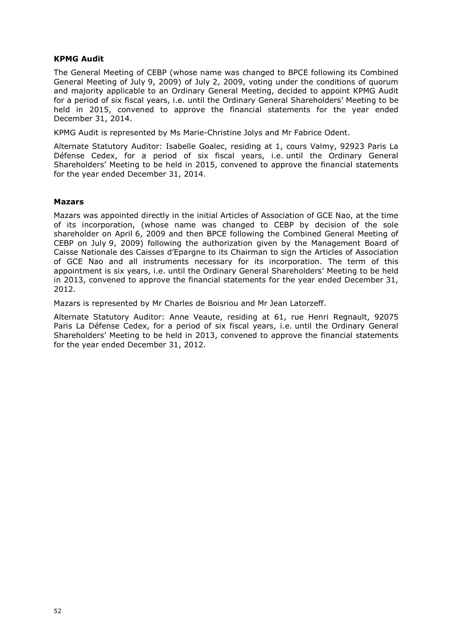### **KPMG Audit**

The General Meeting of CEBP (whose name was changed to BPCE following its Combined General Meeting of July 9, 2009) of July 2, 2009, voting under the conditions of quorum and majority applicable to an Ordinary General Meeting, decided to appoint KPMG Audit for a period of six fiscal years, i.e. until the Ordinary General Shareholders' Meeting to be held in 2015, convened to approve the financial statements for the year ended December 31, 2014.

KPMG Audit is represented by Ms Marie-Christine Jolys and Mr Fabrice Odent.

Alternate Statutory Auditor: Isabelle Goalec, residing at 1, cours Valmy, 92923 Paris La Défense Cedex, for a period of six fiscal years, i.e. until the Ordinary General Shareholders' Meeting to be held in 2015, convened to approve the financial statements for the year ended December 31, 2014.

#### **Mazars**

Mazars was appointed directly in the initial Articles of Association of GCE Nao, at the time of its incorporation, (whose name was changed to CEBP by decision of the sole shareholder on April 6, 2009 and then BPCE following the Combined General Meeting of CEBP on July 9, 2009) following the authorization given by the Management Board of Caisse Nationale des Caisses d'Epargne to its Chairman to sign the Articles of Association of GCE Nao and all instruments necessary for its incorporation. The term of this appointment is six years, i.e. until the Ordinary General Shareholders' Meeting to be held in 2013, convened to approve the financial statements for the year ended December 31, 2012.

Mazars is represented by Mr Charles de Boisriou and Mr Jean Latorzeff.

Alternate Statutory Auditor: Anne Veaute, residing at 61, rue Henri Regnault, 92075 Paris La Défense Cedex, for a period of six fiscal years, i.e. until the Ordinary General Shareholders' Meeting to be held in 2013, convened to approve the financial statements for the year ended December 31, 2012.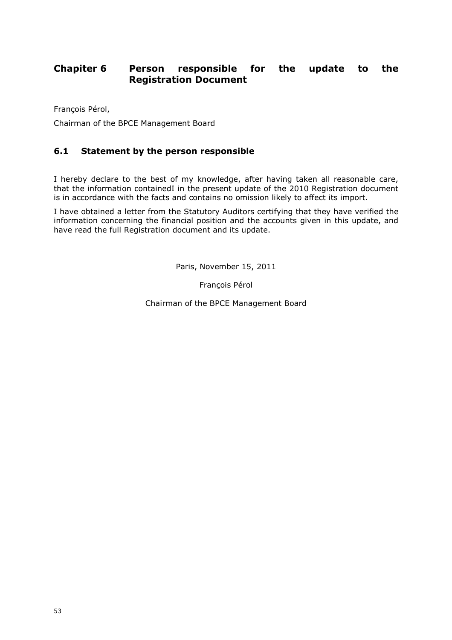## **Chapiter 6 Person responsible for the update to the Registration Document**

François Pérol,

Chairman of the BPCE Management Board

### **6.1 Statement by the person responsible**

I hereby declare to the best of my knowledge, after having taken all reasonable care, that the information containedI in the present update of the 2010 Registration document is in accordance with the facts and contains no omission likely to affect its import.

I have obtained a letter from the Statutory Auditors certifying that they have verified the information concerning the financial position and the accounts given in this update, and have read the full Registration document and its update.

Paris, November 15, 2011

François Pérol

Chairman of the BPCE Management Board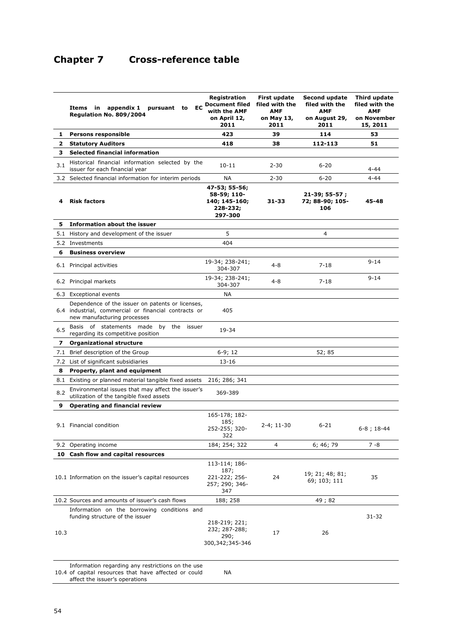## **Chapter 7 Cross-reference table**

|              | <b>EC</b><br>Items in appendix 1<br>pursuant to<br><b>Regulation No. 809/2004</b>                                                       | Registration<br><b>Document filed</b><br>with the AMF<br>on April 12,<br>2011 | First update<br>filed with the<br><b>AMF</b><br>on May 13,<br>2011 | <b>Second update</b><br>filed with the<br><b>AMF</b><br>on August 29,<br>2011 | Third update<br>filed with the<br><b>AMF</b><br>on November<br>15, 2011 |
|--------------|-----------------------------------------------------------------------------------------------------------------------------------------|-------------------------------------------------------------------------------|--------------------------------------------------------------------|-------------------------------------------------------------------------------|-------------------------------------------------------------------------|
| 1.           | <b>Persons responsible</b>                                                                                                              | 423                                                                           | 39                                                                 | 114                                                                           | 53                                                                      |
| $\mathbf{2}$ | <b>Statutory Auditors</b>                                                                                                               | 418                                                                           | 38                                                                 | 112-113                                                                       | 51                                                                      |
| 3.           | <b>Selected financial information</b>                                                                                                   |                                                                               |                                                                    |                                                                               |                                                                         |
| 3.1          | Historical financial information selected by the<br>issuer for each financial year                                                      | $10 - 11$                                                                     | $2 - 30$                                                           | $6 - 20$                                                                      | 4-44                                                                    |
|              | 3.2 Selected financial information for interim periods                                                                                  | <b>NA</b>                                                                     | $2 - 30$                                                           | $6 - 20$                                                                      | 4-44                                                                    |
| 4            | <b>Risk factors</b>                                                                                                                     | 47-53; 55-56;<br>58-59; 110-<br>140; 145-160;<br>228-232;<br>297-300          | 31-33                                                              | 21-39; 55-57;<br>72; 88-90; 105-<br>106                                       | 45-48                                                                   |
| 5            | Information about the issuer                                                                                                            |                                                                               |                                                                    |                                                                               |                                                                         |
|              | 5.1 History and development of the issuer                                                                                               | 5                                                                             |                                                                    | 4                                                                             |                                                                         |
|              | 5.2 Investments                                                                                                                         | 404                                                                           |                                                                    |                                                                               |                                                                         |
| 6            | <b>Business overview</b>                                                                                                                |                                                                               |                                                                    |                                                                               |                                                                         |
|              | 6.1 Principal activities                                                                                                                | 19-34; 238-241;<br>304-307                                                    | $4 - 8$                                                            | $7 - 18$                                                                      | $9 - 14$                                                                |
|              | 6.2 Principal markets                                                                                                                   | 19-34; 238-241;<br>304-307                                                    | $4 - 8$                                                            | $7 - 18$                                                                      | $9 - 14$                                                                |
|              | 6.3 Exceptional events                                                                                                                  | NА                                                                            |                                                                    |                                                                               |                                                                         |
|              | Dependence of the issuer on patents or licenses,<br>6.4 industrial, commercial or financial contracts or<br>new manufacturing processes | 405                                                                           |                                                                    |                                                                               |                                                                         |
| 6.5          | Basis of statements made by the<br>issuer<br>regarding its competitive position                                                         | 19-34                                                                         |                                                                    |                                                                               |                                                                         |
| 7            | <b>Organizational structure</b>                                                                                                         |                                                                               |                                                                    |                                                                               |                                                                         |
|              | 7.1 Brief description of the Group                                                                                                      | $6-9;12$                                                                      |                                                                    | 52; 85                                                                        |                                                                         |
|              | 7.2 List of significant subsidiaries                                                                                                    | 13-16                                                                         |                                                                    |                                                                               |                                                                         |
| 8            | Property, plant and equipment                                                                                                           |                                                                               |                                                                    |                                                                               |                                                                         |
|              | 8.1 Existing or planned material tangible fixed assets                                                                                  | 216; 286; 341                                                                 |                                                                    |                                                                               |                                                                         |
| 8.2          | Environmental issues that may affect the issuer's<br>utilization of the tangible fixed assets                                           | 369-389                                                                       |                                                                    |                                                                               |                                                                         |
| 9            | <b>Operating and financial review</b>                                                                                                   |                                                                               |                                                                    |                                                                               |                                                                         |
|              |                                                                                                                                         | 165-178; 182-<br>185;                                                         |                                                                    |                                                                               |                                                                         |
|              | 9.1 Financial condition                                                                                                                 | 252-255; 320-<br>322                                                          | 2-4; 11-30                                                         | $6 - 21$                                                                      | $6-8$ ; 18-44                                                           |
|              | 9.2 Operating income                                                                                                                    | 184; 254; 322                                                                 | 4                                                                  | 6; 46; 79                                                                     | $7 - 8$                                                                 |
| 10           | Cash flow and capital resources                                                                                                         |                                                                               |                                                                    |                                                                               |                                                                         |
|              | 10.1 Information on the issuer's capital resources                                                                                      | 113-114; 186-<br>187;<br>221-222; 256-<br>257; 290; 346-<br>347               | 24                                                                 | 19; 21; 48; 81;<br>69; 103; 111                                               | 35                                                                      |
|              | 10.2 Sources and amounts of issuer's cash flows                                                                                         | 188; 258                                                                      |                                                                    | 49; 82                                                                        |                                                                         |
| 10.3         | Information on the borrowing conditions and<br>funding structure of the issuer                                                          | 218-219; 221;<br>232; 287-288;<br>290;<br>300,342;345-346                     | 17                                                                 | 26                                                                            | $31 - 32$                                                               |
|              |                                                                                                                                         |                                                                               |                                                                    |                                                                               |                                                                         |

Information regarding any restrictions on the use

<sup>10.4</sup> of capital resources that have affected or could NA

affect the issuer's operations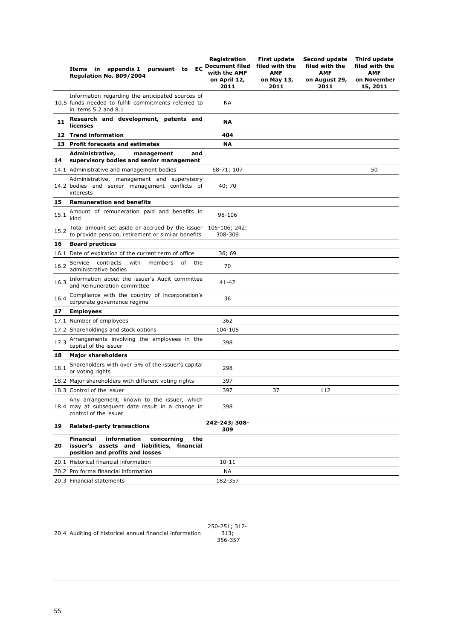|      | EC<br>Items in appendix 1<br>pursuant<br>to<br><b>Regulation No. 809/2004</b>                                                         | Registration<br><b>Document filed</b><br>with the AMF<br>on April 12,<br>2011 | <b>First update</b><br>filed with the<br>AMF<br>on May 13,<br>2011 | Second update<br>filed with the<br><b>AMF</b><br>on August 29,<br>2011 | Third update<br>filed with the<br><b>AMF</b><br>on November<br>15, 2011 |
|------|---------------------------------------------------------------------------------------------------------------------------------------|-------------------------------------------------------------------------------|--------------------------------------------------------------------|------------------------------------------------------------------------|-------------------------------------------------------------------------|
|      | Information regarding the anticipated sources of<br>10.5 funds needed to fulfill commitments referred to<br>in items 5.2 and 8.1      | NА                                                                            |                                                                    |                                                                        |                                                                         |
| 11   | Research and development, patents and<br>licenses                                                                                     | <b>NA</b>                                                                     |                                                                    |                                                                        |                                                                         |
|      | 12 Trend information                                                                                                                  | 404                                                                           |                                                                    |                                                                        |                                                                         |
|      | 13 Profit forecasts and estimates                                                                                                     | ΝA                                                                            |                                                                    |                                                                        |                                                                         |
| 14   | Administrative,<br>management<br>and<br>supervisory bodies and senior management                                                      |                                                                               |                                                                    |                                                                        |                                                                         |
|      | 14.1 Administrative and management bodies                                                                                             | 68-71; 107                                                                    |                                                                    |                                                                        | 50                                                                      |
|      | Administrative, management and supervisory<br>14.2 bodies and senior management conflicts of<br>interests                             | 40; 70                                                                        |                                                                    |                                                                        |                                                                         |
| 15   | <b>Remuneration and benefits</b>                                                                                                      |                                                                               |                                                                    |                                                                        |                                                                         |
| 15.1 | Amount of remuneration paid and benefits in<br>kind                                                                                   | 98-106                                                                        |                                                                    |                                                                        |                                                                         |
| 15.2 | Total amount set aside or accrued by the issuer<br>to provide pension, retirement or similar benefits                                 | 105-106; 242;<br>308-309                                                      |                                                                    |                                                                        |                                                                         |
| 16   | <b>Board practices</b>                                                                                                                |                                                                               |                                                                    |                                                                        |                                                                         |
|      | 16.1 Date of expiration of the current term of office                                                                                 | 36; 69                                                                        |                                                                    |                                                                        |                                                                         |
| 16.2 | contracts<br>with<br>Service<br>members<br>of<br>the<br>administrative bodies                                                         | 70                                                                            |                                                                    |                                                                        |                                                                         |
| 16.3 | Information about the issuer's Audit committee<br>and Remuneration committee                                                          | 41-42                                                                         |                                                                    |                                                                        |                                                                         |
| 16.4 | Compliance with the country of incorporation's<br>corporate governance regime                                                         | 36                                                                            |                                                                    |                                                                        |                                                                         |
| 17   | <b>Employees</b>                                                                                                                      |                                                                               |                                                                    |                                                                        |                                                                         |
|      | 17.1 Number of employees                                                                                                              | 362                                                                           |                                                                    |                                                                        |                                                                         |
|      | 17.2 Shareholdings and stock options                                                                                                  | 104-105                                                                       |                                                                    |                                                                        |                                                                         |
| 17.3 | Arrangements involving the employees in the<br>capital of the issuer                                                                  | 398                                                                           |                                                                    |                                                                        |                                                                         |
| 18   | <b>Major shareholders</b>                                                                                                             |                                                                               |                                                                    |                                                                        |                                                                         |
| 18.1 | Shareholders with over 5% of the issuer's capital<br>or voting rights                                                                 | 298                                                                           |                                                                    |                                                                        |                                                                         |
|      | 18.2 Major shareholders with different voting rights                                                                                  | 397                                                                           |                                                                    |                                                                        |                                                                         |
|      | 18.3 Control of the issuer                                                                                                            | 397                                                                           | 37                                                                 | 112                                                                    |                                                                         |
|      | Any arrangement, known to the issuer, which<br>18.4 may at subsequent date result in a change in<br>control of the issuer             | 398                                                                           |                                                                    |                                                                        |                                                                         |
| 19   | <b>Related-party transactions</b>                                                                                                     | 242-243; 308-<br>309                                                          |                                                                    |                                                                        |                                                                         |
| 20   | information<br><b>Financial</b><br>concerning<br>the<br>issuer's assets and liabilities, financial<br>position and profits and losses |                                                                               |                                                                    |                                                                        |                                                                         |
|      | 20.1 Historical financial information                                                                                                 | $10 - 11$                                                                     |                                                                    |                                                                        |                                                                         |
|      | 20.2 Pro forma financial information                                                                                                  | ΝA                                                                            |                                                                    |                                                                        |                                                                         |
|      | 20.3 Financial statements                                                                                                             | 182-357                                                                       |                                                                    |                                                                        |                                                                         |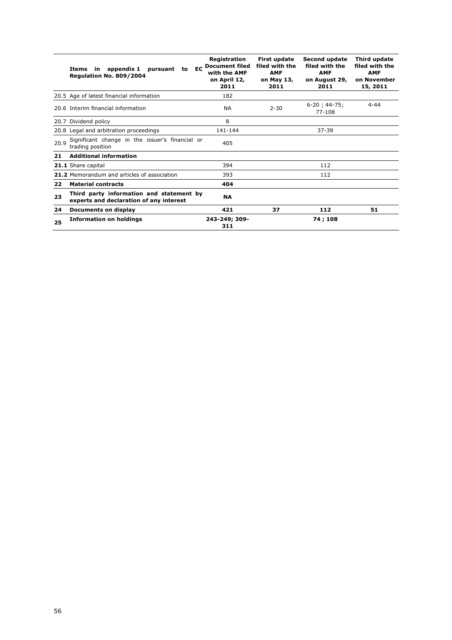|      | EC<br>appendix 1<br>pursuant<br>Items<br>in.<br>to<br>Regulation No. 809/2004       | Registration<br><b>Document filed</b><br>with the AMF<br>on April 12,<br>2011 | <b>First update</b><br>filed with the<br><b>AMF</b><br>on May 13,<br>2011 | <b>Second update</b><br>filed with the<br><b>AMF</b><br>on August 29,<br>2011 | Third update<br>filed with the<br><b>AMF</b><br>on November<br>15, 2011 |
|------|-------------------------------------------------------------------------------------|-------------------------------------------------------------------------------|---------------------------------------------------------------------------|-------------------------------------------------------------------------------|-------------------------------------------------------------------------|
|      | 20.5 Age of latest financial information                                            | 182                                                                           |                                                                           |                                                                               |                                                                         |
|      | 20.6 Interim financial information                                                  | <b>NA</b>                                                                     | $2 - 30$                                                                  | $6-20$ ; 44-75;<br>77-108                                                     | $4 - 44$                                                                |
|      | 20.7 Dividend policy                                                                | 8                                                                             |                                                                           |                                                                               |                                                                         |
|      | 20.8 Legal and arbitration proceedings                                              | 141-144                                                                       |                                                                           | 37-39                                                                         |                                                                         |
| 20.9 | Significant change in the issuer's financial or<br>trading position                 | 405                                                                           |                                                                           |                                                                               |                                                                         |
| 21   | <b>Additional information</b>                                                       |                                                                               |                                                                           |                                                                               |                                                                         |
|      | 21.1 Share capital                                                                  | 394                                                                           |                                                                           | 112                                                                           |                                                                         |
|      | 21.2 Memorandum and articles of association                                         | 393                                                                           |                                                                           | 112                                                                           |                                                                         |
| 22   | <b>Material contracts</b>                                                           | 404                                                                           |                                                                           |                                                                               |                                                                         |
| 23   | Third party information and statement by<br>experts and declaration of any interest | <b>NA</b>                                                                     |                                                                           |                                                                               |                                                                         |
| 24   | Documents on display                                                                | 421                                                                           | 37                                                                        | 112                                                                           | 51                                                                      |
| 25   | <b>Information on holdings</b>                                                      | 243-249; 309-<br>311                                                          |                                                                           | 74 ; 108                                                                      |                                                                         |